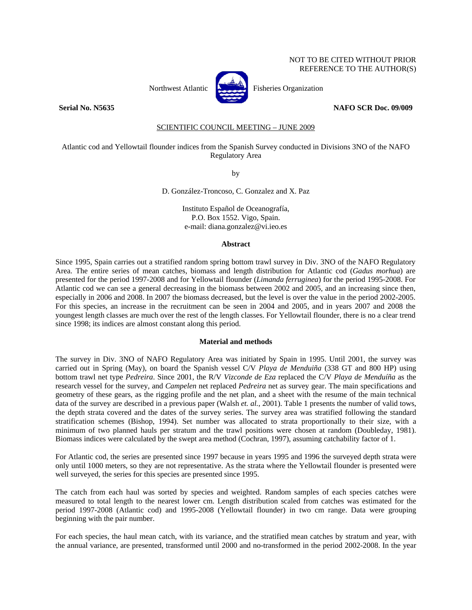# NOT TO BE CITED WITHOUT PRIOR REFERENCE TO THE AUTHOR(S)



Northwest Atlantic **Atlantic** Fisheries Organization

### **Serial No. N5635 NAFO SCR Doc. 09/009**

## SCIENTIFIC COUNCIL MEETING – JUNE 2009

## Atlantic cod and Yellowtail flounder indices from the Spanish Survey conducted in Divisions 3NO of the NAFO Regulatory Area

by

D. González-Troncoso, C. Gonzalez and X. Paz

Instituto Español de Oceanografía, P.O. Box 1552. Vigo, Spain. e-mail: diana.gonzalez@vi.ieo.es

#### **Abstract**

Since 1995, Spain carries out a stratified random spring bottom trawl survey in Div. 3NO of the NAFO Regulatory Area. The entire series of mean catches, biomass and length distribution for Atlantic cod (*Gadus morhua*) are presented for the period 1997-2008 and for Yellowtail flounder (*Limanda ferruginea*) for the period 1995-2008. For Atlantic cod we can see a general decreasing in the biomass between 2002 and 2005, and an increasing since then, especially in 2006 and 2008. In 2007 the biomass decreased, but the level is over the value in the period 2002-2005. For this species, an increase in the recruitment can be seen in 2004 and 2005, and in years 2007 and 2008 the youngest length classes are much over the rest of the length classes. For Yellowtail flounder, there is no a clear trend since 1998; its indices are almost constant along this period.

#### **Material and methods**

The survey in Div. 3NO of NAFO Regulatory Area was initiated by Spain in 1995. Until 2001, the survey was carried out in Spring (May), on board the Spanish vessel C/V *Playa de Menduiña* (338 GT and 800 HP) using bottom trawl net type *Pedreira*. Since 2001, the R/V *Vizconde de Eza* replaced the C/V *Playa de Menduíña* as the research vessel for the survey, and *Campelen* net replaced *Pedreira* net as survey gear. The main specifications and geometry of these gears, as the rigging profile and the net plan, and a sheet with the resume of the main technical data of the survey are described in a previous paper (Walsh *et. al.*, 2001). Table 1 presents the number of valid tows, the depth strata covered and the dates of the survey series. The survey area was stratified following the standard stratification schemes (Bishop, 1994). Set number was allocated to strata proportionally to their size, with a minimum of two planned hauls per stratum and the trawl positions were chosen at random (Doubleday, 1981). Biomass indices were calculated by the swept area method (Cochran, 1997), assuming catchability factor of 1.

For Atlantic cod, the series are presented since 1997 because in years 1995 and 1996 the surveyed depth strata were only until 1000 meters, so they are not representative. As the strata where the Yellowtail flounder is presented were well surveyed, the series for this species are presented since 1995.

The catch from each haul was sorted by species and weighted. Random samples of each species catches were measured to total length to the nearest lower cm. Length distribution scaled from catches was estimated for the period 1997-2008 (Atlantic cod) and 1995-2008 (Yellowtail flounder) in two cm range. Data were grouping beginning with the pair number.

For each species, the haul mean catch, with its variance, and the stratified mean catches by stratum and year, with the annual variance, are presented, transformed until 2000 and no-transformed in the period 2002-2008. In the year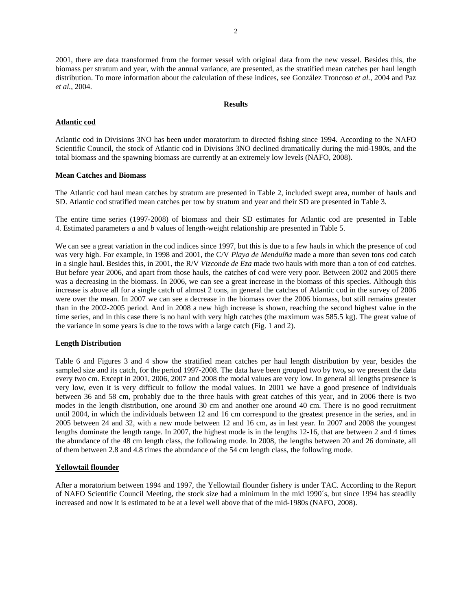2001, there are data transformed from the former vessel with original data from the new vessel. Besides this, the biomass per stratum and year, with the annual variance, are presented, as the stratified mean catches per haul length distribution. To more information about the calculation of these indices, see González Troncoso *et al.*, 2004 and Paz *et al.*, 2004.

#### **Results**

### **Atlantic cod**

Atlantic cod in Divisions 3NO has been under moratorium to directed fishing since 1994. According to the NAFO Scientific Council, the stock of Atlantic cod in Divisions 3NO declined dramatically during the mid-1980s, and the total biomass and the spawning biomass are currently at an extremely low levels (NAFO, 2008).

## **Mean Catches and Biomass**

The Atlantic cod haul mean catches by stratum are presented in Table 2, included swept area, number of hauls and SD. Atlantic cod stratified mean catches per tow by stratum and year and their SD are presented in Table 3.

The entire time series (1997-2008) of biomass and their SD estimates for Atlantic cod are presented in Table 4. Estimated parameters *a* and *b* values of length-weight relationship are presented in Table 5.

We can see a great variation in the cod indices since 1997, but this is due to a few hauls in which the presence of cod was very high. For example, in 1998 and 2001, the C/V *Playa de Menduíña* made a more than seven tons cod catch in a single haul. Besides this, in 2001, the R/V *Vizconde de Eza* made two hauls with more than a ton of cod catches. But before year 2006, and apart from those hauls, the catches of cod were very poor. Between 2002 and 2005 there was a decreasing in the biomass. In 2006, we can see a great increase in the biomass of this species. Although this increase is above all for a single catch of almost 2 tons, in general the catches of Atlantic cod in the survey of 2006 were over the mean. In 2007 we can see a decrease in the biomass over the 2006 biomass, but still remains greater than in the 2002-2005 period. And in 2008 a new high increase is shown, reaching the second highest value in the time series, and in this case there is no haul with very high catches (the maximum was 585.5 kg). The great value of the variance in some years is due to the tows with a large catch (Fig. 1 and 2).

### **Length Distribution**

Table 6 and Figures 3 and 4 show the stratified mean catches per haul length distribution by year, besides the sampled size and its catch, for the period 1997-2008. The data have been grouped two by two**,** so we present the data every two cm. Except in 2001, 2006, 2007 and 2008 the modal values are very low. In general all lengths presence is very low, even it is very difficult to follow the modal values. In 2001 we have a good presence of individuals between 36 and 58 cm, probably due to the three hauls with great catches of this year, and in 2006 there is two modes in the length distribution, one around 30 cm and another one around 40 cm. There is no good recruitment until 2004, in which the individuals between 12 and 16 cm correspond to the greatest presence in the series, and in 2005 between 24 and 32, with a new mode between 12 and 16 cm, as in last year. In 2007 and 2008 the youngest lengths dominate the length range. In 2007, the highest mode is in the lengths 12-16, that are between 2 and 4 times the abundance of the 48 cm length class, the following mode. In 2008, the lengths between 20 and 26 dominate, all of them between 2.8 and 4.8 times the abundance of the 54 cm length class, the following mode.

### **Yellowtail flounder**

After a moratorium between 1994 and 1997, the Yellowtail flounder fishery is under TAC. According to the Report of NAFO Scientific Council Meeting, the stock size had a minimum in the mid 1990´s, but since 1994 has steadily increased and now it is estimated to be at a level well above that of the mid-1980s (NAFO, 2008).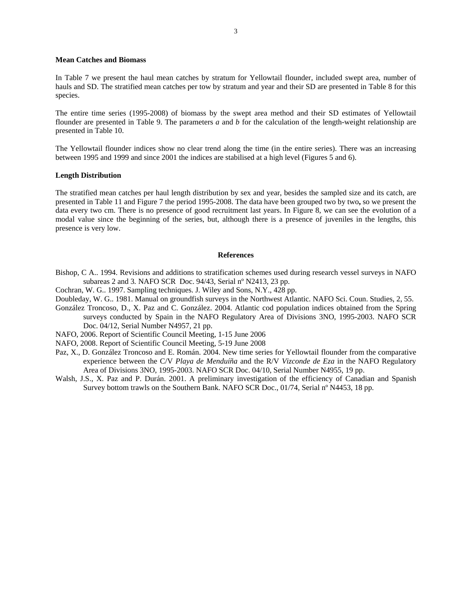## **Mean Catches and Biomass**

In Table 7 we present the haul mean catches by stratum for Yellowtail flounder, included swept area, number of hauls and SD. The stratified mean catches per tow by stratum and year and their SD are presented in Table 8 for this species.

The entire time series (1995-2008) of biomass by the swept area method and their SD estimates of Yellowtail flounder are presented in Table 9. The parameters *a* and *b* for the calculation of the length-weight relationship are presented in Table 10.

The Yellowtail flounder indices show no clear trend along the time (in the entire series). There was an increasing between 1995 and 1999 and since 2001 the indices are stabilised at a high level (Figures 5 and 6).

#### **Length Distribution**

The stratified mean catches per haul length distribution by sex and year, besides the sampled size and its catch, are presented in Table 11 and Figure 7 the period 1995-2008. The data have been grouped two by two**,** so we present the data every two cm. There is no presence of good recruitment last years. In Figure 8, we can see the evolution of a modal value since the beginning of the series, but, although there is a presence of juveniles in the lengths, this presence is very low.

## **References**

- Bishop, C A.. 1994. Revisions and additions to stratification schemes used during research vessel surveys in NAFO subareas 2 and 3*.* NAFO SCR Doc. 94/43, Serial nº N2413, 23 pp.
- Cochran, W. G.. 1997. Sampling techniques. J. Wiley and Sons, N.Y., 428 pp.
- Doubleday, W. G.. 1981. Manual on groundfish surveys in the Northwest Atlantic. NAFO Sci. Coun. Studies, 2, 55.
- González Troncoso, D., X. Paz and C. González. 2004. Atlantic cod population indices obtained from the Spring surveys conducted by Spain in the NAFO Regulatory Area of Divisions 3NO, 1995-2003. NAFO SCR Doc. 04/12, Serial Number N4957, 21 pp.
- NAFO, 2006. Report of Scientific Council Meeting, 1-15 June 2006
- NAFO, 2008. Report of Scientific Council Meeting, 5-19 June 2008
- Paz, X., D. González Troncoso and E. Román. 2004. New time series for Yellowtail flounder from the comparative experience between the C/V *Playa de Menduíña* and the R/V *Vizconde de Eza* in the NAFO Regulatory Area of Divisions 3NO, 1995-2003. NAFO SCR Doc. 04/10, Serial Number N4955, 19 pp.
- Walsh, J.S., X. Paz and P. Durán. 2001. A preliminary investigation of the efficiency of Canadian and Spanish Survey bottom trawls on the Southern Bank. NAFO SCR Doc., 01/74, Serial nº N4453, 18 pp.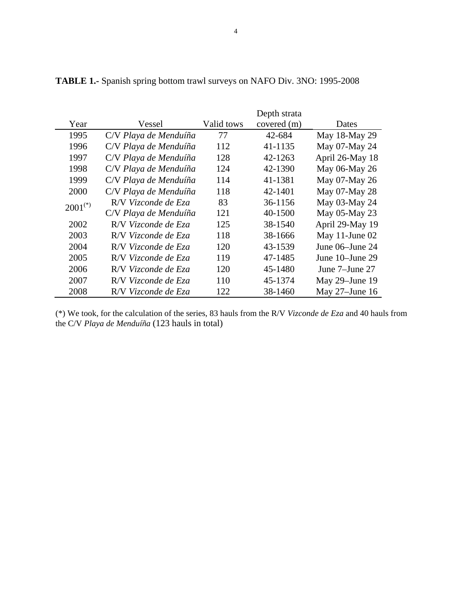| Year         |                       | Valid tows | Depth strata |                   |
|--------------|-----------------------|------------|--------------|-------------------|
|              | Vessel                |            | covered (m)  | Dates             |
| 1995         | C/V Playa de Menduíña | 77         | 42-684       | May 18-May 29     |
| 1996         | C/V Playa de Menduíña | 112        | 41-1135      | May 07-May 24     |
| 1997         | C/V Playa de Menduíña | 128        | 42-1263      | April 26-May 18   |
| 1998         | C/V Playa de Menduíña | 124        | 42-1390      | May 06-May 26     |
| 1999         | C/V Playa de Menduíña | 114        | 41-1381      | May 07-May 26     |
| 2000         | C/V Playa de Menduíña | 118        | 42-1401      | May 07-May 28     |
| $2001^{(*)}$ | R/V Vizconde de Eza   | 83         | 36-1156      | May 03-May 24     |
|              | C/V Playa de Menduíña | 121        | 40-1500      | May 05-May 23     |
| 2002         | R/V Vizconde de Eza   | 125        | 38-1540      | April 29-May 19   |
| 2003         | R/V Vizconde de Eza   | 118        | 38-1666      | May 11-June 02    |
| 2004         | R/V Vizconde de Eza   | 120        | 43-1539      | June 06–June 24   |
| 2005         | R/V Vizconde de Eza   | 119        | 47-1485      | June 10–June 29   |
| 2006         | R/V Vizconde de Eza   | 120        | 45-1480      | June 7–June 27    |
| 2007         | R/V Vizconde de Eza   | 110        | 45-1374      | May 29–June 19    |
| 2008         | R/V Vizconde de Eza   | 122        | 38-1460      | May $27$ –June 16 |

**TABLE 1.-** Spanish spring bottom trawl surveys on NAFO Div. 3NO: 1995-2008

(\*) We took, for the calculation of the series, 83 hauls from the R/V *Vizconde de Eza* and 40 hauls from the C/V *Playa de Menduíña* (123 hauls in total)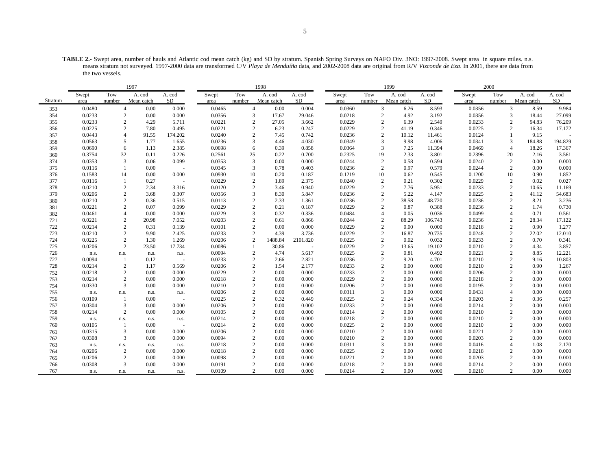**TABLE 2.-** Swept area, number of hauls and Atlantic cod mean catch (kg) and SD by stratum. Spanish Spring Surveys on NAFO Div. 3NO: 1997-2008. Swept area in square miles. n.s. means stratum not surveyed. 1997-2000 data are transformed C/V *Playa de Menduíña* data, and 2002-2008 data are original from R/V *Vizconde de Eza*. In 2001, there are data from the two vessels.

|         | 1997   |                |            |                          |        | 1998       |                        |          |        | 1999           |                        |         | 2000   |                        |                        |           |
|---------|--------|----------------|------------|--------------------------|--------|------------|------------------------|----------|--------|----------------|------------------------|---------|--------|------------------------|------------------------|-----------|
|         | Swept  | Tow            | A. cod     | A. cod                   | Swept  | Tow        | A. cod                 | A. cod   | Swept  | Tow            | A. cod                 | A. cod  | Swept  | Tow                    | A. cod                 | A. cod    |
| Stratum | area   | number         | Mean catch | SD.                      | area   | number     | Mean catch             | SD       | area   | number         | Mean catch             | SD      | area   | number                 | Mean catch             | <b>SD</b> |
| 353     | 0.0480 | $\overline{4}$ | 0.00       | 0.000                    | 0.0465 |            | $\overline{4}$<br>0.00 | 0.004    | 0.0360 |                | 3<br>6.26              | 8.593   | 0.0356 |                        | 3<br>8.59              | 9.984     |
| 354     | 0.0233 | $\overline{c}$ | 0.00       | 0.000                    | 0.0356 |            | 3<br>17.67             | 29.046   | 0.0218 | $\overline{2}$ | 4.92                   | 3.192   | 0.0356 | 3                      | 18.44                  | 27.099    |
| 355     | 0.0233 | $\overline{c}$ | 4.29       | 5.711                    | 0.0221 |            | 2<br>27.05             | 3.662    | 0.0229 | 2              | 6.39                   | 2.549   | 0.0233 | $\overline{c}$         | 94.83                  | 76.209    |
| 356     | 0.0225 | $\overline{c}$ | 7.80       | 0.495                    | 0.0221 |            | $\overline{2}$<br>6.23 | 0.247    | 0.0229 | $\overline{2}$ | 41.19                  | 0.346   | 0.0225 | $\overline{2}$         | 16.34                  | 17.172    |
| 357     | 0.0443 | $\overline{4}$ | 91.55      | 174.202                  | 0.0240 |            | $\overline{c}$<br>7.45 | 0.742    | 0.0236 | $\overline{2}$ | 10.12                  | 11.461  | 0.0124 | -1                     | 9.15                   |           |
| 358     | 0.0563 | 5              | 1.77       | 1.655                    | 0.0236 | 3          | 4.46                   | 4.030    | 0.0349 | 3              | 9.98                   | 4.006   | 0.0341 | 3                      | 184.88                 | 194.829   |
| 359     | 0.0690 | 6              | 1.13       | 2.385                    | 0.0698 |            | 0.39<br>6              | 0.858    | 0.0364 | 3              | 7.25                   | 11.394  | 0.0469 | $\overline{4}$         | 18.26                  | 17.367    |
| 360     | 0.3754 | 32             | 0.11       | 0.226                    | 0.2561 | 25         | 0.22                   | 0.700    | 0.2325 | 19             | 2.33                   | 3.801   | 0.2396 | 20                     | 2.16                   | 3.561     |
| 374     | 0.0353 | 3              | 0.06       | 0.099                    | 0.0353 | 3          | 0.00                   | 0.000    | 0.0244 | $\overline{c}$ | 0.58                   | 0.594   | 0.0240 |                        | $\overline{2}$<br>0.00 | 0.000     |
| 375     | 0.0116 |                | 0.00       |                          | 0.0345 | 3          | 0.78                   | 0.403    | 0.0236 | 2              | 0.97                   | 0.579   | 0.0244 | $\overline{c}$         | 0.00                   | 0.000     |
| 376     | 0.1583 | 14             | 0.00       | 0.000                    | 0.0930 | 10         | 0.20                   | 0.187    | 0.1219 | 10             | 0.62                   | 0.545   | 0.1200 | 10                     | 0.90                   | 1.852     |
| 377     | 0.0116 | $\mathbf{1}$   | 0.27       | $\sim$                   | 0.0229 |            | 2<br>1.89              | 2.375    | 0.0240 | $\overline{c}$ | 0.21                   | 0.302   | 0.0229 |                        | $\overline{2}$<br>0.02 | 0.027     |
| 378     | 0.0210 | $\overline{c}$ | 2.34       | 3.316                    | 0.0120 |            | 2<br>3.46              | 0.940    | 0.0229 | $\overline{c}$ | 7.76                   | 5.951   | 0.0233 | $\overline{2}$         | 10.65                  | 11.169    |
| 379     | 0.0206 | $\overline{c}$ | 3.68       | 0.307                    | 0.0356 |            | 8.30<br>3              | 5.847    | 0.0236 | 2              | 5.22                   | 4.147   | 0.0225 |                        | 2<br>41.12             | 54.683    |
| 380     | 0.0210 | $\overline{c}$ | 0.36       | 0.515                    | 0.0113 |            | $\overline{2}$<br>2.33 | 1.361    | 0.0236 | $\overline{2}$ | 38.58                  | 48.720  | 0.0236 |                        | $\overline{c}$<br>8.21 | 3.236     |
| 381     | 0.0221 | 2              | 0.07       | 0.099                    | 0.0229 |            | 2<br>0.21              | 0.187    | 0.0229 |                | 2<br>0.87              | 0.388   | 0.0236 |                        | 2<br>1.74              | 0.730     |
| 382     | 0.0461 | $\overline{4}$ | 0.00       | 0.000                    | 0.0229 |            | 3<br>0.32              | 0.336    | 0.0484 | $\overline{4}$ | 0.05                   | 0.036   | 0.0499 | $\overline{4}$         | 0.71                   | 0.561     |
| 721     | 0.0221 | $\overline{2}$ | 20.98      | 7.052                    | 0.0203 |            | $\overline{c}$<br>0.61 | 0.866    | 0.0244 | $\overline{2}$ | 88.29                  | 106.743 | 0.0236 | $\overline{2}$         | 28.34                  | 17.122    |
| 722     | 0.0214 | $\overline{c}$ | 0.31       | 0.139                    | 0.0101 |            | $\overline{2}$<br>0.00 | 0.000    | 0.0229 |                | 2<br>0.00              | 0.000   | 0.0218 | $\overline{2}$         | 0.90                   | 1.277     |
| 723     | 0.0210 | $\overline{c}$ | 9.90       | 2.425                    | 0.0233 |            | 2<br>4.39              | 3.736    | 0.0229 | $\overline{c}$ | 16.87                  | 20.735  | 0.0248 |                        | 2<br>22.02             | 12.010    |
| 724     | 0.0225 | $\sqrt{2}$     | 1.30       | 1.269                    | 0.0206 | $\sqrt{2}$ | 1488.84                | 2101.820 | 0.0225 | $\overline{c}$ | 0.02                   | 0.032   | 0.0233 | $\overline{2}$         | 0.70                   | 0.341     |
| 725     | 0.0206 | $\overline{2}$ | 23.50      | 17.734                   | 0.0086 | 1          | 30.86                  | $\sim$   | 0.0229 | $\overline{c}$ | 13.65                  | 19.102  | 0.0210 | $\overline{2}$         | 4.34                   | 3.857     |
| 726     | n.s.   | n.s.           | n.s.       | n.s.                     | 0.0094 |            | $\overline{c}$<br>4.74 | 5.617    | 0.0225 | $\overline{2}$ | 0.81                   | 0.492   | 0.0221 | $\overline{2}$         | 8.85                   | 12.221    |
| 727     | 0.0094 | -1             | 0.12       | <b>.</b>                 | 0.0233 |            | $\overline{c}$<br>2.66 | 2.821    | 0.0236 | $\mathbf{2}$   | 9.20                   | 4.701   | 0.0210 | $\overline{2}$         | 9.16                   | 10.803    |
| 728     | 0.0214 | $\overline{c}$ | 1.17       | 0.569                    | 0.0206 |            | $\overline{c}$<br>1.54 | 2.177    | 0.0233 |                | 2<br>0.00              | 0.000   | 0.0210 | $\overline{2}$         | 0.90                   | 1.267     |
| 752     | 0.0218 | $\overline{c}$ | 0.00       | 0.000                    | 0.0229 |            | $\overline{c}$<br>0.00 | 0.000    | 0.0233 |                | $\overline{c}$<br>0.00 | 0.000   | 0.0206 |                        | $\overline{c}$<br>0.00 | 0.000     |
| 753     | 0.0214 | $\overline{c}$ | 0.00       | 0.000                    | 0.0218 |            | $\overline{c}$<br>0.00 | 0.000    | 0.0229 |                | $\overline{c}$<br>0.00 | 0.000   | 0.0218 | $\overline{2}$         | 0.00                   | 0.000     |
| 754     | 0.0330 | 3              | 0.00       | 0.000                    | 0.0210 |            | 2<br>0.00              | 0.000    | 0.0206 |                | $\overline{2}$<br>0.00 | 0.000   | 0.0195 |                        | $\overline{2}$<br>0.00 | 0.000     |
| 755     | n.s.   | n.s.           | n.s.       | n.s.                     | 0.0206 |            | 2<br>0.00              | 0.000    | 0.0311 | 3              | 0.00                   | 0.000   | 0.0431 | $\overline{4}$         | 0.00                   | 0.000     |
| 756     | 0.0109 | -1             | 0.00       |                          | 0.0225 |            | 2<br>0.32              | 0.449    | 0.0225 | $\overline{2}$ | 0.24                   | 0.334   | 0.0203 | $\overline{2}$         | 0.36                   | 0.257     |
| 757     | 0.0304 | 3              | 0.00       | 0.000                    | 0.0206 |            | 2<br>0.00              | 0.000    | 0.0233 | 2              | 0.00                   | 0.000   | 0.0214 |                        | 2<br>0.00              | 0.000     |
| 758     | 0.0214 | $\overline{2}$ | 0.00       | 0.000                    | 0.0105 |            | 2<br>0.00              | 0.000    | 0.0214 |                | $\overline{c}$<br>0.00 | 0.000   | 0.0210 |                        | $\overline{2}$<br>0.00 | 0.000     |
| 759     | n.s.   | n.s.           | n.s.       | n.s.                     | 0.0214 |            | $\overline{c}$<br>0.00 | 0.000    | 0.0218 | $\overline{2}$ | 0.00                   | 0.000   | 0.0210 |                        | 0.00<br>2              | 0.000     |
| 760     | 0.0105 | -1             | 0.00       | $\overline{\phantom{a}}$ | 0.0214 |            | 2<br>0.00              | 0.000    | 0.0225 | 2              | 0.00                   | 0.000   | 0.0210 | $\mathcal{D}_{\alpha}$ | 0.00                   | 0.000     |
| 761     | 0.0315 | 3              | 0.00       | 0.000                    | 0.0206 |            | $\overline{2}$<br>0.00 | 0.000    | 0.0210 | $\overline{2}$ | 0.00                   | 0.000   | 0.0221 | $\overline{2}$         | 0.00                   | 0.000     |
| 762     | 0.0308 | 3              | 0.00       | 0.000                    | 0.0094 |            | $\overline{c}$<br>0.00 | 0.000    | 0.0210 |                | 0.00<br>2              | 0.000   | 0.0203 | $\overline{2}$         | 0.00                   | 0.000     |
| 763     | n.s.   | n.s.           | n.s.       | n.s.                     | 0.0218 |            | 2<br>0.00              | 0.000    | 0.0311 | 3              | 0.00                   | 0.000   | 0.0416 | $\overline{4}$         | 1.08                   | 2.170     |
| 764     | 0.0206 | $\mathbf{2}$   | 0.00       | 0.000                    | 0.0218 |            | $\overline{c}$<br>0.00 | 0.000    | 0.0225 | $\overline{2}$ | 0.00                   | 0.000   | 0.0218 | $\overline{2}$         | 0.00                   | 0.000     |
| 765     | 0.0206 | $\overline{2}$ | 0.00       | 0.000                    | 0.0098 |            | 2<br>0.00              | 0.000    | 0.0221 | $\overline{c}$ | 0.00                   | 0.000   | 0.0203 | $\overline{2}$         | 0.00                   | 0.000     |
| 766     | 0.0308 | 3              | 0.00       | 0.000                    | 0.0191 |            | $\overline{c}$<br>0.00 | 0.000    | 0.0218 | $\overline{2}$ | 0.00                   | 0.000   | 0.0214 | $\overline{2}$         | 0.00                   | 0.000     |
| 767     | n.s.   | n.s.           | n.s.       | n.s.                     | 0.0109 |            | $\overline{c}$<br>0.00 | 0.000    | 0.0214 | $\overline{2}$ | 0.00                   | 0.000   | 0.0210 |                        | $\overline{2}$<br>0.00 | 0.000     |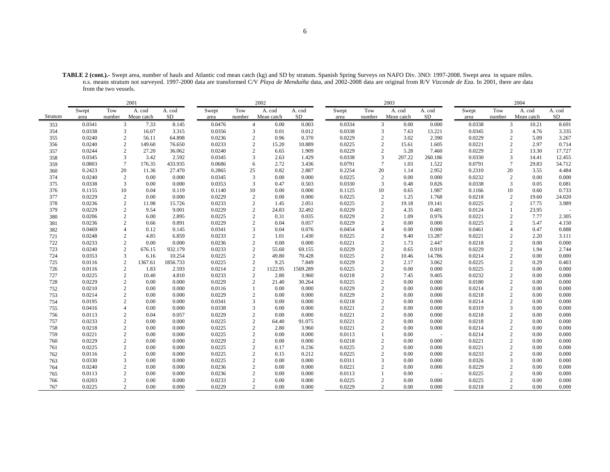|         | 2001   |                |            |          | 2002   |                |            |          | 2003   |                        |            |                          | 2004   |                |                        |        |
|---------|--------|----------------|------------|----------|--------|----------------|------------|----------|--------|------------------------|------------|--------------------------|--------|----------------|------------------------|--------|
|         | Swept  | Tow            | A. cod     | A. cod   | Swept  | Tow            | A. cod     | A. cod   | Swept  | Tow                    | A. cod     | A. cod                   | Swept  | Tow            | A. cod                 | A. cod |
| Stratum | area   | number         | Mean catch | SD       | area   | number         | Mean catch | SD       | area   | number                 | Mean catch | SD                       | area   | number         | Mean catch             | SD     |
| 353     | 0.0341 | 3              | 7.33       | 8.145    | 0.0476 | $\overline{4}$ | 0.00       | 0.003    | 0.0334 | $\mathfrak{Z}$         | 0.00       | 0.000                    | 0.0338 |                | 3<br>10.21             | 8.691  |
| 354     | 0.0338 | 3              | 16.07      | 3.315    | 0.0356 | 3              | 0.01       | 0.012    | 0.0338 | 3                      | 7.63       | 13.221                   | 0.0345 | 3              | 4.76                   | 3.335  |
| 355     | 0.0240 | 2              | 56.11      | 64.898   | 0.0236 | $\overline{2}$ | 0.96       | 0.370    | 0.0229 | $\mathfrak{2}$         | 3.02       | 2.390                    | 0.0229 | $\overline{c}$ | 5.09                   | 3.267  |
| 356     | 0.0240 | $\sqrt{2}$     | 149.60     | 76.650   | 0.0233 | $\overline{2}$ | 15.20      | 10.889   | 0.0225 | $\mathbf{2}$           | 15.61      | 1.605                    | 0.0221 | $\sqrt{2}$     | 2.97                   | 0.714  |
| 357     | 0.0244 | $\overline{2}$ | 27.20      | 36.062   | 0.0240 | $\overline{2}$ | 6.65       | 1.909    | 0.0229 | $\overline{c}$         | 5.28       | 7.460                    | 0.0229 | 2              | 13.30                  | 17.727 |
| 358     | 0.0345 | 3              | 3.42       | 2.592    | 0.0345 | 3              | 2.63       | 1.429    | 0.0338 | 3                      | 207.22     | 260.186                  | 0.0330 | 3              | 14.41                  | 12.455 |
| 359     | 0.0803 | $\overline{7}$ | 176.35     | 433.935  | 0.0686 | 6              | 2.72       | 3.436    | 0.0791 | $\tau$                 | 1.03       | 1.522                    | 0.0791 | $\tau$         | 29.83                  | 54.712 |
| 360     | 0.2423 | 20             | 11.36      | 27.470   | 0.2865 | 25             | 0.82       | 2.887    | 0.2254 | 20                     | 1.14       | 2.952                    | 0.2310 | 20             | 3.55                   | 4.484  |
| 374     | 0.0240 | 2              | 0.00       | 0.000    | 0.0345 | 3              | 0.00       | 0.000    | 0.0225 | 2                      | 0.00       | 0.000                    | 0.0232 | 2              | 0.00                   | 0.000  |
| 375     | 0.0338 | 3              | 0.00       | 0.000    | 0.0353 | 3              | 0.47       | 0.503    | 0.0330 | 3                      | 0.48       | 0.826                    | 0.0338 | 3              | 0.05                   | 0.081  |
| 376     | 0.1155 | 10             | 0.04       | 0.119    | 0.1140 | 10             | 0.00       | 0.000    | 0.1125 | 10                     | 0.65       | 1.987                    | 0.1166 | 10             | 0.60                   | 0.733  |
| 377     | 0.0229 | 2              | 0.00       | 0.000    | 0.0229 | $\overline{2}$ | 0.00       | 0.000    | 0.0225 | $\overline{c}$         | 1.25       | 1.768                    | 0.0218 | $\sqrt{2}$     | 19.60                  | 24.020 |
| 378     | 0.0236 | $\overline{c}$ | 11.98      | 15.726   | 0.0233 | $\overline{2}$ | 1.45       | 2.051    | 0.0225 | $\overline{c}$         | 19.18      | 19.141                   | 0.0225 | $\overline{c}$ | 17.75                  | 3.989  |
| 379     | 0.0229 | 2              | 9.54       | 9.001    | 0.0229 | $\overline{c}$ | 24.83      | 32.492   | 0.0229 | 2                      | 4.35       | 0.481                    | 0.0124 | $\mathbf{1}$   | 23.95                  |        |
| 380     | 0.0206 | $\overline{2}$ | 6.00       | 2.895    | 0.0225 | $\overline{2}$ | 0.31       | 0.035    | 0.0229 | $\overline{2}$         | 1.09       | 0.976                    | 0.0221 | $\sqrt{2}$     | 7.77                   | 2.305  |
| 381     | 0.0236 | $\overline{2}$ | 0.66       | 0.891    | 0.0229 | $\overline{2}$ | 0.04       | 0.057    | 0.0229 | $\overline{2}$         | 0.00       | 0.000                    | 0.0225 |                | 5.47<br>2              | 4.150  |
| 382     | 0.0469 | $\overline{A}$ | 0.12       | 0.145    | 0.0341 | 3              | 0.04       | 0.076    | 0.0454 | $\overline{4}$         | 0.00       | 0.000                    | 0.0461 | $\overline{4}$ | 0.47                   | 0.888  |
| 721     | 0.0248 |                | 4.85       | 6.859    | 0.0233 | $\overline{2}$ | 1.01       | 1.430    | 0.0225 | $\overline{2}$         | 9.40       | 13.287                   | 0.0221 | $\overline{c}$ | 2.20                   | 3.111  |
| 722     | 0.0233 | 2              | 0.00       | 0.000    | 0.0236 | $\overline{c}$ | 0.00       | 0.000    | 0.0221 | $\overline{c}$         | 1.73       | 2.447                    | 0.0218 | $\overline{2}$ | 0.00                   | 0.000  |
| 723     | 0.0240 | $\overline{c}$ | 676.15     | 932.179  | 0.0233 | $\overline{2}$ | 55.60      | 69.155   | 0.0229 | $\overline{2}$         | 0.65       | 0.919                    | 0.0229 | $\overline{2}$ | 1.94                   | 2.744  |
| 724     | 0.0353 | 3              | 6.16       | 10.254   | 0.0225 | $\overline{2}$ | 49.80      | 70.428   | 0.0225 | $\overline{2}$         | 10.46      | 14.786                   | 0.0214 | $\overline{c}$ | 0.00                   | 0.000  |
| 725     | 0.0116 | $\sqrt{2}$     | 1367.61    | 1856.733 | 0.0225 | $\overline{2}$ | 9.25       | 7.849    | 0.0229 | $\overline{c}$         | 2.17       | 3.062                    | 0.0225 | $\overline{c}$ | 0.29                   | 0.403  |
| 726     | 0.0116 | 2              | 1.83       | 2.593    | 0.0214 | $\overline{2}$ | 1122.95    | 1569.289 | 0.0225 | $\overline{c}$         | 0.00       | 0.000                    | 0.0225 |                | 2<br>0.00              | 0.000  |
| 727     | 0.0225 | 2              | 10.40      | 4.810    | 0.0233 | $\overline{2}$ | 2.80       | 3.960    | 0.0218 | $\overline{c}$         | 7.45       | 9.405                    | 0.0232 | $\overline{c}$ | 0.00                   | 0.000  |
| 728     | 0.0229 | $\overline{c}$ | 0.00       | 0.000    | 0.0229 | $\overline{c}$ | 21.40      | 30.264   | 0.0225 | 2                      | 0.00       | 0.000                    | 0.0180 |                | 2<br>0.00              | 0.000  |
| 752     | 0.0210 | 2              | 0.00       | 0.000    | 0.0116 |                | 0.00       | 0.000    | 0.0229 | $\overline{2}$         | 0.00       | 0.000                    | 0.0214 | $\overline{c}$ | 0.00                   | 0.000  |
| 753     | 0.0214 | 2              | 0.00       | 0.000    | 0.0229 | $\overline{2}$ | 0.00       | 0.000    | 0.0229 | $\mathcal{D}_{\alpha}$ | 0.00       | 0.000                    | 0.0218 | $\overline{2}$ | 0.00                   | 0.000  |
| 754     | 0.0195 | $\overline{c}$ | 0.00       | 0.000    | 0.0341 | 3              | 0.00       | 0.000    | 0.0218 | $\overline{2}$         | 0.00       | 0.000                    | 0.0214 |                | $\overline{c}$<br>0.00 | 0.000  |
| 755     | 0.0416 | $\overline{4}$ | 0.00       | 0.000    | 0.0338 | 3              | 0.00       | 0.000    | 0.0221 | $\overline{2}$         | 0.00       | 0.000                    | 0.0319 | 3              | 0.00                   | 0.000  |
| 756     | 0.0113 | 2              | 0.04       | 0.057    | 0.0229 | $\overline{c}$ | 0.00       | 0.000    | 0.0221 | 2                      | 0.00       | 0.000                    | 0.0218 | $\mathbf{2}$   | 0.00                   | 0.000  |
| 757     | 0.0233 | 2              | 0.00       | 0.000    | 0.0225 | $\overline{2}$ | 64.40      | 91.075   | 0.0221 | $\overline{c}$         | 0.00       | 0.000                    | 0.0218 |                | $\overline{c}$<br>0.00 | 0.000  |
| 758     | 0.0218 | 2              | 0.00       | 0.000    | 0.0225 | $\overline{2}$ | 2.80       | 3.960    | 0.0221 | $\overline{c}$         | 0.00       | 0.000                    | 0.0214 |                | 0.00<br>$\overline{c}$ | 0.000  |
| 759     | 0.0221 | $\mathbf{2}$   | 0.00       | 0.000    | 0.0225 | $\overline{2}$ | 0.00       | 0.000    | 0.0113 |                        | 0.00       | $\overline{\phantom{a}}$ | 0.0214 | $\mathbf{2}$   | 0.00                   | 0.000  |
| 760     | 0.0229 | $\overline{2}$ | 0.00       | 0.000    | 0.0229 | $\overline{2}$ | 0.00       | 0.000    | 0.0218 | $\overline{2}$         | 0.00       | 0.000                    | 0.0221 | $\overline{c}$ | 0.00                   | 0.000  |
| 761     | 0.0225 | 2              | 0.00       | 0.000    | 0.0225 | $\overline{c}$ | 0.17       | 0.236    | 0.0225 | $\overline{c}$         | 0.00       | 0.000                    | 0.0221 | $\overline{2}$ | 0.00                   | 0.000  |
| 762     | 0.0116 | $\overline{c}$ | 0.00       | 0.000    | 0.0225 | $\overline{2}$ | 0.15       | 0.212    | 0.0225 | $\overline{2}$         | 0.00       | 0.000                    | 0.0233 | $\overline{c}$ | 0.00                   | 0.000  |
| 763     | 0.0330 | 3              | 0.00       | 0.000    | 0.0225 |                | 0.00       | 0.000    | 0.0311 | 3                      | 0.00       | 0.000                    | 0.0326 | 3              | 0.00                   | 0.000  |
| 764     | 0.0240 | $\overline{c}$ | 0.00       | 0.000    | 0.0236 | $\overline{2}$ | 0.00       | 0.000    | 0.0221 | $\overline{2}$         | 0.00       | 0.000                    | 0.0229 | $\overline{c}$ | 0.00                   | 0.000  |
| 765     | 0.0113 |                | 0.00       | 0.000    | 0.0236 |                | 0.00       | 0.000    | 0.0113 |                        | 0.00       | $\overline{\phantom{a}}$ | 0.0225 | $\overline{c}$ | 0.00                   | 0.000  |
| 766     | 0.0203 | 2              | 0.00       | 0.000    | 0.0233 | $\overline{c}$ | 0.00       | 0.000    | 0.0225 | $\overline{2}$         | 0.00       | 0.000                    | 0.0225 | $\overline{2}$ | 0.00                   | 0.000  |
| 767     | 0.0225 | 2              | 0.00       | 0.000    | 0.0229 | $\mathcal{D}$  | 0.00       | 0.000    | 0.0229 | $\mathcal{L}$          | 0.00       | 0.000                    | 0.0218 | $\mathcal{L}$  | 0.00                   | 0.000  |

**TABLE 2 (cont.).-** Swept area, number of hauls and Atlantic cod mean catch (kg) and SD by stratum. Spanish Spring Surveys on NAFO Div. 3NO: 1997-2008. Swept area in square miles. n.s. means stratum not surveyed. 1997-2000 data are transformed C/V *Playa de Menduíña* data, and 2002-2008 data are original from R/V *Vizconde de Eza*. In 2001, there are data from the two vessels.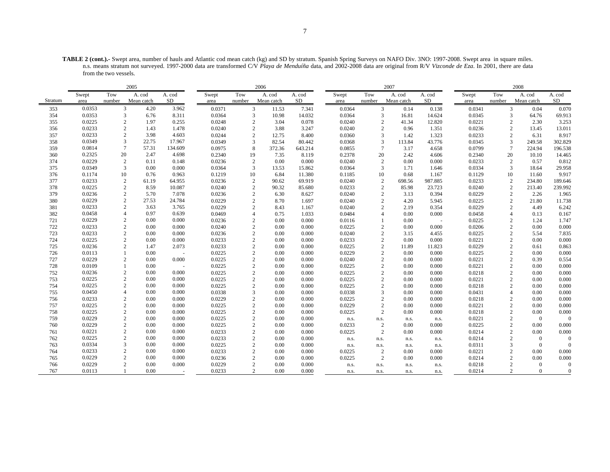**TABLE 2 (cont.).-** Swept area, number of hauls and Atlantic cod mean catch (kg) and SD by stratum. Spanish Spring Surveys on NAFO Div. 3NO: 1997-2008. Swept area in square miles. n.s. means stratum not surveyed. 1997-2000 data are transformed C/V *Playa de Menduíña* data, and 2002-2008 data are original from R/V *Vizconde de Eza*. In 2001, there are data from the two vessels.

|         |        |                | 2005       |                          |        |                | 2006                   |         |        |                | 2007       |           |        |                 | 2008           |                |
|---------|--------|----------------|------------|--------------------------|--------|----------------|------------------------|---------|--------|----------------|------------|-----------|--------|-----------------|----------------|----------------|
|         | Swept  | Tow            | A. cod     | A. cod                   | Swept  | Tow            | A. cod                 | A. cod  | Swept  | Tow            | A. cod     | A. cod    | Swept  | Tow             | A. cod         | A. cod         |
| Stratum | area   | number         | Mean catch | SD                       | area   | number         | Mean catch             | SD      | area   | number         | Mean catch | <b>SD</b> | area   | number          | Mean catch     | SD             |
| 353     | 0.0353 | 3              | 4.20       | 3.962                    | 0.0371 |                | 3<br>11.53             | 7.341   | 0.0364 | 3              | 0.14       | 0.138     | 0.0341 | 3               | 0.04           | 0.070          |
| 354     | 0.0353 | 3              | 6.76       | 8.311                    | 0.0364 | 3              | 10.98                  | 14.032  | 0.0364 | 3              | 16.81      | 14.624    | 0.0345 | 3               | 64.76          | 69.913         |
| 355     | 0.0225 | $\mathbf{2}$   | 1.97       | 0.255                    | 0.0248 | $\mathbf{2}$   | 3.04                   | 0.078   | 0.0240 | 2              | 41.34      | 12.820    | 0.0221 | $\overline{2}$  | 2.30           | 3.253          |
| 356     | 0.0233 | $\mathbf{2}$   | 1.43       | 1.478                    | 0.0240 | $\mathbf{2}$   | 3.88                   | 3.247   | 0.0240 | 2              | 0.96       | 1.351     | 0.0236 | $\overline{2}$  | 13.45          | 13.011         |
| 357     | 0.0233 | $\overline{2}$ | 3.98       | 4.603                    | 0.0244 |                | 2<br>12.75             | 8.400   | 0.0360 | 3              | 1.42       | 1.323     | 0.0233 | $\mathfrak{2}$  | 6.31           | 8.917          |
| 358     | 0.0349 | 3              | 22.75      | 17.967                   | 0.0349 | 3              | 82.54                  | 80.442  | 0.0368 | 3              | 113.84     | 43.776    | 0.0345 | 3               | 249.58         | 302.829        |
| 359     | 0.0814 | $\tau$         | 57.31      | 134.609                  | 0.0975 | 8              | 372.36                 | 643.214 | 0.0855 | $\overline{7}$ | 3.17       | 4.658     | 0.0799 | $7\phantom{.0}$ | 224.94         | 196.538        |
| 360     | 0.2325 | 20             | 2.47       | 4.698                    | 0.2340 | 19             | 7.35                   | 8.119   | 0.2378 | 20             | 2.42       | 4.606     | 0.2340 | 20              | 10.10          | 14.465         |
| 374     | 0.0229 | 2              | 0.11       | 0.148                    | 0.0236 | 2              | 0.00                   | 0.000   | 0.0240 | 2              | 0.00       | 0.000     | 0.0233 | $\overline{c}$  | 0.57           | 0.812          |
| 375     | 0.0349 | 3              | 0.00       | 0.000                    | 0.0364 | 3              | 13.53                  | 15.862  | 0.0364 | 3              | 1.71       | 1.646     | 0.0334 | 3               | 18.64          | 29.958         |
| 376     | 0.1174 | 10             | 0.76       | 0.963                    | 0.1219 | 10             | 6.84                   | 11.380  | 0.1185 | 10             | 0.68       | 1.167     | 0.1129 | 10              | 11.60          | 9.917          |
| 377     | 0.0233 | $\sqrt{2}$     | 61.19      | 64.955                   | 0.0236 | $\overline{c}$ | 90.62                  | 69.919  | 0.0240 | $\overline{c}$ | 698.56     | 987.885   | 0.0233 | $\overline{c}$  | 234.80         | 189.646        |
| 378     | 0.0225 | $\mathbf{2}$   | 8.59       | 10.087                   | 0.0240 | $\mathbf{2}$   | 90.32                  | 85.680  | 0.0233 | $\overline{c}$ | 85.98      | 23.723    | 0.0240 | $\sqrt{2}$      | 213.40         | 239.992        |
| 379     | 0.0236 | 2              | 5.70       | 7.078                    | 0.0236 | 2              | 6.30                   | 8.627   | 0.0240 | 2              | 3.13       | 0.394     | 0.0229 | $\overline{c}$  | 2.26           | 1.965          |
| 380     | 0.0229 | $\overline{2}$ | 27.53      | 24.784                   | 0.0229 | $\mathbf{2}$   | 8.70                   | 1.697   | 0.0240 |                | 4.20       | 5.945     | 0.0225 | $\overline{c}$  | 21.80          | 11.738         |
| 381     | 0.0233 | $\overline{2}$ | 3.63       | 3.765                    | 0.0229 | 2              | 8.43                   | 1.167   | 0.0240 |                | 2.19       | 0.354     | 0.0229 | $\overline{c}$  | 4.49           | 6.242          |
| 382     | 0.0458 | $\overline{4}$ | 0.97       | 0.639                    | 0.0469 | $\overline{A}$ | 0.75                   | 1.033   | 0.0484 |                | 0.00       | 0.000     | 0.0458 | $\overline{4}$  | 0.13           | 0.167          |
| 721     | 0.0229 | $\overline{2}$ | 0.00       | 0.000                    | 0.0236 | $\overline{2}$ | 0.00                   | 0.000   | 0.0116 |                | 0.00       | $\sim$    | 0.0225 | $\mathbf{2}$    | 1.24           | 1.747          |
| 722     | 0.0233 | $\overline{2}$ | 0.00       | 0.000                    | 0.0240 | $\mathbf{2}$   | 0.00                   | 0.000   | 0.0225 | $\overline{c}$ | 0.00       | 0.000     | 0.0206 | $\overline{c}$  | 0.00           | 0.000          |
| 723     | 0.0233 | $\overline{2}$ | 0.00       | 0.000                    | 0.0236 | $\mathbf{2}$   | 0.00                   | 0.000   | 0.0240 | 2              | 3.15       | 4.455     | 0.0225 | $\overline{c}$  | 5.54           | 7.835          |
| 724     | 0.0225 | $\overline{2}$ | 0.00       | 0.000                    | 0.0233 | $\sqrt{2}$     | 0.00                   | 0.000   | 0.0233 | $\overline{c}$ | 0.00       | 0.000     | 0.0221 | $\overline{c}$  | 0.00           | 0.000          |
| 725     | 0.0236 | $\overline{2}$ | 1.47       | 2.073                    | 0.0233 | 2              | 0.00                   | 0.000   | 0.0225 | 2              | 11.89      | 11.823    | 0.0229 | $\overline{c}$  | 0.61           | 0.863          |
| 726     | 0.0113 |                | 0.00       | $\overline{\phantom{a}}$ | 0.0225 | $\mathbf{2}$   | 0.00                   | 0.000   | 0.0229 | $\overline{c}$ | 0.00       | 0.000     | 0.0225 | $\overline{c}$  | 0.00           | 0.000          |
| 727     | 0.0229 | $\overline{2}$ | 0.00       | 0.000                    | 0.0225 | 2              | 0.00                   | 0.000   | 0.0240 |                | 0.00       | 0.000     | 0.0221 | $\overline{c}$  | 0.39           | 0.554          |
| 728     | 0.0109 | $\mathbf{1}$   | 0.00       |                          | 0.0225 | $\mathbf{2}$   | 0.00                   | 0.000   | 0.0225 | $\overline{c}$ | 0.00       | 0.000     | 0.0221 | $\overline{c}$  | 0.00           | 0.000          |
| 752     | 0.0236 | $\overline{2}$ | 0.00       | 0.000                    | 0.0225 | $\sqrt{2}$     | 0.00                   | 0.000   | 0.0225 | $\overline{c}$ | 0.00       | 0.000     | 0.0218 | $\overline{c}$  | 0.00           | 0.000          |
| 753     | 0.0225 | $\sqrt{2}$     | 0.00       | 0.000                    | 0.0225 | $\overline{c}$ | 0.00                   | 0.000   | 0.0225 |                | 0.00       | 0.000     | 0.0221 | $\overline{2}$  | 0.00           | 0.000          |
| 754     | 0.0225 | $\overline{2}$ | 0.00       | 0.000                    | 0.0225 | $\mathbf{2}$   | 0.00                   | 0.000   | 0.0225 | $\mathcal{D}$  | 0.00       | 0.000     | 0.0218 | $\overline{c}$  | 0.00           | 0.000          |
| 755     | 0.0450 | $\overline{4}$ | 0.00       | 0.000                    | 0.0338 | 3              | 0.00                   | 0.000   | 0.0338 |                | 0.00       | 0.000     | 0.0431 | $\overline{A}$  | 0.00           | 0.000          |
| 756     | 0.0233 | $\overline{2}$ | 0.00       | 0.000                    | 0.0229 |                | 2<br>0.00              | 0.000   | 0.0225 | $\overline{2}$ | 0.00       | 0.000     | 0.0218 | $\overline{c}$  | 0.00           | 0.000          |
| 757     | 0.0225 | $\sqrt{2}$     | 0.00       | 0.000                    | 0.0225 |                | $\overline{2}$<br>0.00 | 0.000   | 0.0229 | $\overline{c}$ | 0.00       | 0.000     | 0.0221 | $\overline{c}$  | 0.00           | 0.000          |
| 758     | 0.0225 | $\overline{c}$ | 0.00       | 0.000                    | 0.0225 | $\mathbf{2}$   | 0.00                   | 0.000   | 0.0225 | $\overline{c}$ | 0.00       | 0.000     | 0.0218 | $\overline{2}$  | 0.00           | 0.000          |
| 759     | 0.0229 | $\overline{2}$ | 0.00       | 0.000                    | 0.0225 | 2              | 0.00                   | 0.000   | n.s.   | n.s.           | n.s.       | n.s.      | 0.0221 | $\overline{2}$  | $\mathbf{0}$   | $\mathbf{0}$   |
| 760     | 0.0229 | 2              | 0.00       | 0.000                    | 0.0225 | $\mathbf{2}$   | 0.00                   | 0.000   | 0.0233 | $\overline{c}$ | 0.00       | 0.000     | 0.0225 | $\overline{c}$  | 0.00           | 0.000          |
| 761     | 0.0221 | $\overline{2}$ | 0.00       | 0.000                    | 0.0233 | $\overline{c}$ | 0.00                   | 0.000   | 0.0225 | $\overline{2}$ | 0.00       | 0.000     | 0.0214 | $\overline{2}$  | 0.00           | 0.000          |
| 762     | 0.0225 | $\overline{2}$ | 0.00       | 0.000                    | 0.0233 | 2              | 0.00                   | 0.000   | n.s.   | n.s.           | n.s.       | n.s.      | 0.0214 | $\overline{2}$  | $\mathbf{0}$   | $\mathbf{0}$   |
| 763     | 0.0334 | 3              | 0.00       | 0.000                    | 0.0225 | $\sqrt{2}$     | 0.00                   | 0.000   | n.s.   | n.s.           | n.s.       | n.s.      | 0.0311 | 3               | $\mathbf{0}$   | $\mathbf{0}$   |
| 764     | 0.0233 | $\overline{c}$ | 0.00       | 0.000                    | 0.0233 | $\mathbf{2}$   | 0.00                   | 0.000   | 0.0225 | $\overline{c}$ | 0.00       | 0.000     | 0.0221 | $\overline{2}$  | 0.00           | 0.000          |
| 765     | 0.0229 | $\overline{2}$ | 0.00       | 0.000                    | 0.0236 | 2              | 0.00                   | 0.000   | 0.0225 | 2              | 0.00       | 0.000     | 0.0214 | $\overline{2}$  | 0.00           | 0.000          |
| 766     | 0.0229 | $\overline{c}$ | 0.00       | 0.000                    | 0.0229 | $\mathbf{2}$   | 0.00                   | 0.000   | n.s.   | n.s.           | n.s.       | n.s.      | 0.0218 | $\overline{2}$  | $\mathbf{0}$   | $\mathbf{0}$   |
| 767     | 0.0113 |                | 0.00       |                          | 0.0233 |                | $\overline{2}$<br>0.00 | 0.000   | n.s.   | n.s.           | n.s.       | n.s.      | 0.0214 | $\overline{2}$  | $\overline{0}$ | $\overline{0}$ |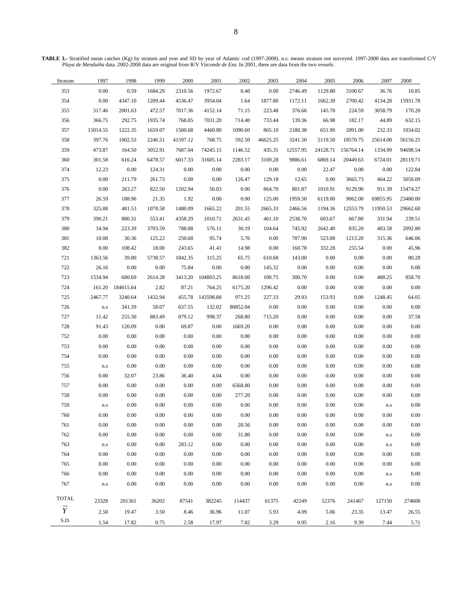**TABLE 3.-** Stratified mean catches (Kg) by stratum and year and SD by year of Atlantic cod (1997-2008). n.s. means stratum not surveyed. 1997-2000 data are transformed C/V *Playa de Menduíña* data. 2002-2008 data are original from R/V *Vizconde de Eza*. In 2001, there are data from the two vessels.

| Stratum        | 1997                    | 1998             | 1999     | 2000     | 2001      | 2002     | 2003     | 2004     | 2005     | 2006      | 2007                        | 2008     |
|----------------|-------------------------|------------------|----------|----------|-----------|----------|----------|----------|----------|-----------|-----------------------------|----------|
| 353            | $0.00\,$                | 0.59             | 1684.29  | 2310.56  | 1972.67   | 0.40     | 0.00     | 2746.49  | 1129.80  | 3100.67   | 36.76                       | 10.85    |
| 354            | $0.00\,$                | 4347.10          | 1209.44  | 4536.47  | 3954.04   | 1.64     | 1877.80  | 1172.11  | 1662.39  | 2700.42   | 4134.28                     | 15931.78 |
| 355            | 317.46                  | 2001.63          | 472.57   | 7017.36  | 4152.14   | 71.15    | 223.48   | 376.66   | 145.78   | 224.59    | 3058.79                     | 170.20   |
| 356            | 366.75                  | 292.75           | 1935.74  | 768.05   | 7031.20   | 714.40   | 733.44   | 139.36   | 66.98    | 182.17    | 44.89                       | 632.15   |
| 357            | 15014.55                | 1222.35          | 1659.07  | 1500.68  | 4460.80   | 1090.60  | 865.10   | 2180.38  | 651.90   | 2091.00   | 232.33                      | 1034.02  |
| 358            | 397.76                  | 1002.53          | 2246.51  | 41597.12 | 768.75    | 592.50   | 46625.25 | 3241.50  | 5119.50  | 18570.75  | 25614.00                    | 56156.25 |
| 359            | 473.87                  | 164.50           | 3052.91  | 7687.04  | 74245.15  | 1146.52  | 435.31   | 12557.95 | 24128.71 | 156764.14 | 1334.99                     | 94698.54 |
| 360            | 301.58                  | 616.24           | 6478.57  | 6017.33  | 31605.14  | 2283.17  | 3169.28  | 9886.61  | 6869.14  | 20449.63  | 6724.01                     | 28119.71 |
| 374            | 12.23                   | 0.00             | 124.31   | 0.00     | 0.00      | 0.00     | 0.00     | 0.00     | 22.47    | 0.00      | 0.00                        | 122.84   |
| 375            | $0.00\,$                | 211.79           | 261.73   | 0.00     | 0.00      | 126.47   | 129.18   | 12.65    | $0.00\,$ | 3665.73   | 464.22                      | 5050.09  |
| 376            | $0.00\,$                | 263.27           | 822.50   | 1202.94  | 50.03     | 0.00     | 864.70   | 801.87   | 1010.91  | 9129.90   | 911.39                      | 15474.27 |
| 377            | 26.59                   | 188.96           | 21.35    | 1.92     | 0.00      | 0.00     | 125.00   | 1959.50  | 6119.00  | 9062.00   | 69855.95                    | 23480.00 |
| 378            | 325.88                  | 481.53           | 1078.58  | 1480.09  | 1665.22   | 201.55   | 2665.33  | 2466.56  | 1194.36  | 12553.79  | 11950.53                    | 29662.60 |
| 379            | 390.21                  | 880.31           | 553.41   | 4358.29  | 1010.71   | 2631.45  | 461.10   | 2538.70  | 603.67   | 667.80    | 331.94                      | 239.51   |
| 380            | 34.94                   | 223.39           | 3703.59  | 788.08   | 576.11    | 30.19    | 104.64   | 745.92   | 2642.40  | 835.20    | 403.58                      | 2092.80  |
| 381            | 10.08                   | 30.36            | 125.22   | 250.68   | 95.74     | 5.76     | 0.00     | 787.90   | 523.08   | 1213.20   | 315.36                      | 646.06   |
| 382            | $0.00\,$                | 108.42           | 18.00    | 243.65   | 41.41     | 14.98    | $0.00\,$ | 160.78   | 332.28   | 255.54    | 0.00                        | 45.96    |
| 721            | 1363.56                 | 39.80            | 5738.57  | 1842.35  | 315.25    | 65.75    | 610.68   | 143.00   | 0.00     | 0.00      | 0.00                        | 80.28    |
| 722            | 26.16                   | 0.00             | $0.00\,$ | 75.84    | 0.00      | 0.00     | 145.32   | 0.00     | $0.00\,$ | 0.00      | 0.00                        | $0.00\,$ |
| 723            | 1534.94                 | 680.69           | 2614.28  | 3413.20  | 104803.25 | 8618.00  | 100.75   | 300.70   | $0.00\,$ | 0.00      | 488.25                      | 858.70   |
| 724            |                         | 161.20 184615.64 | 2.82     | 87.21    | 764.25    | 6175.20  | 1296.42  | 0.00     | $0.00\,$ | 0.00      | $0.00\,$                    | $0.00\,$ |
| 725            | 2467.77                 | 3240.64          | 1432.94  | 455.78   | 143598.88 | 971.25   | 227.33   | 29.93    | 153.93   | 0.00      | 1248.45                     | 64.05    |
| 726            | $\mathbf{n}.\mathbf{s}$ | 341.39           | 58.07    | 637.55   | 132.02    | 80852.04 | 0.00     | 0.00     | 0.00     | 0.00      | 0.00                        | $0.00\,$ |
| 727            | 11.42                   | 255.30           | 883.49   | 879.12   | 998.37    | 268.80   | 715.20   | 0.00     | $0.00\,$ | 0.00      | 0.00                        | 37.58    |
| 728            | 91.43                   | 120.09           | $0.00\,$ | 69.87    | $0.00\,$  | 1669.20  | $0.00\,$ | 0.00     | $0.00\,$ | $0.00\,$  | 0.00                        | $0.00\,$ |
| 752            | 0.00                    | 0.00             | 0.00     | 0.00     | 0.00      | $0.00\,$ | 0.00     | 0.00     | 0.00     | 0.00      | 0.00                        | 0.00     |
| 753            | $0.00\,$                | 0.00             | 0.00     | 0.00     | 0.00      | $0.00\,$ | 0.00     | 0.00     | 0.00     | 0.00      | 0.00                        | 0.00     |
| 754            | $0.00\,$                | 0.00             | 0.00     | 0.00     | 0.00      | $0.00\,$ | 0.00     | 0.00     | 0.00     | 0.00      | 0.00                        | $0.00\,$ |
| 755            | $\mathbf{n}.\mathbf{s}$ | $0.00\,$         | 0.00     | 0.00     | $0.00\,$  | $0.00\,$ | 0.00     | 0.00     | $0.00\,$ | $0.00\,$  | 0.00                        | $0.00\,$ |
| 756            | $0.00\,$                | 32.07            | 23.86    | 36.40    | 4.04      | $0.00\,$ | 0.00     | 0.00     | $0.00\,$ | 0.00      | 0.00                        | 0.00     |
| 757            | $0.00\,$                | 0.00             | $0.00\,$ | 0.00     | 0.00      | 6568.80  | 0.00     | 0.00     | $0.00\,$ | 0.00      | 0.00                        | 0.00     |
| 758            | $0.00\,$                | 0.00             | 0.00     | 0.00     | 0.00      | 277.20   | 0.00     | 0.00     | $0.00\,$ | 0.00      | 0.00                        | $0.00\,$ |
| 759            | $\mathbf{n}.\mathbf{s}$ | $0.00\,$         | $0.00\,$ | $0.00\,$ | 0.00      | $0.00\,$ | $0.00\,$ | 0.00     | $0.00\,$ | 0.00      | $\rm n.s$                   | $0.00\,$ |
| 760            | 0.00                    | $0.00\,$         | 0.00     | 0.00     | $0.00\,$  | $0.00\,$ | $0.00\,$ | 0.00     | $0.00\,$ | 0.00      | 0.00                        | 0.00     |
| 761            | $0.00\,$                | 0.00             | 0.00     | 0.00     | $0.00\,$  | 28.56    | $0.00\,$ | $0.00\,$ | $0.00\,$ | 0.00      | $0.00\,$                    | $0.00\,$ |
| 762            | $0.00\,$                | $0.00\,$         | 0.00     | 0.00     | $0.00\,$  | 31.80    | 0.00     | 0.00     | 0.00     | 0.00      | ${\rm n.s}$                 | 0.00     |
| 763            | $\mathbf{n}.\mathbf{s}$ | $0.00\,$         | 0.00     | 283.12   | 0.00      | $0.00\,$ | 0.00     | 0.00     | 0.00     | 0.00      | $\mathop{\rm n.s}\nolimits$ | 0.00     |
| 764            | $0.00\,$                | 0.00             | 0.00     | 0.00     | 0.00      | 0.00     | 0.00     | 0.00     | 0.00     | 0.00      | 0.00                        | 0.00     |
| 765            | $0.00\,$                | 0.00             | 0.00     | 0.00     | 0.00      | 0.00     | 0.00     | 0.00     | 0.00     | 0.00      | 0.00                        | 0.00     |
| 766            | $0.00\,$                | 0.00             | 0.00     | 0.00     | 0.00      | 0.00     | 0.00     | 0.00     | 0.00     | 0.00      | $\mathop{\rm n.s}\nolimits$ | 0.00     |
| 767            | $\rm n.s$               | 0.00             | 0.00     | 0.00     | 0.00      | $0.00\,$ | 0.00     | 0.00     | $0.00\,$ | $0.00\,$  | ${\rm n.s}$                 | 0.00     |
| <b>TOTAL</b>   | 23328                   | 201361           | 36202    | 87541    | 382245    | 114437   | 61375    | 42249    | 52376    | 241467    | 127150                      | 274608   |
| $\overline{Y}$ |                         |                  |          |          |           |          |          |          |          |           |                             |          |
| S.D.           | 2.50                    | 19.47            | 3.50     | 8.46     | 36.96     | 11.07    | 5.93     | 4.09     | 5.06     | 23.35     | 13.47                       | 26.55    |
|                | 1.54                    | 17.82            | 0.75     | 2.58     | 17.97     | 7.82     | 3.29     | 0.95     | 2.16     | 9.39      | 7.44                        | 5.71     |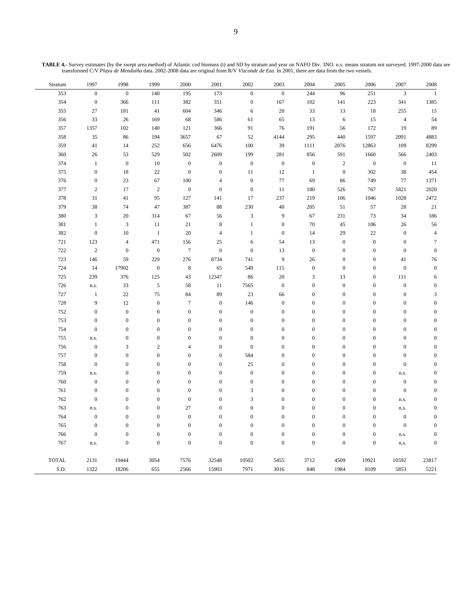Stratum 1997 1998 1999 2000 2001 2002 2003 2004 2005 2006 2007 2008 353 0 0 140 195 173 0 0 244 96 251 3 1 354 0 366 111 382 351 0 167 102 141 223 341 1385 355 27 181 41 604 346 6 20 33 13 18 255 15 356 33 26 169 68 586 61 65 13 6 15 4 54 357 1357 102 140 121 366 91 76 191 56 172 19 89 358 35 86 194 3657 67 52 4144 295 440 1597 2091 4883 359 41 14 252 656 6476 100 39 1111 2076 12863 109 8299 360 26 53 529 502 2609 199 281 856 591 1660 566 2403 374 1 0 10 0 0 0 0 0 2 0 0 11 375 0 18 22 0 0 11 12 1 0 302 38 454 376 0 23 67 100 4 0 77 69 86 749 77 1371 377 2 17 2 0 0 0 11 180 526 767 5821 2020 378 31 41 95 127 141 17 237 219 106 1046 1028 2472 379 38 74 47 387 88 230 40 205 51 57 28 21 380 3 20 314 67 56 3 9 67 231 73 34 186 381 1 3 11 21 8 1 0 70 45 106 26 56 382 0 10 1 20 4 1 0 14 29 22 0 4 721 123 4 471 156 25 6 54 13 0 0 0 7 722 2 0 0 7 0 0 13 0 0 0 0 0 723 146 59 229 276 8734 741 9 26 0 0 41 76 724 14 17902 0 8 65 549 115 0 0 0 0 0 725 239 376 125 43 12347 86 20 3 13 0 111 6 726 n.s. 33 5 58 11 7565 0 0 0 0 0 0 727 1 22 75 84 89 23 66 0 0 0 0 3 728 9 12 0 7 0 146 0 0 0 0 0 0 752 0 0 0 0 0 0 0 0 0 0 0 0 753 0 0 0 0 0 0 0 0 0 0 0 0 754 0 0 0 0 0 0 0 0 0 0 0 0 755 n.s. 0 0 0 0 0 0 0 0 0 0 0 756 0 3 2 4 0 0 0 0 0 0 0 0 757 0 0 0 0 0 584 0 0 0 0 0 0 758 0 0 0 0 0 25 0 0 0 0 0 0 759 n.s. 0 0 0 0 0 0 0 0 0 n.s. 0 760 0 0 0 0 0 0 0 0 0 0 0 0 761 0 0 0 0 0 3 0 0 0 0 0 0 762 0 0 0 0 0 3 0 0 0 0 n.s. 0 763 n.s. 0 0 27 0 0 0 0 0 0 n.s. 0 764 0 0 0 0 0 0 0 0 0 0 0 0 765 0 0 0 0 0 0 0 0 0 0 0 0 766 0 0 0 0 0 0 0 0 0 0 n.s. 0 767 n.s. 0 0 0 0 0 0 0 0 0 n.s. 0 TOTAL 2131 19444 3054 7576 32548 10502 5455 3712 4509 19921 10592 23817 S.D. 1322 18206 655 2566 15903 7971 3016 848 1984 8109 5853 5221

**TABLE 4.-** Survey estimates (by the swept area method) of Atlantic cod biomass (t) and SD by stratum and year on NAFO Div. 3NO. n.s. means stratum not surveyed. 1997-2000 data are transformed C/V *Playa de Menduíña* data. 2002-2008 data are original from R/V *Vizconde de Eza*. In 2001, there are data from the two vessels.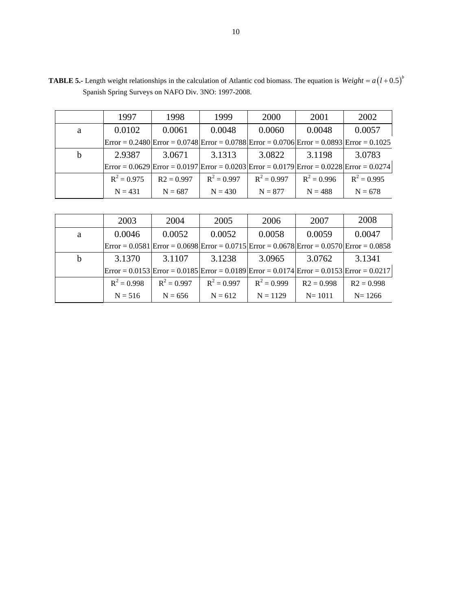|   | 1997                                                                                                                                         | 1998         | 1999          | 2000          | 2001          | 2002          |
|---|----------------------------------------------------------------------------------------------------------------------------------------------|--------------|---------------|---------------|---------------|---------------|
| a | 0.0102                                                                                                                                       | 0.0061       | 0.0048        | 0.0060        | 0.0048        | 0.0057        |
|   | $\text{Error} = 0.2480 \text{Error} = 0.0748 \text{Error} = 0.0788 \text{Error} = 0.0706 \text{Error} = 0.0893 \text{Error} = 0.1025$        |              |               |               |               |               |
| h | 2.9387                                                                                                                                       | 3.0671       | 3.1313        | 3.0822        | 3.1198        | 3.0783        |
|   | $\text{Error} = 0.0629 \text{Error} = 0.0197 \text{Error} = 0.0203 \text{Error} = 0.0179 \text{Error} = 0.0228 \text{Error} = 0.0274 \text{$ |              |               |               |               |               |
|   | $R^2 = 0.975$                                                                                                                                | $R2 = 0.997$ | $R^2 = 0.997$ | $R^2 = 0.997$ | $R^2 = 0.996$ | $R^2 = 0.995$ |
|   | $N = 431$                                                                                                                                    | $N = 687$    | $N = 430$     | $N = 877$     | $N = 488$     | $N = 678$     |

**TABLE 5.-** Length weight relationships in the calculation of Atlantic cod biomass. The equation is  $Weight = a(l + 0.5)^{b}$ Spanish Spring Surveys on NAFO Div. 3NO: 1997-2008.

|   | 2003          | 2004          | 2005          | 2006          | 2007         | 2008                                                                                                                                                      |
|---|---------------|---------------|---------------|---------------|--------------|-----------------------------------------------------------------------------------------------------------------------------------------------------------|
| a | 0.0046        | 0.0052        | 0.0052        | 0.0058        | 0.0059       | 0.0047                                                                                                                                                    |
|   |               |               |               |               |              | $\text{Error} = 0.0581 \text{ [Error} = 0.0698 \text{ [Error} = 0.0715 \text{ [Error} = 0.0678 \text{ ] Error} = 0.0570 \text{ [Error} = 0.0858 \text{]}$ |
| b | 3.1370        | 3.1107        | 3.1238        | 3.0965        | 3.0762       | 3.1341                                                                                                                                                    |
|   |               |               |               |               |              | $\text{Error} = 0.0153 \text{ Error} = 0.0185 \text{ Error} = 0.0189 \text{ Error} = 0.0174 \text{ Error} = 0.0153 \text{ Error} = 0.0217 \text{$         |
|   | $R^2 = 0.998$ | $R^2 = 0.997$ | $R^2 = 0.997$ | $R^2 = 0.999$ | $R2 = 0.998$ | $R2 = 0.998$                                                                                                                                              |
|   | $N = 516$     | $N = 656$     | $N = 612$     | $N = 1129$    | $N = 1011$   | $N = 1266$                                                                                                                                                |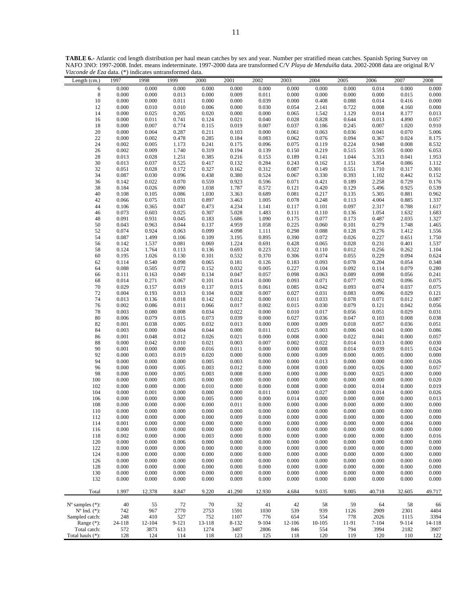| Length (cm.)                                            | 1997           | 1998                   | 1999           | 2000           | 2001           | 2002           | 2003                   | 2004           | 2005           | 2006           | 2007           | 2008               |
|---------------------------------------------------------|----------------|------------------------|----------------|----------------|----------------|----------------|------------------------|----------------|----------------|----------------|----------------|--------------------|
| 6                                                       | 0.000          | 0.000                  | 0.000          | 0.000          | 0.000          | 0.000          | 0.000                  | 0.000          | 0.000          | 0.014          | 0.000          | 0.000              |
| $\,$ 8 $\,$                                             | 0.000          | 0.000                  | 0.013          | 0.000          | 0.009          | 0.011          | 0.000                  | 0.000          | 0.000          | 0.000          | 0.015          | 0.000              |
| 10                                                      | 0.000          | 0.000                  | 0.011          | 0.000          | 0.000          | 0.039          | $0.000\,$              | 0.408          | 0.088          | 0.014          | 0.416          | 0.000              |
| 12<br>14                                                | 0.000<br>0.000 | 0.010<br>0.025         | 0.010<br>0.205 | 0.006<br>0.020 | 0.000<br>0.000 | 0.030<br>0.000 | 0.054<br>0.065         | 2.141<br>1.542 | 0.722<br>1.129 | 0.008<br>0.014 | 4.160<br>8.177 | 0.000<br>0.013     |
| 16                                                      | 0.000          | 0.011                  | 0.741          | 0.124          | 0.021          | 0.040          | 0.028                  | 0.828          | 0.644          | 0.013          | 4.890          | 0.057              |
| 18                                                      | 0.000          | 0.007                  | 0.774          | 0.115          | 0.019          | 0.007          | 0.037                  | 0.186          | 0.245          | 0.007          | 1.020          | 0.910              |
| $20\,$                                                  | 0.000          | 0.004                  | 0.287          | 0.211          | 0.103          | 0.000          | 0.061                  | 0.063          | 0.036          | 0.041          | 0.070          | 5.006              |
| 22                                                      | 0.000          | 0.002                  | 0.478          | 0.285          | 0.184          | 0.083          | 0.062                  | 0.076          | 0.094          | 0.367          | 0.024          | 8.175              |
| 24                                                      | 0.002          | 0.005                  | 1.173          | 0.241          | 0.175          | 0.096          | 0.075                  | 0.119          | 0.224          | 0.948          | 0.008          | 8.532              |
| 26                                                      | 0.002<br>0.013 | 0.009<br>0.028         | 1.740<br>1.251 | 0.319<br>0.385 | 0.194<br>0.216 | 0.139<br>0.153 | 0.150<br>0.189         | 0.219<br>0.141 | 0.515<br>1.044 | 3.595<br>5.313 | 0.000<br>0.041 | 6.053<br>1.953     |
| 28<br>$30\,$                                            | 0.013          | 0.037                  | 0.525          | 0.417          | 0.132          | 0.284          | 0.243                  | 0.162          | 1.151          | 3.854          | 0.086          | 1.112              |
| 32                                                      | 0.051          | 0.028                  | 0.172          | 0.327          | 0.162          | 0.312          | 0.087                  | 0.149          | 0.551          | 1.710          | 0.317          | 0.301              |
| 34                                                      | 0.087          | 0.030                  | 0.096          | 0.438          | 0.380          | 0.524          | 0.067                  | 0.330          | 0.393          | 1.102          | 0.442          | 0.152              |
| 36                                                      | 0.142          | 0.022                  | 0.070          | 0.559          | 0.923          | 0.596          | 0.071                  | 0.421          | 0.189          | 2.258          | 0.729          | 0.176              |
| 38                                                      | 0.184          | 0.026                  | 0.090          | 1.038          | 1.787          | 0.572          | 0.121                  | 0.420          | 0.129          | 5.496          | 0.925          | 0.539              |
| 40                                                      | 0.108          | 0.105                  | 0.086          | 1.030          | 3.363          | 0.689          | 0.081                  | 0.217          | 0.135          | 5.305          | 0.881          | 0.962              |
| 42<br>44                                                | 0.066<br>0.106 | 0.075<br>0.365         | 0.031<br>0.047 | 0.897<br>0.473 | 3.463<br>4.234 | 1.005<br>1.141 | $0.078\,$<br>0.117     | 0.248<br>0.101 | 0.113<br>0.097 | 4.004<br>2.317 | 0.885<br>0.788 | 1.337<br>1.617     |
| 46                                                      | 0.073          | 0.603                  | 0.025          | 0.307          | 5.028          | 1.483          | 0.111                  | 0.110          | 0.136          | 1.054          | 1.632          | 1.683              |
| 48                                                      | 0.091          | 0.931                  | 0.045          | 0.183          | 5.686          | 1.090          | 0.175                  | 0.077          | 0.173          | 0.487          | 2.035          | 1.327              |
| 50                                                      | 0.043          | 0.963                  | 0.044          | 0.137          | 4.959          | 1.058          | 0.225                  | 0.060          | 0.101          | 0.279          | 1.748          | 1.465              |
| 52                                                      | 0.074          | 0.924                  | 0.063          | 0.099          | 4.098          | 1.111          | 0.298                  | 0.088          | 0.128          | 0.276          | 1.412          | 1.556              |
| 54                                                      | 0.087          | 1.499                  | 0.106          | 0.109          | 3.195          | 0.895          | 0.390                  | 0.072          | 0.026          | 0.227          | 0.651          | 1.750              |
| 56                                                      | 0.142          | 1.537                  | 0.081          | 0.069          | 1.224          | 0.691          | 0.428                  | 0.065          | 0.028          | 0.231          | 0.401          | 1.537              |
| 58<br>60                                                | 0.124<br>0.195 | 1.764<br>1.026         | 0.113<br>0.130 | 0.136<br>0.101 | 0.693<br>0.532 | 0.223<br>0.370 | 0.322<br>0.306         | 0.110<br>0.074 | 0.012<br>0.055 | 0.256<br>0.229 | 0.262<br>0.094 | 1.104<br>0.624     |
| 62                                                      | 0.114          | 0.540                  | 0.098          | 0.065          | 0.181          | 0.126          | 0.183                  | 0.093          | 0.078          | 0.204          | 0.054          | 0.348              |
| 64                                                      | 0.088          | 0.505                  | 0.072          | 0.152          | 0.032          | 0.005          | 0.227                  | 0.104          | 0.092          | 0.114          | 0.079          | 0.280              |
| 66                                                      | 0.111          | 0.163                  | 0.049          | 0.134          | 0.047          | 0.057          | 0.098                  | 0.063          | 0.089          | 0.098          | 0.056          | 0.241              |
| 68                                                      | 0.014          | 0.271                  | 0.067          | 0.101          | 0.014          | 0.000          | 0.093                  | 0.071          | 0.077          | 0.092          | 0.096          | 0.075              |
| 70                                                      | 0.029          | 0.157                  | 0.019          | 0.137          | 0.015          | 0.061          | 0.085                  | 0.042          | 0.093          | 0.074          | 0.037          | 0.075              |
| 72                                                      | 0.004          | 0.193                  | 0.013          | 0.104          | 0.028          | 0.007          | 0.027                  | 0.031          | 0.083          | 0.096          | 0.029          | 0.121              |
| 74<br>76                                                | 0.013<br>0.002 | 0.136<br>0.086         | 0.018<br>0.011 | 0.142<br>0.066 | 0.012<br>0.017 | 0.000<br>0.002 | $0.011\,$<br>0.015     | 0.033<br>0.030 | 0.078<br>0.079 | 0.071<br>0.121 | 0.012<br>0.042 | 0.087<br>0.056     |
| 78                                                      | 0.003          | 0.080                  | 0.008          | 0.034          | 0.022          | 0.000          | 0.010                  | 0.017          | 0.056          | 0.051          | 0.029          | 0.031              |
| 80                                                      | 0.006          | 0.079                  | 0.015          | 0.073          | 0.039          | 0.000          | 0.027                  | 0.036          | 0.047          | 0.103          | 0.008          | 0.038              |
| 82                                                      | 0.001          | 0.038                  | 0.005          | 0.032          | 0.013          | 0.000          | $0.000\,$              | 0.009          | 0.018          | 0.057          | 0.036          | 0.051              |
| 84                                                      | 0.003          | 0.000                  | 0.004          | 0.044          | 0.000          | 0.011          | 0.025                  | 0.003          | 0.006          | 0.041          | 0.000          | 0.086              |
| 86                                                      | 0.001          | 0.048                  | 0.012          | 0.026          | 0.021          | 0.000          | $0.008\,$              | 0.000          | 0.022          | 0.041          | 0.000          | 0.057              |
| 88                                                      | 0.000          | 0.042                  | 0.010          | 0.021          | 0.003          | 0.007          | 0.002                  | 0.022          | 0.014          | 0.013          | 0.000          | 0.030              |
| 90<br>92                                                | 0.001<br>0.000 | 0.000<br>0.003         | 0.000<br>0.019 | 0.016<br>0.020 | 0.011<br>0.000 | 0.000<br>0.000 | $0.000\,$<br>$0.000\,$ | 0.008<br>0.009 | 0.014<br>0.000 | 0.039<br>0.005 | 0.015<br>0.000 | 0.024<br>0.000     |
| 94                                                      | 0.000          | 0.000                  | 0.000          | 0.005          | 0.003          | 0.000          | 0.000                  | 0.013          | 0.000          | 0.000          | 0.000          | 0.026              |
| 96                                                      | 0.000          | 0.000                  | 0.005          | 0.003          | 0.012          | 0.000          | $0.008\,$              | 0.000          | 0.000          | 0.026          | 0.000          | 0.057              |
| 98                                                      | 0.000          | 0.000                  | 0.005          | 0.003          | 0.008          | 0.000          | $0.000\,$              | 0.000          | 0.000          | 0.025          | 0.000          | 0.000              |
| 100                                                     | 0.000          | 0.000                  | 0.005          | 0.000          | 0.000          | 0.000          | 0.000                  | 0.000          | 0.000          | 0.000          | 0.000          | 0.020              |
| 102                                                     | 0.000          | 0.000                  | 0.000          | 0.010          | 0.000          | 0.000          | $0.008\,$              | 0.000          | 0.000          | 0.014          | 0.000          | 0.019              |
| 104                                                     | 0.000          | 0.001                  | 0.000          | 0.000          | 0.000          | 0.011          | 0.000                  | 0.027          | 0.000          | 0.014          | 0.000          | 0.026              |
| 106<br>108                                              | 0.000<br>0.000 | $0.000\,$<br>$0.000\,$ | 0.000<br>0.000 | 0.005<br>0.000 | 0.000<br>0.011 | 0.000<br>0.000 | 0.014<br>$0.000\,$     | 0.000<br>0.000 | 0.000<br>0.000 | 0.000<br>0.000 | 0.000<br>0.000 | 0.013<br>$0.000\,$ |
| 110                                                     | 0.000          | 0.000                  | 0.000          | 0.000          | 0.000          | 0.000          | $0.000\,$              | 0.000          | 0.000          | 0.000          | 0.000          | 0.000              |
| 112                                                     | 0.000          | 0.000                  | 0.000          | 0.000          | 0.009          | 0.000          | 0.000                  | 0.000          | 0.000          | 0.000          | 0.000          | $0.000\,$          |
| 114                                                     | 0.001          | 0.000                  | 0.000          | 0.000          | 0.000          | 0.000          | 0.000                  | 0.000          | 0.000          | 0.000          | 0.004          | 0.000              |
| 116                                                     | 0.000          | 0.000                  | 0.000          | 0.000          | 0.000          | 0.000          | 0.000                  | 0.000          | 0.000          | 0.000          | 0.000          | 0.000              |
| 118                                                     | 0.002          | 0.000                  | 0.000          | 0.003          | 0.000          | 0.000          | $0.000\,$              | 0.000          | 0.000          | 0.000          | 0.000          | 0.016              |
| 120                                                     | 0.000          | 0.000                  | 0.006          | 0.000          | 0.000          | 0.000          | 0.000                  | 0.000          | 0.000          | 0.000          | 0.000          | 0.000              |
| 122<br>124                                              | 0.000<br>0.000 | 0.000<br>0.000         | 0.000<br>0.000 | 0.000<br>0.000 | 0.000<br>0.000 | 0.000<br>0.000 | 0.000<br>0.000         | 0.000<br>0.000 | 0.000<br>0.000 | 0.000<br>0.000 | 0.000<br>0.000 | 0.000<br>0.000     |
| 126                                                     | 0.000          | 0.000                  | 0.000          | 0.000          | 0.000          | 0.000          | 0.000                  | 0.000          | 0.000          | 0.000          | 0.000          | 0.000              |
| 128                                                     | 0.000          | 0.000                  | 0.000          | 0.000          | 0.000          | 0.000          | 0.000                  | 0.000          | 0.000          | 0.000          | 0.000          | 0.000              |
| 130                                                     | 0.000          | 0.000                  | 0.000          | 0.000          | 0.000          | 0.000          | $0.000\,$              | 0.000          | 0.000          | 0.000          | 0.000          | 0.000              |
| 132                                                     | 0.000          | 0.000                  | 0.000          | 0.000          | 0.009          | 0.000          | 0.000                  | 0.000          | 0.000          | 0.000          | 0.000          | 0.000              |
| Total                                                   | 1.997          | 12.378                 | 8.847          | 9.220          | 41.290         | 12.930         | 4.684                  | 9.035          | 9.005          | 40.718         | 32.605         | 49.717             |
|                                                         |                |                        |                |                |                |                |                        |                |                |                |                |                    |
| $N^{\circ}$ samples $(*)$ :<br>$N^{\circ}$ Ind. $(*)$ : | 40<br>742      | 55<br>967              | 72<br>2770     | 70             | 32             | 41             | 42<br>539              | 58<br>939      | 59             | 64<br>2909     | 58             | 66<br>4404         |
| Sampled catch:                                          | 248            | 410                    | 527            | 2753<br>752    | 1591<br>1107   | 1030<br>776    | 654                    | 554            | 1126<br>778    | 2026           | 2301<br>1115   | 3394               |
| Range $(*)$ :                                           | 24-118         | 12-104                 | 9-121          | 13-118         | 8-132          | $9 - 104$      | 12-106                 | 10-105         | 11-91          | $7 - 104$      | 9-114          | 14-118             |
| Total catch:                                            | 572            | 3873                   | 613            | 1274           | 3487           | 2806           | 846                    | 554            | 794            | 3994           | 2182           | 3907               |
| Total hauls (*):                                        | 128            | 124                    | 114            | 118            | 123            | 125            | 118                    | 120            | 119            | 120            | 110            | 122                |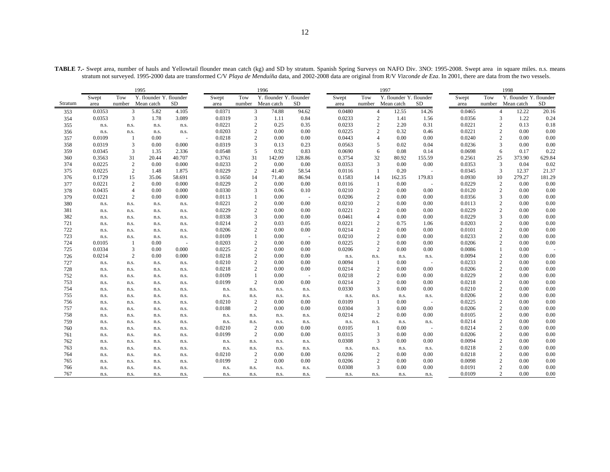**TABLE 7.-** Swept area, number of hauls and Yellowtail flounder mean catch (kg) and SD by stratum. Spanish Spring Surveys on NAFO Div. 3NO: 1995-2008. Swept area in square miles. n.s. means stratum not surveyed. 1995-2000 data are transformed C/V *Playa de Menduíña* data, and 2002-2008 data are original from R/V *Vizconde de Eza*. In 2001, there are data from the two vessels.

|         | 1995   |                |                         |           |        |                | 1996                    |        |        |                | 1997                    |           |        |                | 1998                    |           |
|---------|--------|----------------|-------------------------|-----------|--------|----------------|-------------------------|--------|--------|----------------|-------------------------|-----------|--------|----------------|-------------------------|-----------|
|         | Swept  | Tow            | Y. flounder Y. flounder |           | Swept  | Tow            | Y. flounder Y. flounder |        | Swept  | Tow            | Y. flounder Y. flounder |           | Swept  | Tow            | Y. flounder Y. flounder |           |
| Stratum | area   | number         | Mean catch              | <b>SD</b> | area   | number         | Mean catch              | SD.    | area   |                | number Mean catch       | <b>SD</b> | area   | number         | Mean catch              | <b>SD</b> |
| 353     | 0.0353 | $\mathfrak{Z}$ | 5.82                    | 4.105     | 0.0371 | $\mathfrak{Z}$ | 74.88                   | 94.62  | 0.0480 | $\overline{4}$ | 12.55                   | 14.26     | 0.0465 |                | $\overline{4}$<br>12.22 | 20.16     |
| 354     | 0.0353 | 3              | 1.78                    | 3.089     | 0.0319 | 3              | 1.11                    | 0.84   | 0.0233 | $\sqrt{2}$     | 1.41                    | 1.56      | 0.0356 |                | 1.22<br>3               | 0.24      |
| 355     | n.s.   | n.s.           | n.s.                    | n.s.      | 0.0221 | $\overline{c}$ | 0.25                    | 0.35   | 0.0233 | $\overline{2}$ | 2.20                    | 0.31      | 0.0221 | $\overline{2}$ | 0.13                    | 0.18      |
| 356     | n.s.   | n.s.           | n.s.                    | n.s.      | 0.0203 | $\overline{c}$ | 0.00                    | 0.00   | 0.0225 | $\overline{2}$ | 0.32                    | 0.46      | 0.0221 |                | $\overline{c}$<br>0.00  | 0.00      |
| 357     | 0.0109 |                | 0.00                    |           | 0.0218 | $\overline{c}$ | 0.00                    | 0.00   | 0.0443 | $\overline{A}$ | 0.00                    | 0.00      | 0.0240 |                | $\overline{c}$<br>0.00  | 0.00      |
| 358     | 0.0319 | 3              | 0.00                    | 0.000     | 0.0319 | 3              | 0.13                    | 0.23   | 0.0563 | 5              | 0.02                    | 0.04      | 0.0236 | 3              | 0.00                    | 0.00      |
| 359     | 0.0345 | 3              | 1.35                    | 2.336     | 0.0548 | 5              | 0.92                    | 0.83   | 0.0690 | 6              | 0.08                    | 0.14      | 0.0698 |                | 0.17<br>6               | 0.22      |
| 360     | 0.3563 | 31             | 20.44                   | 40.707    | 0.3761 | 31             | 142.09                  | 128.86 | 0.3754 | 32             | 80.92                   | 155.59    | 0.2561 | 25             | 373.90                  | 629.84    |
| 374     | 0.0225 | 2              | 0.00                    | 0.000     | 0.0233 | 2              | 0.00                    | 0.00   | 0.0353 | 3              | 0.00                    | 0.00      | 0.0353 | 3              | 0.04                    | 0.02      |
| 375     | 0.0225 | 2              | 1.48                    | 1.875     | 0.0229 | $\overline{c}$ | 41.40                   | 58.54  | 0.0116 | $\overline{1}$ | 0.20                    |           | 0.0345 |                | 3<br>12.37              | 21.37     |
| 376     | 0.1729 | 15             | 35.06                   | 58.691    | 0.1650 | 14             | 71.40                   | 86.94  | 0.1583 | 14             | 162.35                  | 179.83    | 0.0930 | 10             | 279.27                  | 181.29    |
| 377     | 0.0221 | 2              | 0.00                    | 0.000     | 0.0229 | 2              | 0.00                    | 0.00   | 0.0116 | -1             | 0.00                    |           | 0.0229 |                | $\overline{c}$<br>0.00  | 0.00      |
| 378     | 0.0435 | $\overline{4}$ | 0.00                    | 0.000     | 0.0330 | 3              | 0.06                    | 0.10   | 0.0210 | $\overline{2}$ | 0.00                    | 0.00      | 0.0120 |                | $\overline{c}$<br>0.00  | 0.00      |
| 379     | 0.0221 | 2              | 0.00                    | 0.000     | 0.0113 | 1              | 0.00                    | $\sim$ | 0.0206 | $\overline{2}$ | 0.00                    | 0.00      | 0.0356 |                | 3<br>0.00               | 0.00      |
| 380     | n.s.   | n.s.           | n.s.                    | n.s.      | 0.0221 | $\overline{c}$ | 0.00                    | 0.00   | 0.0210 | $\overline{2}$ | 0.00                    | 0.00      | 0.0113 |                | $\overline{c}$<br>0.00  | 0.00      |
| 381     | n.s.   | n.s.           | n.s.                    | n.s.      | 0.0229 | $\mathbf{2}$   | 0.00                    | 0.00   | 0.0221 | $\overline{2}$ | 0.00                    | 0.00      | 0.0229 | $\overline{2}$ | 0.00                    | 0.00      |
| 382     | n.s.   | n.s.           | n.s.                    | n.s.      | 0.0338 | 3              | 0.00                    | 0.00   | 0.0461 | $\overline{4}$ | 0.00                    | 0.00      | 0.0229 | 3              | 0.00                    | 0.00      |
| 721     | n.s.   | n.s.           | n.s.                    | n.s.      | 0.0214 | $\overline{2}$ | 0.03                    | 0.05   | 0.0221 | $\overline{2}$ | 0.75                    | 1.06      | 0.0203 | $\overline{2}$ | 0.00                    | 0.00      |
| 722     | n.s.   | n.s.           | n.s.                    | n.s.      | 0.0206 | $\overline{c}$ | 0.00                    | 0.00   | 0.0214 | $\overline{2}$ | 0.00                    | 0.00      | 0.0101 | $\overline{c}$ | 0.00                    | 0.00      |
| 723     | n.s.   | n.s.           | n.s.                    | n.s.      | 0.0109 | 1              | 0.00                    | $\sim$ | 0.0210 | $\overline{2}$ | 0.00                    | 0.00      | 0.0233 | $\overline{2}$ | 0.00                    | 0.00      |
| 724     | 0.0105 | -1             | 0.00                    |           | 0.0203 | $\overline{c}$ | 0.00                    | 0.00   | 0.0225 | $\overline{2}$ | 0.00                    | 0.00      | 0.0206 |                | 2<br>0.00               | 0.00      |
| 725     | 0.0334 | 3              | 0.00                    | 0.000     | 0.0225 | $\sqrt{2}$     | 0.00                    | 0.00   | 0.0206 | $\overline{2}$ | 0.00                    | 0.00      | 0.0086 | 1              | 0.00                    |           |
| 726     | 0.0214 | 2              | 0.00                    | 0.000     | 0.0218 | $\overline{2}$ | 0.00                    | 0.00   | n.s.   | n.s.           | n.s.                    | n.s.      | 0.0094 | $\overline{2}$ | 0.00                    | 0.00      |
| 727     | n.s.   | n.s.           | n.s.                    | n.s.      | 0.0210 | $\overline{2}$ | 0.00                    | 0.00   | 0.0094 | $\overline{1}$ | 0.00                    |           | 0.0233 | $\overline{2}$ | 0.00                    | 0.00      |
| 728     | n.s.   | n.s.           | n.s.                    | n.s.      | 0.0218 | $\overline{2}$ | 0.00                    | 0.00   | 0.0214 | $\overline{2}$ | 0.00                    | 0.00      | 0.0206 | $\overline{2}$ | 0.00                    | 0.00      |
| 752     | n.s.   | n.s.           | n.s.                    | n.s.      | 0.0109 | $\mathbf{1}$   | 0.00                    | $\sim$ | 0.0218 | $\overline{2}$ | 0.00                    | 0.00      | 0.0229 |                | $\overline{c}$<br>0.00  | 0.00      |
| 753     | n.s.   | n.s.           | n.s.                    | n.s.      | 0.0199 | $\overline{2}$ | 0.00                    | 0.00   | 0.0214 | $\overline{2}$ | 0.00                    | 0.00      | 0.0218 |                | $\overline{c}$<br>0.00  | 0.00      |
| 754     | n.s.   | n.s.           | n.s.                    | n.s.      | n.s.   | n.s.           | n.s.                    | n.s.   | 0.0330 | 3              | 0.00                    | 0.00      | 0.0210 | $\overline{2}$ | 0.00                    | 0.00      |
| 755     | n.s.   | n.s.           | n.s.                    | n.s.      | n.s.   | n.s.           | n.s.                    | n.s.   | n.s.   | n.s.           | n.s.                    | n.s.      | 0.0206 | $\overline{2}$ | 0.00                    | 0.00      |
| 756     | n.s.   | n.s.           | n.s.                    | n.s.      | 0.0210 | $\overline{c}$ | 0.00                    | 0.00   | 0.0109 | $\overline{1}$ | 0.00                    |           | 0.0225 | 2              | 0.00                    | 0.00      |
| 757     | n.s.   | n.s.           | n.s.                    | n.s.      | 0.0188 | $\overline{c}$ | 0.00                    | 0.00   | 0.0304 | 3              | 0.00                    | 0.00      | 0.0206 | $\overline{2}$ | 0.00                    | 0.00      |
| 758     | n.s.   | n.s.           | n.s.                    | n.s.      | n.s.   | n.s.           | n.s.                    | n.s.   | 0.0214 | $\overline{2}$ | 0.00                    | 0.00      | 0.0105 |                | 2<br>0.00               | 0.00      |
| 759     | n.s.   | n.s.           | n.s.                    | n.s.      | n.s.   | n.s.           | n.s.                    | n.s.   | n.s.   | n.s.           | n.s.                    | n.s.      | 0.0214 | $\overline{2}$ | 0.00                    | 0.00      |
| 760     | n.s.   | n.s.           | n.s.                    | n.s.      | 0.0210 | $\overline{2}$ | 0.00                    | 0.00   | 0.0105 | -1             | 0.00                    |           | 0.0214 | $\overline{2}$ | 0.00                    | 0.00      |
| 761     | n.s.   | n.s.           | n.s.                    | n.s.      | 0.0199 | $\overline{2}$ | 0.00                    | 0.00   | 0.0315 | 3              | 0.00                    | 0.00      | 0.0206 | $\overline{c}$ | 0.00                    | 0.00      |
| 762     | n.s.   | n.s.           | n.s.                    | n.s.      | n.s.   | n.s.           | n.s.                    | n.s.   | 0.0308 | 3              | 0.00                    | 0.00      | 0.0094 | $\overline{2}$ | 0.00                    | 0.00      |
| 763     | n.s.   | n.s.           | n.s.                    | n.s.      | n.s.   | n.s.           | n.s.                    | n.s.   | n.s.   | n.s.           | n.s.                    | n.s.      | 0.0218 | $\overline{2}$ | 0.00                    | 0.00      |
| 764     | n.s.   | n.s.           | n.s.                    | n.s.      | 0.0210 | 2              | 0.00                    | 0.00   | 0.0206 | $\overline{2}$ | 0.00                    | 0.00      | 0.0218 |                | $\overline{c}$<br>0.00  | 0.00      |
| 765     | n.s.   | n.s.           | n.s.                    | n.s.      | 0.0199 | $\overline{c}$ | 0.00                    | 0.00   | 0.0206 | $\overline{2}$ | 0.00                    | 0.00      | 0.0098 | $\overline{2}$ | 0.00                    | 0.00      |
| 766     | n.s.   | n.s.           | n.s.                    | n.s.      | n.s.   | n.s.           | n.s.                    | n.s.   | 0.0308 | 3              | 0.00                    | 0.00      | 0.0191 | $\overline{2}$ | 0.00                    | 0.00      |
| 767     | n.s.   | n.s.           | n.s.                    | n.s.      | n.s.   | n.s.           | n.s.                    | n.s.   | n.s.   | n.s.           | n.s.                    | n.s.      | 0.0109 |                | $\mathfrak{D}$<br>0.00  | 0.00      |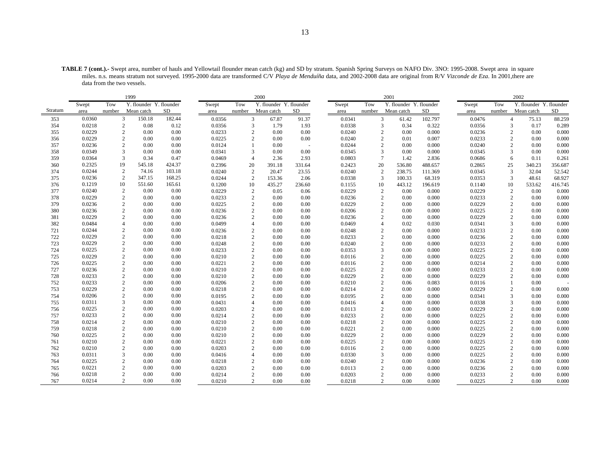**TABLE 7 (cont.).-** Swept area, number of hauls and Yellowtail flounder mean catch (kg) and SD by stratum. Spanish Spring Surveys on NAFO Div. 3NO: 1995-2008. Swept area in square miles. n.s. means stratum not surveyed. 1995-2000 data are transformed C/V *Playa de Menduíña* data, and 2002-2008 data are original from R/V *Vizconde de Eza*. In 2001,there are data from the two vessels.

|         | 1999   |                |                         |           |        |                | 2000                    |        |        |        | 2001                     |         |        |        | 2002                    |         |
|---------|--------|----------------|-------------------------|-----------|--------|----------------|-------------------------|--------|--------|--------|--------------------------|---------|--------|--------|-------------------------|---------|
|         | Swept  | Tow            | Y. flounder Y. flounder |           | Swept  | Tow            | Y. flounder Y. flounder |        | Swept  | Tow    | Y. flounder Y. flounder  |         | Swept  | Tow    | Y. flounder Y. flounder |         |
| Stratum | area   | number         | Mean catch              | <b>SD</b> | area   | number         | Mean catch              | SD     | area   | number | Mean catch               | SD      | area   | number | Mean catch              | SD      |
| 353     | 0.0360 | 3              | 150.18                  | 182.44    | 0.0356 | 3              | 67.87                   | 91.37  | 0.0341 |        | 3<br>61.42               | 102.797 | 0.0476 |        | $\overline{4}$<br>75.13 | 88.259  |
| 354     | 0.0218 | $\overline{c}$ | 0.08                    | 0.12      | 0.0356 | 3              | 1.79                    | 1.93   | 0.0338 |        | 3<br>0.34                | 0.322   | 0.0356 |        | 3<br>0.17               | 0.289   |
| 355     | 0.0229 | $\sqrt{2}$     | 0.00                    | 0.00      | 0.0233 | $\mathbf{2}$   | 0.00                    | 0.00   | 0.0240 |        | $\overline{2}$<br>0.00   | 0.000   | 0.0236 |        | $\mathbf{2}$<br>0.00    | 0.000   |
| 356     | 0.0229 | $\sqrt{2}$     | 0.00                    | 0.00      | 0.0225 | 2              | 0.00                    | 0.00   | 0.0240 |        | $\overline{2}$<br>0.01   | 0.007   | 0.0233 |        | 2<br>0.00               | 0.000   |
| 357     | 0.0236 | $\overline{c}$ | 0.00                    | 0.00      | 0.0124 |                | 0.00                    |        | 0.0244 |        | $\overline{2}$<br>0.00   | 0.000   | 0.0240 |        | 2<br>0.00               | 0.000   |
| 358     | 0.0349 | $\overline{3}$ | 0.00                    | 0.00      | 0.0341 | 3              | 0.00                    | 0.00   | 0.0345 |        | 3<br>0.00                | 0.000   | 0.0345 |        | 3<br>0.00               | 0.000   |
| 359     | 0.0364 | 3              | 0.34                    | 0.47      | 0.0469 | $\overline{4}$ | 2.36                    | 2.93   | 0.0803 |        | $7\phantom{.0}$<br>1.42  | 2.836   | 0.0686 |        | 6<br>0.11               | 0.261   |
| 360     | 0.2325 | 19             | 545.18                  | 424.37    | 0.2396 | 20             | 391.18                  | 331.64 | 0.2423 | 20     | 536.80                   | 488.657 | 0.2865 | 25     | 340.23                  | 356.687 |
| 374     | 0.0244 | $\overline{c}$ | 74.16                   | 103.18    | 0.0240 | $\overline{c}$ | 20.47                   | 23.55  | 0.0240 |        | $\overline{c}$<br>238.75 | 111.369 | 0.0345 | 3      | 32.04                   | 52.542  |
| 375     | 0.0236 | 2              | 347.15                  | 168.25    | 0.0244 | 2              | 153.36                  | 2.06   | 0.0338 |        | 3<br>100.33              | 68.319  | 0.0353 |        | 3<br>48.61              | 68.927  |
| 376     | 0.1219 | 10             | 551.60                  | 165.61    | 0.1200 | 10             | 435.27                  | 236.60 | 0.1155 | 10     | 443.12                   | 196.619 | 0.1140 | 10     | 533.62                  | 416.745 |
| 377     | 0.0240 | $\sqrt{2}$     | 0.00                    | 0.00      | 0.0229 | $\overline{c}$ | 0.05                    | 0.06   | 0.0229 |        | $\overline{2}$<br>0.00   | 0.000   | 0.0229 |        | $\mathbf{2}$<br>0.00    | 0.000   |
| 378     | 0.0229 | $\overline{c}$ | 0.00                    | 0.00      | 0.0233 | $\overline{2}$ | 0.00                    | 0.00   | 0.0236 |        | $\overline{2}$<br>0.00   | 0.000   | 0.0233 |        | 2<br>0.00               | 0.000   |
| 379     | 0.0236 | $\sqrt{2}$     | 0.00                    | 0.00      | 0.0225 | $\overline{c}$ | 0.00                    | 0.00   | 0.0229 |        | $\overline{c}$<br>0.00   | 0.000   | 0.0229 |        | 2<br>0.00               | 0.000   |
| 380     | 0.0236 | $\sqrt{2}$     | 0.00                    | 0.00      | 0.0236 | $\overline{2}$ | 0.00                    | 0.00   | 0.0206 |        | $\overline{2}$<br>0.00   | 0.000   | 0.0225 |        | $\overline{c}$<br>0.00  | 0.000   |
| 381     | 0.0229 | $\overline{2}$ | 0.00                    | 0.00      | 0.0236 | $\overline{c}$ | 0.00                    | 0.00   | 0.0236 |        | $\overline{c}$<br>0.00   | 0.000   | 0.0229 |        | $\overline{c}$<br>0.00  | 0.000   |
| 382     | 0.0484 | $\overline{4}$ | 0.00                    | 0.00      | 0.0499 | $\overline{4}$ | 0.00                    | 0.00   | 0.0469 |        | 0.02<br>$\overline{4}$   | 0.030   | 0.0341 |        | 0.00<br>3               | 0.000   |
| 721     | 0.0244 | $\sqrt{2}$     | 0.00                    | 0.00      | 0.0236 | $\overline{2}$ | 0.00                    | 0.00   | 0.0248 |        | $\overline{2}$<br>0.00   | 0.000   | 0.0233 |        | 0.00<br>2               | 0.000   |
| 722     | 0.0229 | $\overline{2}$ | 0.00                    | 0.00      | 0.0218 | 2              | 0.00                    | 0.00   | 0.0233 |        | $\overline{2}$<br>0.00   | 0.000   | 0.0236 |        | 2<br>0.00               | 0.000   |
| 723     | 0.0229 | $\sqrt{2}$     | 0.00                    | 0.00      | 0.0248 | $\mathbf{2}$   | 0.00                    | 0.00   | 0.0240 |        | $\overline{2}$<br>0.00   | 0.000   | 0.0233 |        | $\overline{2}$<br>0.00  | 0.000   |
| 724     | 0.0225 | $\sqrt{2}$     | 0.00                    | 0.00      | 0.0233 | $\overline{2}$ | 0.00                    | 0.00   | 0.0353 |        | 3<br>0.00                | 0.000   | 0.0225 |        | 2<br>0.00               | 0.000   |
| 725     | 0.0229 | $\overline{c}$ | 0.00                    | 0.00      | 0.0210 | $\mathbf{2}$   | 0.00                    | 0.00   | 0.0116 |        | $\overline{2}$<br>0.00   | 0.000   | 0.0225 |        | $\overline{c}$<br>0.00  | 0.000   |
| 726     | 0.0225 | $\overline{c}$ | 0.00                    | 0.00      | 0.0221 | $\overline{2}$ | 0.00                    | 0.00   | 0.0116 |        | $\overline{2}$<br>0.00   | 0.000   | 0.0214 |        | $\overline{2}$<br>0.00  | 0.000   |
| 727     | 0.0236 | $\overline{c}$ | 0.00                    | 0.00      | 0.0210 | $\overline{2}$ | 0.00                    | 0.00   | 0.0225 |        | $\overline{2}$<br>0.00   | 0.000   | 0.0233 |        | 0.00<br>2               | 0.000   |
| 728     | 0.0233 | $\overline{c}$ | 0.00                    | 0.00      | 0.0210 | $\mathbf{2}$   | 0.00                    | 0.00   | 0.0229 |        | $\overline{2}$<br>0.00   | 0.000   | 0.0229 |        | $\overline{c}$<br>0.00  | 0.000   |
| 752     | 0.0233 | $\sqrt{2}$     | 0.00                    | 0.00      | 0.0206 | 2              | 0.00                    | 0.00   | 0.0210 |        | $\overline{2}$<br>0.06   | 0.083   | 0.0116 |        | 0.00                    |         |
| 753     | 0.0229 | $\sqrt{2}$     | 0.00                    | 0.00      | 0.0218 | 2              | 0.00                    | 0.00   | 0.0214 |        | $\overline{c}$<br>0.00   | 0.000   | 0.0229 |        | 2<br>0.00               | 0.000   |
| 754     | 0.0206 | $\sqrt{2}$     | 0.00                    | 0.00      | 0.0195 | $\mathbf{2}$   | 0.00                    | 0.00   | 0.0195 |        | $\overline{c}$<br>0.00   | 0.000   | 0.0341 |        | 3<br>0.00               | 0.000   |
| 755     | 0.0311 | 3              | 0.00                    | 0.00      | 0.0431 | $\overline{4}$ | 0.00                    | 0.00   | 0.0416 |        | $\overline{4}$<br>0.00   | 0.000   | 0.0338 |        | 3<br>0.00               | 0.000   |
| 756     | 0.0225 | $\overline{c}$ | 0.00                    | 0.00      | 0.0203 | $\overline{c}$ | 0.00                    | 0.00   | 0.0113 |        | $\overline{c}$<br>0.00   | 0.000   | 0.0229 |        | 2<br>0.00               | 0.000   |
| 757     | 0.0233 | $\overline{2}$ | 0.00                    | 0.00      | 0.0214 | $\overline{c}$ | 0.00                    | 0.00   | 0.0233 |        | $\overline{2}$<br>0.00   | 0.000   | 0.0225 |        | $\overline{c}$<br>0.00  | 0.000   |
| 758     | 0.0214 | $\sqrt{2}$     | 0.00                    | 0.00      | 0.0210 | 2              | 0.00                    | 0.00   | 0.0218 |        | $\overline{2}$<br>0.00   | 0.000   | 0.0225 |        | 2<br>0.00               | 0.000   |
| 759     | 0.0218 | $\overline{c}$ | 0.00                    | 0.00      | 0.0210 | $\overline{2}$ | 0.00                    | 0.00   | 0.0221 |        | $\overline{2}$<br>0.00   | 0.000   | 0.0225 |        | 2<br>0.00               | 0.000   |
| 760     | 0.0225 | $\sqrt{2}$     | 0.00                    | 0.00      | 0.0210 | $\overline{2}$ | 0.00                    | 0.00   | 0.0229 |        | $\overline{2}$<br>0.00   | 0.000   | 0.0229 |        | $\overline{c}$<br>0.00  | 0.000   |
| 761     | 0.0210 | $\overline{c}$ | 0.00                    | 0.00      | 0.0221 | 2              | 0.00                    | 0.00   | 0.0225 |        | $\overline{2}$<br>0.00   | 0.000   | 0.0225 |        | 2<br>0.00               | 0.000   |
| 762     | 0.0210 | $\overline{c}$ | 0.00                    | 0.00      | 0.0203 | 2              | 0.00                    | 0.00   | 0.0116 |        | $\overline{c}$<br>0.00   | 0.000   | 0.0225 |        | 2<br>0.00               | 0.000   |
| 763     | 0.0311 | 3              | 0.00                    | 0.00      | 0.0416 | $\overline{A}$ | 0.00                    | 0.00   | 0.0330 |        | 3<br>0.00                | 0.000   | 0.0225 |        | $\overline{c}$<br>0.00  | 0.000   |
| 764     | 0.0225 | $\sqrt{2}$     | 0.00                    | 0.00      | 0.0218 | $\overline{2}$ | 0.00                    | 0.00   | 0.0240 |        | $\overline{2}$<br>0.00   | 0.000   | 0.0236 |        | 2<br>0.00               | 0.000   |
| 765     | 0.0221 | $\overline{c}$ | 0.00                    | 0.00      | 0.0203 | $\overline{2}$ | 0.00                    | 0.00   | 0.0113 |        | $\overline{2}$<br>0.00   | 0.000   | 0.0236 |        | 2<br>0.00               | 0.000   |
| 766     | 0.0218 | $\overline{c}$ | 0.00                    | 0.00      | 0.0214 | $\overline{2}$ | 0.00                    | 0.00   | 0.0203 |        | $\overline{c}$<br>0.00   | 0.000   | 0.0233 |        | $\overline{c}$<br>0.00  | 0.000   |
| 767     | 0.0214 | $\overline{c}$ | 0.00                    | 0.00      | 0.0210 | 2              | 0.00                    | 0.00   | 0.0218 |        | $\overline{c}$<br>0.00   | 0.000   | 0.0225 |        | $\overline{c}$<br>0.00  | 0.000   |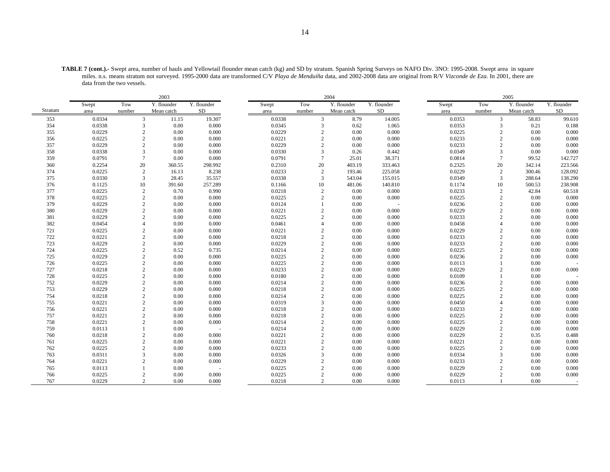| <b>TABLE 7 (cont.).-</b> Swept area, number of hauls and Yellowtail flounder mean catch (kg) and SD by stratum. Spanish Spring Surveys on NAFO Div. 3NO: 1995-2008. Swept area in square |
|------------------------------------------------------------------------------------------------------------------------------------------------------------------------------------------|
| miles, n.s. means stratum not surveyed, 1995-2000 data are transformed C/V Playa de Menduíña data, and 2002-2008 data are original from R/V Vizconde de Eza. In 2001, there are          |
| data from the two vessels.                                                                                                                                                               |

|         | 2003   |                |             |             |  |        |                 | 2004        |             |        |                | 2005        |             |
|---------|--------|----------------|-------------|-------------|--|--------|-----------------|-------------|-------------|--------|----------------|-------------|-------------|
|         | Swept  | Tow            | Y. flounder | Y. flounder |  | Swept  | Tow             | Y. flounder | Y. flounder | Swept  | Tow            | Y. flounder | Y. flounder |
| Stratum | area   | number         | Mean catch  | SD.         |  | area   | number          | Mean catch  | <b>SD</b>   | area   | number         | Mean catch  | $\rm SD$    |
| 353     | 0.0334 | 3              | 11.15       | 19.307      |  | 0.0338 | 3               | 8.79        | 14.005      | 0.0353 | 3              | 58.83       | 99.610      |
| 354     | 0.0338 | 3              | 0.00        | 0.000       |  | 0.0345 | 3               | 0.62        | 1.065       | 0.0353 | 3              | 0.21        | 0.188       |
| 355     | 0.0229 | $\sqrt{2}$     | 0.00        | 0.000       |  | 0.0229 | $\overline{c}$  | 0.00        | 0.000       | 0.0225 | $\overline{2}$ | 0.00        | 0.000       |
| 356     | 0.0225 | $\mathbf{2}$   | 0.00        | 0.000       |  | 0.0221 | $\overline{c}$  | 0.00        | 0.000       | 0.0233 | $\overline{2}$ | 0.00        | 0.000       |
| 357     | 0.0229 | 2              | 0.00        | 0.000       |  | 0.0229 | 2               | 0.00        | 0.000       | 0.0233 | $\overline{c}$ | 0.00        | 0.000       |
| 358     | 0.0338 | 3              | 0.00        | 0.000       |  | 0.0330 | 3               | 0.26        | 0.442       | 0.0349 | 3              | 0.00        | 0.000       |
| 359     | 0.0791 | $\tau$         | 0.00        | 0.000       |  | 0.0791 | $7\phantom{.0}$ | 25.01       | 38.371      | 0.0814 | $\overline{7}$ | 99.52       | 142.727     |
| 360     | 0.2254 | 20             | 360.55      | 298.992     |  | 0.2310 | 20              | 403.19      | 333.463     | 0.2325 | 20             | 342.14      | 223.566     |
| 374     | 0.0225 | 2              | 16.13       | 8.238       |  | 0.0233 | 2               | 193.46      | 225.058     | 0.0229 | 2              | 300.46      | 128.092     |
| 375     | 0.0330 | 3              | 28.45       | 35.557      |  | 0.0338 | 3               | 543.04      | 155.015     | 0.0349 | 3              | 288.64      | 138.290     |
| 376     | 0.1125 | 10             | 391.60      | 257.289     |  | 0.1166 | 10              | 481.06      | 140.810     | 0.1174 | 10             | 500.53      | 238.908     |
| 377     | 0.0225 | $\sqrt{2}$     | 0.70        | 0.990       |  | 0.0218 | $\sqrt{2}$      | 0.00        | 0.000       | 0.0233 | $\overline{2}$ | 42.84       | 60.518      |
| 378     | 0.0225 | 2              | 0.00        | 0.000       |  | 0.0225 | $\overline{c}$  | 0.00        | 0.000       | 0.0225 | $\overline{c}$ | 0.00        | 0.000       |
| 379     | 0.0229 | 2              | 0.00        | 0.000       |  | 0.0124 |                 | 0.00        |             | 0.0236 | $\mathbf{2}$   | 0.00        | 0.000       |
| 380     | 0.0229 | $\mathbf{2}$   | 0.00        | 0.000       |  | 0.0221 | $\overline{2}$  | 0.00        | 0.000       | 0.0229 | $\overline{2}$ | 0.00        | 0.000       |
| 381     | 0.0229 | $\overline{c}$ | 0.00        | 0.000       |  | 0.0225 | $\overline{2}$  | 0.00        | 0.000       | 0.0233 | $\overline{c}$ | 0.00        | 0.000       |
| 382     | 0.0454 | $\overline{4}$ | 0.00        | 0.000       |  | 0.0461 | $\overline{A}$  | 0.00        | 0.000       | 0.0458 | Δ              | 0.00        | 0.000       |
| 721     | 0.0225 | $\overline{c}$ | 0.00        | 0.000       |  | 0.0221 | $\overline{c}$  | 0.00        | 0.000       | 0.0229 | $\overline{c}$ | 0.00        | 0.000       |
| 722     | 0.0221 | 2              | 0.00        | 0.000       |  | 0.0218 | $\overline{c}$  | 0.00        | 0.000       | 0.0233 | $\overline{c}$ | 0.00        | 0.000       |
| 723     | 0.0229 | $\mathbf{2}$   | 0.00        | 0.000       |  | 0.0229 | $\overline{c}$  | 0.00        | 0.000       | 0.0233 | $\overline{c}$ | 0.00        | 0.000       |
| 724     | 0.0225 | $\overline{c}$ | 0.52        | 0.735       |  | 0.0214 | $\overline{2}$  | 0.00        | 0.000       | 0.0225 | $\overline{2}$ | 0.00        | 0.000       |
| 725     | 0.0229 | $\mathbf{2}$   | 0.00        | 0.000       |  | 0.0225 | $\overline{c}$  | 0.00        | 0.000       | 0.0236 | $\mathfrak{2}$ | 0.00        | 0.000       |
| 726     | 0.0225 | $\mathbf{2}$   | 0.00        | 0.000       |  | 0.0225 | $\overline{c}$  | 0.00        | 0.000       | 0.0113 |                | 0.00        |             |
| 727     | 0.0218 | $\overline{c}$ | 0.00        | 0.000       |  | 0.0233 | $\overline{c}$  | 0.00        | 0.000       | 0.0229 | $\overline{2}$ | 0.00        | 0.000       |
| 728     | 0.0225 | $\mathbf{2}$   | 0.00        | 0.000       |  | 0.0180 | $\overline{c}$  | 0.00        | 0.000       | 0.0109 |                | 0.00        |             |
| 752     | 0.0229 | $\mathbf{2}$   | 0.00        | 0.000       |  | 0.0214 | 2               | 0.00        | 0.000       | 0.0236 | $\overline{2}$ | 0.00        | 0.000       |
| 753     | 0.0229 | 2              | 0.00        | 0.000       |  | 0.0218 | $\overline{2}$  | 0.00        | 0.000       | 0.0225 | $\overline{2}$ | 0.00        | 0.000       |
| 754     | 0.0218 | $\mathbf{2}$   | 0.00        | 0.000       |  | 0.0214 | $\overline{c}$  | 0.00        | 0.000       | 0.0225 | $\overline{2}$ | 0.00        | 0.000       |
| 755     | 0.0221 | $\mathbf{2}$   | 0.00        | 0.000       |  | 0.0319 | $\overline{3}$  | 0.00        | 0.000       | 0.0450 | Δ              | 0.00        | 0.000       |
| 756     | 0.0221 | 2              | 0.00        | 0.000       |  | 0.0218 | $\overline{c}$  | 0.00        | 0.000       | 0.0233 | $\overline{2}$ | 0.00        | 0.000       |
| 757     | 0.0221 | $\overline{c}$ | 0.00        | 0.000       |  | 0.0218 | $\overline{2}$  | 0.00        | 0.000       | 0.0225 | $\overline{c}$ | 0.00        | 0.000       |
| 758     | 0.0221 | $\overline{c}$ | 0.00        | 0.000       |  | 0.0214 | $\overline{c}$  | 0.00        | 0.000       | 0.0225 | $\overline{2}$ | 0.00        | 0.000       |
| 759     | 0.0113 |                | 0.00        |             |  | 0.0214 | $\overline{2}$  | 0.00        | 0.000       | 0.0229 | $\overline{c}$ | 0.00        | 0.000       |
| 760     | 0.0218 | $\mathbf{2}$   | 0.00        | 0.000       |  | 0.0221 | $\overline{2}$  | 0.00        | 0.000       | 0.0229 | $\overline{2}$ | 0.35        | 0.488       |
| 761     | 0.0225 | 2              | 0.00        | 0.000       |  | 0.0221 | $\overline{c}$  | 0.00        | 0.000       | 0.0221 | $\overline{2}$ | 0.00        | 0.000       |
| 762     | 0.0225 | 2              | 0.00        | 0.000       |  | 0.0233 | $\overline{2}$  | 0.00        | 0.000       | 0.0225 | $\overline{2}$ | 0.00        | 0.000       |
| 763     | 0.0311 | 3              | 0.00        | 0.000       |  | 0.0326 | $\overline{3}$  | 0.00        | 0.000       | 0.0334 | 3              | 0.00        | 0.000       |
| 764     | 0.0221 | $\overline{c}$ | 0.00        | 0.000       |  | 0.0229 | $\overline{2}$  | 0.00        | 0.000       | 0.0233 | $\overline{2}$ | 0.00        | 0.000       |
| 765     | 0.0113 |                | 0.00        |             |  | 0.0225 | $\overline{2}$  | 0.00        | 0.000       | 0.0229 | $\overline{c}$ | 0.00        | 0.000       |
| 766     | 0.0225 | $\overline{2}$ | 0.00        | 0.000       |  | 0.0225 | $\overline{2}$  | 0.00        | 0.000       | 0.0229 |                | 0.00        | 0.000       |
| 767     | 0.0229 | $\overline{c}$ | 0.00        | 0.000       |  | 0.0218 | $\overline{2}$  | 0.00        | 0.000       | 0.0113 |                | 0.00        |             |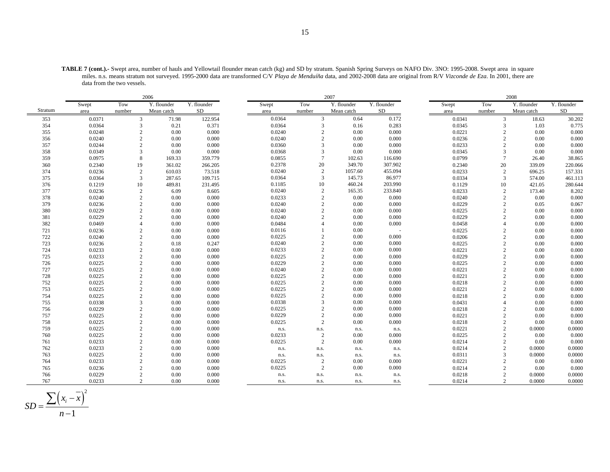| <b>TABLE 7 (cont.).-</b> Swept area, number of hauls and Yellowtail flounder mean catch (kg) and SD by stratum. Spanish Spring Surveys on NAFO Div. 3NO: 1995-2008. Swept area in square |
|------------------------------------------------------------------------------------------------------------------------------------------------------------------------------------------|
| miles. n.s. means stratum not surveyed. 1995-2000 data are transformed C/V Playa de Menduíña data, and 2002-2008 data are original from R/V Vizconde de Eza. In 2001, there are          |
| data from the two vessels.                                                                                                                                                               |

|         |        | 2006           |             | 2007        |        |        |                |             |             | 2008 |        |                |             |             |
|---------|--------|----------------|-------------|-------------|--------|--------|----------------|-------------|-------------|------|--------|----------------|-------------|-------------|
|         | Swept  | Tow            | Y. flounder | Y. flounder | Swept  | Tow    |                | Y. flounder | Y. flounder |      | Swept  | Tow            | Y. flounder | Y. flounder |
| Stratum | area   | number         | Mean catch  | SD          | area   | number |                | Mean catch  | <b>SD</b>   |      | area   | number         | Mean catch  | SD          |
| 353     | 0.0371 | $\overline{3}$ | 71.98       | 122.954     | 0.0364 |        | 3              | 0.64        | 0.172       |      | 0.0341 | 3              | 18.63       | 30.202      |
| 354     | 0.0364 | 3              | 0.21        | 0.371       | 0.0364 |        | 3              | 0.16        | 0.283       |      | 0.0345 | $\overline{3}$ | 1.03        | 0.775       |
| 355     | 0.0248 | $\overline{c}$ | 0.00        | 0.000       | 0.0240 |        | $\overline{2}$ | 0.00        | 0.000       |      | 0.0221 | $\overline{2}$ | 0.00        | 0.000       |
| 356     | 0.0240 | $\overline{c}$ | 0.00        | 0.000       | 0.0240 |        | $\overline{2}$ | 0.00        | 0.000       |      | 0.0236 | $\overline{2}$ | 0.00        | 0.000       |
| 357     | 0.0244 | $\overline{c}$ | 0.00        | 0.000       | 0.0360 |        | 3              | 0.00        | 0.000       |      | 0.0233 | $\overline{2}$ | 0.00        | 0.000       |
| 358     | 0.0349 | 3              | 0.00        | 0.000       | 0.0368 |        | 3              | 0.00        | 0.000       |      | 0.0345 | $\overline{3}$ | 0.00        | 0.000       |
| 359     | 0.0975 | 8              | 169.33      | 359.779     | 0.0855 |        | $\overline{7}$ | 102.63      | 116.690     |      | 0.0799 | $\overline{7}$ | 26.40       | 38.865      |
| 360     | 0.2340 | 19             | 361.02      | 266.205     | 0.2378 |        | 20             | 349.70      | 307.902     |      | 0.2340 | 20             | 339.09      | 220.066     |
| 374     | 0.0236 | $\overline{2}$ | 610.03      | 73.518      | 0.0240 |        | 2              | 1057.60     | 455.094     |      | 0.0233 | $\overline{2}$ | 696.25      | 157.331     |
| 375     | 0.0364 | 3              | 287.65      | 109.715     | 0.0364 |        | 3              | 145.73      | 86.977      |      | 0.0334 | 3              | 574.00      | 461.113     |
| 376     | 0.1219 | 10             | 489.81      | 231.495     | 0.1185 |        | 10             | 460.24      | 203.990     |      | 0.1129 | 10             | 421.05      | 280.644     |
| 377     | 0.0236 | $\overline{c}$ | 6.09        | 8.605       | 0.0240 |        | $\overline{c}$ | 165.35      | 233.840     |      | 0.0233 | $\overline{2}$ | 173.40      | 8.202       |
| 378     | 0.0240 | 2              | 0.00        | 0.000       | 0.0233 |        | $\overline{2}$ | 0.00        | 0.000       |      | 0.0240 | $\overline{2}$ | 0.00        | 0.000       |
| 379     | 0.0236 | $\overline{c}$ | 0.00        | 0.000       | 0.0240 |        | $\overline{2}$ | 0.00        | 0.000       |      | 0.0229 | $\overline{2}$ | 0.05        | 0.067       |
| 380     | 0.0229 | $\overline{c}$ | 0.00        | 0.000       | 0.0240 |        | $\overline{2}$ | 0.00        | 0.000       |      | 0.0225 | $\overline{2}$ | 0.00        | 0.000       |
| 381     | 0.0229 | 2              | 0.00        | 0.000       | 0.0240 |        | $\overline{c}$ | 0.00        | 0.000       |      | 0.0229 | $\mathcal{D}$  | 0.00        | 0.000       |
| 382     | 0.0469 | $\Delta$       | 0.00        | 0.000       | 0.0484 |        | $\Delta$       | 0.00        | 0.000       |      | 0.0458 | $\overline{4}$ | 0.00        | 0.000       |
| 721     | 0.0236 | $\mathbf{2}$   | 0.00        | 0.000       | 0.0116 |        |                | 0.00        |             |      | 0.0225 | $\overline{2}$ | 0.00        | 0.000       |
| 722     | 0.0240 | 2              | 0.00        | 0.000       | 0.0225 |        | $\overline{2}$ | 0.00        | 0.000       |      | 0.0206 | $\overline{2}$ | 0.00        | 0.000       |
| 723     | 0.0236 | $\overline{c}$ | 0.18        | 0.247       | 0.0240 |        | $\overline{2}$ | 0.00        | 0.000       |      | 0.0225 | $\overline{2}$ | 0.00        | 0.000       |
| 724     | 0.0233 | $\overline{c}$ | 0.00        | 0.000       | 0.0233 |        | $\overline{c}$ | 0.00        | 0.000       |      | 0.0221 | $\overline{2}$ | 0.00        | 0.000       |
| 725     | 0.0233 | 2              | 0.00        | 0.000       | 0.0225 |        | $\overline{2}$ | 0.00        | 0.000       |      | 0.0229 | $\overline{2}$ | 0.00        | 0.000       |
| 726     | 0.0225 | 2              | 0.00        | 0.000       | 0.0229 |        | $\overline{c}$ | 0.00        | 0.000       |      | 0.0225 | $\overline{2}$ | 0.00        | 0.000       |
| 727     | 0.0225 | $\overline{2}$ | 0.00        | 0.000       | 0.0240 |        | $\overline{c}$ | 0.00        | 0.000       |      | 0.0221 | $\overline{2}$ | 0.00        | 0.000       |
| 728     | 0.0225 | $\sqrt{2}$     | 0.00        | 0.000       | 0.0225 |        | $\overline{2}$ | 0.00        | 0.000       |      | 0.0221 | $\overline{2}$ | 0.00        | 0.000       |
| 752     | 0.0225 | 2              | 0.00        | 0.000       | 0.0225 |        | $\overline{2}$ | 0.00        | 0.000       |      | 0.0218 | $\overline{2}$ | 0.00        | 0.000       |
| 753     | 0.0225 | $\overline{2}$ | 0.00        | 0.000       | 0.0225 |        | $\overline{c}$ | 0.00        | 0.000       |      | 0.0221 | $\overline{2}$ | 0.00        | 0.000       |
| 754     | 0.0225 | $\overline{c}$ | 0.00        | 0.000       | 0.0225 |        | $\overline{c}$ | 0.00        | 0.000       |      | 0.0218 | $\overline{2}$ | 0.00        | 0.000       |
| 755     | 0.0338 | 3              | 0.00        | 0.000       | 0.0338 |        | 3              | 0.00        | 0.000       |      | 0.0431 | $\overline{4}$ | 0.00        | 0.000       |
| 756     | 0.0229 | 2              | 0.00        | 0.000       | 0.0225 |        | $\overline{2}$ | 0.00        | 0.000       |      | 0.0218 | $\overline{2}$ | 0.00        | 0.000       |
| 757     | 0.0225 | $\overline{2}$ | 0.00        | 0.000       | 0.0229 |        | $\overline{c}$ | 0.00        | 0.000       |      | 0.0221 | $\overline{2}$ | 0.00        | 0.000       |
| 758     | 0.0225 | 2              | 0.00        | 0.000       | 0.0225 |        | 2              | 0.00        | 0.000       |      | 0.0218 | $\overline{2}$ | 0.00        | 0.000       |
| 759     | 0.0225 | 2              | 0.00        | 0.000       | n.s.   |        | n.s.           | n.s.        | n.s.        |      | 0.0221 | $\overline{2}$ | 0.0000      | 0.0000      |
| 760     | 0.0225 | $\overline{2}$ | 0.00        | 0.000       | 0.0233 |        | $\overline{2}$ | 0.00        | 0.000       |      | 0.0225 | $\overline{2}$ | 0.00        | 0.000       |
| 761     | 0.0233 | 2              | 0.00        | 0.000       | 0.0225 |        | 2              | 0.00        | 0.000       |      | 0.0214 | $\overline{2}$ | 0.00        | 0.000       |
| 762     | 0.0233 | $\overline{2}$ | 0.00        | 0.000       |        | n.s.   | n.s.           | n.s.        | n.s.        |      | 0.0214 | $\overline{2}$ | 0.0000      | 0.0000      |
| 763     | 0.0225 | $\overline{c}$ | 0.00        | 0.000       | n.s.   |        | n.s.           | n.s.        | n.s.        |      | 0.0311 | $\overline{3}$ | 0.0000      | 0.0000      |
| 764     | 0.0233 | $\overline{2}$ | 0.00        | 0.000       | 0.0225 |        | $\overline{c}$ | 0.00        | 0.000       |      | 0.0221 | $\overline{2}$ | 0.00        | 0.000       |
| 765     | 0.0236 | $\overline{c}$ | 0.00        | 0.000       | 0.0225 |        | 2              | 0.00        | 0.000       |      | 0.0214 | $\overline{2}$ | 0.00        | 0.000       |
| 766     | 0.0229 | $\overline{c}$ | 0.00        | 0.000       |        | n.s.   | n.s.           | n.s.        | n.s.        |      | 0.0218 | $\overline{2}$ | 0.0000      | 0.0000      |
| 767     | 0.0233 | $\overline{c}$ | 0.00        | 0.000       |        | n.s.   | n.s.           | n.s.        | n.s.        |      | 0.0214 | 2              | 0.0000      | 0.0000      |

$$
SD = \frac{\sum (x_i - \overline{x})^2}{n - 1}
$$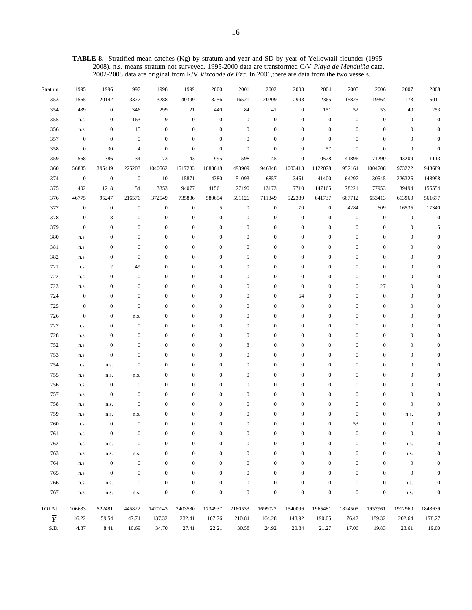**TABLE 8.-** Stratified mean catches (Kg) by stratum and year and SD by year of Yellowtail flounder (1995- 2008). n.s. means stratum not surveyed. 1995-2000 data are transformed C/V *Playa de Menduíña* data. 2002-2008 data are original from R/V *Vizconde de Eza*. In 2001,there are data from the two vessels.

| Stratum        | 1995             | 1996             | 1997             | 1998             | 1999             | 2000             | 2001             | 2002             | 2003             | 2004             | 2005             | 2006             | 2007             | 2008             |
|----------------|------------------|------------------|------------------|------------------|------------------|------------------|------------------|------------------|------------------|------------------|------------------|------------------|------------------|------------------|
| 353            | 1565             | 20142            | 3377             | 3288             | 40399            | 18256            | 16521            | 20209            | 2998             | 2365             | 15825            | 19364            | 173              | 5011             |
| 354            | 439              | $\boldsymbol{0}$ | 346              | 299              | 21               | 440              | 84               | 41               | $\boldsymbol{0}$ | 151              | 52               | 53               | 40               | 253              |
| 355            | n.s.             | $\boldsymbol{0}$ | 163              | 9                | $\mathbf{0}$     | $\mathbf{0}$     | $\mathbf{0}$     | $\boldsymbol{0}$ | $\mathbf{0}$     | $\boldsymbol{0}$ | $\mathbf{0}$     | $\boldsymbol{0}$ | $\boldsymbol{0}$ | $\boldsymbol{0}$ |
| 356            | n.s.             | $\bf{0}$         | 15               | $\boldsymbol{0}$ | $\mathbf{0}$     | $\mathbf{0}$     | $\mathbf{0}$     | $\mathbf{0}$     | $\mathbf{0}$     | $\boldsymbol{0}$ | $\boldsymbol{0}$ | $\bf{0}$         | $\boldsymbol{0}$ | 0                |
| 357            | $\boldsymbol{0}$ | $\boldsymbol{0}$ | $\mathbf{0}$     | $\boldsymbol{0}$ | $\boldsymbol{0}$ | $\mathbf{0}$     | $\mathbf{0}$     | $\boldsymbol{0}$ | $\mathbf{0}$     | $\boldsymbol{0}$ | $\boldsymbol{0}$ | $\bf{0}$         | $\boldsymbol{0}$ | $\theta$         |
| 358            | $\boldsymbol{0}$ | 30               | 4                | $\boldsymbol{0}$ | $\mathbf{0}$     | $\mathbf{0}$     | $\mathbf{0}$     | $\mathbf{0}$     | $\mathbf{0}$     | 57               | $\boldsymbol{0}$ | $\boldsymbol{0}$ | $\boldsymbol{0}$ | $\boldsymbol{0}$ |
| 359            | 568              | 386              | 34               | 73               | 143              | 995              | 598              | 45               | $\mathbf{0}$     | 10528            | 41896            | 71290            | 43209            | 11113            |
| 360            | 56885            | 395449           | 225203           | 1040562          | 1517233          | 1088648          | 1493909          | 946848           | 1003413          | 1122078          | 952164           | 1004708          | 973222           | 943689           |
| 374            | $\boldsymbol{0}$ | $\boldsymbol{0}$ | $\boldsymbol{0}$ | 10               | 15871            | 4380             | 51093            | 6857             | 3451             | 41400            | 64297            | 130545           | 226326           | 148998           |
| 375            | 402              | 11218            | 54               | 3353             | 94077            | 41561            | 27190            | 13173            | 7710             | 147165           | 78221            | 77953            | 39494            | 155554           |
| 376            | 46775            | 95247            | 216576           | 372549           | 735836           | 580654           | 591126           | 711849           | 522389           | 641737           | 667712           | 653413           | 613960           | 561677           |
| 377            | $\boldsymbol{0}$ | $\boldsymbol{0}$ | $\boldsymbol{0}$ | $\boldsymbol{0}$ | $\boldsymbol{0}$ | 5                | $\boldsymbol{0}$ | $\boldsymbol{0}$ | 70               | $\boldsymbol{0}$ | 4284             | 609              | 16535            | 17340            |
| 378            | $\boldsymbol{0}$ | 8                | $\boldsymbol{0}$ | $\boldsymbol{0}$ | $\mathbf{0}$     | $\mathbf{0}$     | $\boldsymbol{0}$ | $\boldsymbol{0}$ | $\boldsymbol{0}$ | $\boldsymbol{0}$ | $\boldsymbol{0}$ | $\boldsymbol{0}$ | $\boldsymbol{0}$ | $\boldsymbol{0}$ |
| 379            | $\boldsymbol{0}$ | $\boldsymbol{0}$ | $\boldsymbol{0}$ | $\boldsymbol{0}$ | $\bf{0}$         | 0                | $\boldsymbol{0}$ | $\boldsymbol{0}$ | $\boldsymbol{0}$ | $\boldsymbol{0}$ | $\boldsymbol{0}$ | $\boldsymbol{0}$ | $\boldsymbol{0}$ | 5                |
| 380            | n.s.             | $\boldsymbol{0}$ | $\boldsymbol{0}$ | $\boldsymbol{0}$ | $\mathbf{0}$     | $\boldsymbol{0}$ | $\mathbf{0}$     | $\mathbf{0}$     | $\boldsymbol{0}$ | $\boldsymbol{0}$ | $\boldsymbol{0}$ | $\boldsymbol{0}$ | $\boldsymbol{0}$ |                  |
| 381            | n.s.             | 0                | $\boldsymbol{0}$ | $\boldsymbol{0}$ | $\boldsymbol{0}$ | $\boldsymbol{0}$ | $\boldsymbol{0}$ | $\boldsymbol{0}$ | $\mathbf{0}$     | $\boldsymbol{0}$ | $\boldsymbol{0}$ | $\boldsymbol{0}$ | $\boldsymbol{0}$ |                  |
| 382            | n.s.             | 0                | $\boldsymbol{0}$ | $\boldsymbol{0}$ | $\boldsymbol{0}$ | $\boldsymbol{0}$ | 5                | $\boldsymbol{0}$ | $\boldsymbol{0}$ | $\boldsymbol{0}$ | $\boldsymbol{0}$ | $\boldsymbol{0}$ | $\boldsymbol{0}$ |                  |
| 721            | n.s.             | 2                | 49               | $\boldsymbol{0}$ | $\bf{0}$         | 0                | $\boldsymbol{0}$ | $\boldsymbol{0}$ | $\boldsymbol{0}$ | $\boldsymbol{0}$ | $\boldsymbol{0}$ | $\boldsymbol{0}$ | $\boldsymbol{0}$ |                  |
| 722            | n.s.             | 0                | $\boldsymbol{0}$ | $\mathbf{0}$     | $\bf{0}$         | $\boldsymbol{0}$ | $\mathbf{0}$     | $\boldsymbol{0}$ | $\mathbf{0}$     | $\boldsymbol{0}$ | $\boldsymbol{0}$ | $\boldsymbol{0}$ | $\boldsymbol{0}$ |                  |
| 723            | n.s.             | 0                | $\boldsymbol{0}$ | $\boldsymbol{0}$ | $\bf{0}$         | 0                | $\boldsymbol{0}$ | $\boldsymbol{0}$ | $\boldsymbol{0}$ | $\boldsymbol{0}$ | $\boldsymbol{0}$ | 27               | $\boldsymbol{0}$ |                  |
| 724            | $\boldsymbol{0}$ | $\boldsymbol{0}$ | $\mathbf{0}$     | $\boldsymbol{0}$ | $\boldsymbol{0}$ | $\boldsymbol{0}$ | $\mathbf{0}$     | $\boldsymbol{0}$ | 64               | $\boldsymbol{0}$ | $\boldsymbol{0}$ | $\boldsymbol{0}$ | $\boldsymbol{0}$ |                  |
| 725            | $\boldsymbol{0}$ | $\boldsymbol{0}$ | $\boldsymbol{0}$ | $\boldsymbol{0}$ | $\boldsymbol{0}$ | $\boldsymbol{0}$ | $\boldsymbol{0}$ | $\boldsymbol{0}$ | $\boldsymbol{0}$ | $\boldsymbol{0}$ | $\boldsymbol{0}$ | $\boldsymbol{0}$ | $\boldsymbol{0}$ |                  |
| 726            | $\boldsymbol{0}$ | $\boldsymbol{0}$ | n.s.             | $\boldsymbol{0}$ | $\boldsymbol{0}$ | $\boldsymbol{0}$ | $\mathbf{0}$     | $\boldsymbol{0}$ | $\boldsymbol{0}$ | $\boldsymbol{0}$ | $\boldsymbol{0}$ | $\boldsymbol{0}$ | $\boldsymbol{0}$ | 0                |
| 727            | n.s.             | 0                | $\boldsymbol{0}$ | $\boldsymbol{0}$ | $\mathbf{0}$     | $\boldsymbol{0}$ | $\mathbf{0}$     | $\boldsymbol{0}$ | $\mathbf{0}$     | $\boldsymbol{0}$ | $\boldsymbol{0}$ | $\boldsymbol{0}$ | $\boldsymbol{0}$ |                  |
| 728            | n.s.             | $\boldsymbol{0}$ | $\boldsymbol{0}$ | $\boldsymbol{0}$ | $\boldsymbol{0}$ | $\boldsymbol{0}$ | $\mathbf{0}$     | $\boldsymbol{0}$ | $\boldsymbol{0}$ | $\boldsymbol{0}$ | $\boldsymbol{0}$ | $\boldsymbol{0}$ | $\boldsymbol{0}$ |                  |
| 752            | n.s.             | $\boldsymbol{0}$ | $\boldsymbol{0}$ | $\boldsymbol{0}$ | $\bf{0}$         | 0                | 8                | $\boldsymbol{0}$ | $\boldsymbol{0}$ | $\boldsymbol{0}$ | $\boldsymbol{0}$ | $\boldsymbol{0}$ | $\boldsymbol{0}$ |                  |
| 753            | n.s.             | $\boldsymbol{0}$ | $\boldsymbol{0}$ | $\boldsymbol{0}$ | $\bf{0}$         | $\boldsymbol{0}$ | $\boldsymbol{0}$ | $\mathbf{0}$     | $\boldsymbol{0}$ | $\boldsymbol{0}$ | $\boldsymbol{0}$ | $\boldsymbol{0}$ | $\boldsymbol{0}$ |                  |
| 754            | n.s.             | n.s.             | $\mathbf{0}$     | $\boldsymbol{0}$ | $\bf{0}$         | $\boldsymbol{0}$ | $\boldsymbol{0}$ | $\mathbf{0}$     | $\boldsymbol{0}$ | $\boldsymbol{0}$ | $\boldsymbol{0}$ | $\boldsymbol{0}$ | $\boldsymbol{0}$ |                  |
| 755            | n.s.             | n.s.             | n.s.             | $\boldsymbol{0}$ | $\boldsymbol{0}$ | $\boldsymbol{0}$ | $\mathbf{0}$     | $\boldsymbol{0}$ | $\boldsymbol{0}$ | $\boldsymbol{0}$ | $\boldsymbol{0}$ | $\boldsymbol{0}$ | $\boldsymbol{0}$ |                  |
| 756            | n.s.             | $\boldsymbol{0}$ | $\boldsymbol{0}$ | $\boldsymbol{0}$ | $\bf{0}$         | $\boldsymbol{0}$ | $\boldsymbol{0}$ | $\boldsymbol{0}$ | $\boldsymbol{0}$ | $\boldsymbol{0}$ | $\boldsymbol{0}$ | $\boldsymbol{0}$ | $\boldsymbol{0}$ |                  |
| 757            | n.s.             | $\mathbf{0}$     | $\boldsymbol{0}$ | $\boldsymbol{0}$ | $\mathbf{0}$     | $\boldsymbol{0}$ | $\mathbf{0}$     | $\mathbf{0}$     | $\boldsymbol{0}$ | $\boldsymbol{0}$ | $\boldsymbol{0}$ | $\boldsymbol{0}$ | $\boldsymbol{0}$ |                  |
| 758            | n.s.             | n.s.             | $\boldsymbol{0}$ | $\boldsymbol{0}$ | $\boldsymbol{0}$ | 0                | $\boldsymbol{0}$ | $\mathbf{0}$     | $\mathbf{0}$     | $\boldsymbol{0}$ | $\boldsymbol{0}$ | $\boldsymbol{0}$ | $\boldsymbol{0}$ |                  |
| 759            | n.s.             | n.s.             | n.s.             | $\boldsymbol{0}$ | $\bf{0}$         | 0                | $\mathbf{0}$     | $\boldsymbol{0}$ | $\boldsymbol{0}$ | $\boldsymbol{0}$ | $\boldsymbol{0}$ | $\boldsymbol{0}$ | n.s.             |                  |
| 760            | n.s.             | $\boldsymbol{0}$ | $\boldsymbol{0}$ | $\boldsymbol{0}$ | $\boldsymbol{0}$ | $\boldsymbol{0}$ | $\boldsymbol{0}$ | $\mathbf{0}$     | $\boldsymbol{0}$ | $\boldsymbol{0}$ | 53               | $\boldsymbol{0}$ | $\boldsymbol{0}$ | $\theta$         |
| 761            | n.s.             | $\boldsymbol{0}$ | $\boldsymbol{0}$ | $\boldsymbol{0}$ | $\mathbf{0}$     | $\mathbf{0}$     | $\boldsymbol{0}$ | $\mathbf{0}$     | $\boldsymbol{0}$ | $\boldsymbol{0}$ | $\boldsymbol{0}$ | $\boldsymbol{0}$ | $\boldsymbol{0}$ |                  |
| 762            | n.s.             | n.s.             | $\boldsymbol{0}$ | $\boldsymbol{0}$ | $\mathbf{0}$     | $\boldsymbol{0}$ | $\boldsymbol{0}$ | $\mathbf{0}$     | $\boldsymbol{0}$ | $\boldsymbol{0}$ | $\boldsymbol{0}$ | $\boldsymbol{0}$ | n.s.             | $\mathbf{0}$     |
| 763            | n.s.             | n.s.             | n.s.             | $\boldsymbol{0}$ | $\boldsymbol{0}$ | $\boldsymbol{0}$ | $\boldsymbol{0}$ | $\boldsymbol{0}$ | $\boldsymbol{0}$ | $\boldsymbol{0}$ | $\boldsymbol{0}$ | $\boldsymbol{0}$ | n.s.             | $\mathbf{0}$     |
| 764            | n.s.             | $\boldsymbol{0}$ | $\boldsymbol{0}$ | $\boldsymbol{0}$ | $\boldsymbol{0}$ | $\boldsymbol{0}$ | $\boldsymbol{0}$ | $\boldsymbol{0}$ | $\boldsymbol{0}$ | $\boldsymbol{0}$ | $\boldsymbol{0}$ | $\boldsymbol{0}$ | $\boldsymbol{0}$ |                  |
| 765            | n.s.             | $\boldsymbol{0}$ | $\boldsymbol{0}$ | $\boldsymbol{0}$ | $\mathbf{0}$     | $\boldsymbol{0}$ | $\boldsymbol{0}$ | $\boldsymbol{0}$ | $\boldsymbol{0}$ | $\boldsymbol{0}$ | $\boldsymbol{0}$ | $\boldsymbol{0}$ | $\boldsymbol{0}$ | $\theta$         |
| 766            | n.s.             | n.s.             | $\boldsymbol{0}$ | $\mathbf{0}$     | $\mathbf{0}$     | $\boldsymbol{0}$ | $\boldsymbol{0}$ | $\boldsymbol{0}$ | $\boldsymbol{0}$ | $\boldsymbol{0}$ | $\boldsymbol{0}$ | $\boldsymbol{0}$ | n.s.             | $\Omega$         |
| 767            | n.s.             | n.s.             | n.s.             | $\boldsymbol{0}$ | $\boldsymbol{0}$ | $\boldsymbol{0}$ | $\boldsymbol{0}$ | $\boldsymbol{0}$ | $\boldsymbol{0}$ | $\boldsymbol{0}$ | $\boldsymbol{0}$ | $\boldsymbol{0}$ | n.s.             | $\boldsymbol{0}$ |
| TOTAL          | 106633           | 522481           | 445822           | 1420143          | 2403580          | 1734937          | 2180533          | 1699022          | 1540096          | 1965481          | 1824505          | 1957961          | 1912960          | 1843639          |
| $\overline{Y}$ | 16.22            | 59.54            | 47.74            | 137.32           | 232.41           | 167.76           | 210.84           | 164.28           | 148.92           | 190.05           | 176.42           | 189.32           | 202.64           | 178.27           |
| S.D.           | 4.37             | 8.41             | 10.69            | 34.70            | 27.41            | 22.21            | 30.58            | 24.92            | 20.84            | 21.27            | 17.06            | 19.83            | 23.61            | 19.00            |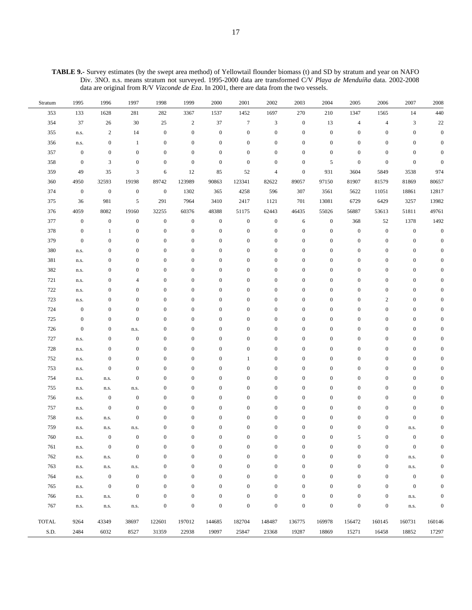**TABLE 9.-** Survey estimates (by the swept area method) of Yellowtail flounder biomass (t) and SD by stratum and year on NAFO Div. 3NO. n.s. means stratum not surveyed. 1995-2000 data are transformed C/V *Playa de Menduíña* data. 2002-2008 data are original from R/V *Vizconde de Eza*. In 2001, there are data from the two vessels.

| Stratum      | 1995             | 1996             | 1997             | 1998             | 1999             | 2000             | 2001             | 2002             | 2003             | 2004             | 2005             | 2006             | 2007             | 2008             |
|--------------|------------------|------------------|------------------|------------------|------------------|------------------|------------------|------------------|------------------|------------------|------------------|------------------|------------------|------------------|
| 353          | 133              | 1628             | 281              | 282              | 3367             | 1537             | 1452             | 1697             | 270              | 210              | 1347             | 1565             | 14               | 440              |
| 354          | 37               | 26               | 30               | 25               | $\sqrt{2}$       | 37               | $\tau$           | 3                | $\boldsymbol{0}$ | 13               | $\overline{4}$   | $\overline{4}$   | 3                | 22               |
| 355          | n.s.             | $\overline{c}$   | 14               | $\mathbf{0}$     | $\mathbf{0}$     | $\boldsymbol{0}$ | $\boldsymbol{0}$ | $\boldsymbol{0}$ | $\bf{0}$         | $\boldsymbol{0}$ | $\boldsymbol{0}$ | $\boldsymbol{0}$ | $\boldsymbol{0}$ | $\boldsymbol{0}$ |
| 356          | n.s.             | $\bf{0}$         | $\mathbf{1}$     | $\mathbf{0}$     | $\mathbf{0}$     | $\boldsymbol{0}$ | $\boldsymbol{0}$ | $\boldsymbol{0}$ | $\bf{0}$         | $\boldsymbol{0}$ | $\boldsymbol{0}$ | $\boldsymbol{0}$ | $\mathbf{0}$     | $\mathbf{0}$     |
| 357          | $\boldsymbol{0}$ | $\bf{0}$         | $\boldsymbol{0}$ | $\mathbf{0}$     | $\mathbf{0}$     | $\mathbf{0}$     | $\boldsymbol{0}$ | $\boldsymbol{0}$ | $\mathbf{0}$     | $\mathbf{0}$     | $\boldsymbol{0}$ | $\boldsymbol{0}$ | $\mathbf{0}$     | $\Omega$         |
| 358          | $\boldsymbol{0}$ | 3                | $\boldsymbol{0}$ | $\mathbf{0}$     | $\mathbf{0}$     | $\mathbf{0}$     | $\mathbf{0}$     | $\boldsymbol{0}$ | $\mathbf{0}$     | 5                | $\boldsymbol{0}$ | $\boldsymbol{0}$ | $\boldsymbol{0}$ | $\Omega$         |
| 359          | 49               | 35               | 3                | 6                | 12               | 85               | 52               | 4                | $\boldsymbol{0}$ | 931              | 3604             | 5849             | 3538             | 974              |
| 360          | 4950             | 32593            | 19198            | 89742            | 123989           | 90863            | 123341           | 82622            | 89057            | 97150            | 81907            | 81579            | 81869            | 80657            |
| 374          | $\boldsymbol{0}$ | $\boldsymbol{0}$ | $\boldsymbol{0}$ | $\mathbf{0}$     | 1302             | 365              | 4258             | 596              | 307              | 3561             | 5622             | 11051            | 18861            | 12817            |
| 375          | 36               | 981              | 5                | 291              | 7964             | 3410             | 2417             | 1121             | 701              | 13081            | 6729             | 6429             | 3257             | 13982            |
| 376          | 4059             | 8082             | 19160            | 32255            | 60376            | 48388            | 51175            | 62443            | 46435            | 55026            | 56887            | 53613            | 51811            | 49761            |
| 377          | $\boldsymbol{0}$ | $\boldsymbol{0}$ | $\boldsymbol{0}$ | $\mathbf{0}$     | $\boldsymbol{0}$ | $\boldsymbol{0}$ | $\boldsymbol{0}$ | $\boldsymbol{0}$ | 6                | $\boldsymbol{0}$ | 368              | 52               | 1378             | 1492             |
| 378          | $\boldsymbol{0}$ | 1                | $\boldsymbol{0}$ | $\mathbf{0}$     | $\mathbf{0}$     | $\boldsymbol{0}$ | $\mathbf{0}$     | $\boldsymbol{0}$ | $\boldsymbol{0}$ | $\boldsymbol{0}$ | $\boldsymbol{0}$ | $\boldsymbol{0}$ | $\boldsymbol{0}$ | $\boldsymbol{0}$ |
| 379          | $\boldsymbol{0}$ | $\mathbf{0}$     | $\boldsymbol{0}$ | $\mathbf{0}$     | $\mathbf{0}$     | $\boldsymbol{0}$ | $\mathbf{0}$     | $\boldsymbol{0}$ | $\boldsymbol{0}$ | $\boldsymbol{0}$ | $\mathbf{0}$     | $\boldsymbol{0}$ | $\boldsymbol{0}$ | $\Omega$         |
| 380          | n.s.             | $\boldsymbol{0}$ | $\boldsymbol{0}$ | $\mathbf{0}$     | $\mathbf{0}$     | $\mathbf{0}$     | $\mathbf{0}$     | $\boldsymbol{0}$ | $\boldsymbol{0}$ | $\mathbf{0}$     | $\boldsymbol{0}$ | $\boldsymbol{0}$ | $\boldsymbol{0}$ | O                |
| 381          | n.s.             | $\boldsymbol{0}$ | $\boldsymbol{0}$ | $\mathbf{0}$     | $\mathbf{0}$     | $\mathbf{0}$     | $\mathbf{0}$     | $\boldsymbol{0}$ | $\boldsymbol{0}$ | $\boldsymbol{0}$ | $\boldsymbol{0}$ | $\boldsymbol{0}$ | $\boldsymbol{0}$ |                  |
| 382          | n.s.             | $\boldsymbol{0}$ | $\boldsymbol{0}$ | $\mathbf{0}$     | $\mathbf{0}$     | $\mathbf{0}$     | $\mathbf{0}$     | $\boldsymbol{0}$ | $\boldsymbol{0}$ | $\mathbf{0}$     | $\boldsymbol{0}$ | $\boldsymbol{0}$ | $\boldsymbol{0}$ |                  |
| 721          | n.s.             | $\boldsymbol{0}$ | $\overline{4}$   | $\mathbf{0}$     | $\mathbf{0}$     | $\boldsymbol{0}$ | $\theta$         | $\boldsymbol{0}$ | $\boldsymbol{0}$ | $\mathbf{0}$     | $\mathbf{0}$     | $\boldsymbol{0}$ | $\boldsymbol{0}$ |                  |
| 722          | n.s.             | $\boldsymbol{0}$ | $\boldsymbol{0}$ | $\mathbf{0}$     | $\mathbf{0}$     | $\mathbf{0}$     | $\mathbf{0}$     | $\boldsymbol{0}$ | $\boldsymbol{0}$ | $\mathbf{0}$     | $\boldsymbol{0}$ | $\boldsymbol{0}$ | $\boldsymbol{0}$ | O                |
| 723          | n.s.             | $\boldsymbol{0}$ | $\boldsymbol{0}$ | $\mathbf{0}$     | $\mathbf{0}$     | $\mathbf{0}$     | $\mathbf{0}$     | $\boldsymbol{0}$ | $\bf{0}$         | $\boldsymbol{0}$ | $\boldsymbol{0}$ | $\boldsymbol{2}$ | $\mathbf{0}$     | O                |
| 724          | $\boldsymbol{0}$ | $\boldsymbol{0}$ | $\boldsymbol{0}$ | $\mathbf{0}$     | $\mathbf{0}$     | $\mathbf{0}$     | $\mathbf{0}$     | $\boldsymbol{0}$ | $\bf{0}$         | $\boldsymbol{0}$ | $\boldsymbol{0}$ | $\boldsymbol{0}$ | $\boldsymbol{0}$ | 0                |
| 725          | $\boldsymbol{0}$ | $\boldsymbol{0}$ | $\boldsymbol{0}$ | $\mathbf{0}$     | $\mathbf{0}$     | $\boldsymbol{0}$ | $\mathbf{0}$     | $\boldsymbol{0}$ | $\boldsymbol{0}$ | $\boldsymbol{0}$ | $\boldsymbol{0}$ | $\boldsymbol{0}$ | $\boldsymbol{0}$ | 0                |
| 726          | $\boldsymbol{0}$ | $\boldsymbol{0}$ | n.s.             | $\mathbf{0}$     | $\mathbf{0}$     | $\boldsymbol{0}$ | $\mathbf{0}$     | $\boldsymbol{0}$ | $\bf{0}$         | $\boldsymbol{0}$ | $\boldsymbol{0}$ | $\boldsymbol{0}$ | $\boldsymbol{0}$ | 0                |
| 727          | n.s.             | $\boldsymbol{0}$ | $\boldsymbol{0}$ | $\mathbf{0}$     | $\mathbf{0}$     | $\boldsymbol{0}$ | $\mathbf{0}$     | $\boldsymbol{0}$ | $\boldsymbol{0}$ | $\boldsymbol{0}$ | $\boldsymbol{0}$ | $\boldsymbol{0}$ | $\boldsymbol{0}$ |                  |
| 728          | n.s.             | $\boldsymbol{0}$ | $\boldsymbol{0}$ | $\mathbf{0}$     | $\mathbf{0}$     | $\mathbf{0}$     | $\mathbf{0}$     | $\boldsymbol{0}$ | $\boldsymbol{0}$ | $\boldsymbol{0}$ | $\mathbf{0}$     | $\boldsymbol{0}$ | $\boldsymbol{0}$ | O                |
| 752          | n.s.             | $\boldsymbol{0}$ | $\boldsymbol{0}$ | $\mathbf{0}$     | $\mathbf{0}$     | $\mathbf{0}$     | 1                | $\boldsymbol{0}$ | $\boldsymbol{0}$ | $\mathbf{0}$     | $\mathbf{0}$     | $\boldsymbol{0}$ | $\boldsymbol{0}$ |                  |
| 753          | n.s.             | $\boldsymbol{0}$ | $\boldsymbol{0}$ | $\mathbf{0}$     | $\mathbf{0}$     | $\mathbf{0}$     | $\boldsymbol{0}$ | $\boldsymbol{0}$ | $\boldsymbol{0}$ | $\mathbf{0}$     | $\mathbf{0}$     | $\boldsymbol{0}$ | $\boldsymbol{0}$ | 0                |
| 754          | n.s.             | n.s.             | $\mathbf{0}$     | $\mathbf{0}$     | $\mathbf{0}$     | $\boldsymbol{0}$ | $\boldsymbol{0}$ | $\boldsymbol{0}$ | $\boldsymbol{0}$ | $\boldsymbol{0}$ | $\mathbf{0}$     | $\boldsymbol{0}$ | $\boldsymbol{0}$ | O                |
| 755          | n.s.             | n.s.             | n.s.             | $\mathbf{0}$     | $\mathbf{0}$     | $\mathbf{0}$     | $\boldsymbol{0}$ | $\boldsymbol{0}$ | $\boldsymbol{0}$ | $\boldsymbol{0}$ | $\boldsymbol{0}$ | $\boldsymbol{0}$ | $\mathbf{0}$     | O                |
| 756          | n.s.             | $\boldsymbol{0}$ | $\boldsymbol{0}$ | $\mathbf{0}$     | $\mathbf{0}$     | $\boldsymbol{0}$ | $\boldsymbol{0}$ | $\boldsymbol{0}$ | $\boldsymbol{0}$ | $\boldsymbol{0}$ | $\mathbf{0}$     | $\boldsymbol{0}$ | $\boldsymbol{0}$ |                  |
| 757          | n.s.             | $\boldsymbol{0}$ | $\boldsymbol{0}$ | $\mathbf{0}$     | $\mathbf{0}$     | $\mathbf{0}$     | $\boldsymbol{0}$ | $\boldsymbol{0}$ | $\bf{0}$         | $\boldsymbol{0}$ | $\boldsymbol{0}$ | $\boldsymbol{0}$ | $\mathbf{0}$     | 0                |
| 758          | n.s.             | n.s.             | $\boldsymbol{0}$ | $\mathbf{0}$     | $\mathbf{0}$     | $\boldsymbol{0}$ | $\boldsymbol{0}$ | 0                | $\bf{0}$         | $\boldsymbol{0}$ | $\boldsymbol{0}$ | $\boldsymbol{0}$ | $\boldsymbol{0}$ |                  |
| 759          | n.s.             | n.s.             | n.s.             | $\boldsymbol{0}$ | $\mathbf{0}$     | $\mathbf{0}$     | $\boldsymbol{0}$ | $\boldsymbol{0}$ | $\bf{0}$         | $\boldsymbol{0}$ | $\mathbf{0}$     | $\boldsymbol{0}$ | n.s.             | 0                |
| 760          | n.s.             | $\bf{0}$         | $\boldsymbol{0}$ | $\boldsymbol{0}$ | $\boldsymbol{0}$ | $\boldsymbol{0}$ | $\boldsymbol{0}$ | $\boldsymbol{0}$ | $\boldsymbol{0}$ | $\boldsymbol{0}$ | 5                | $\boldsymbol{0}$ | $\boldsymbol{0}$ | $\boldsymbol{0}$ |
| 761          | n.s.             | $\boldsymbol{0}$ | $\boldsymbol{0}$ | $\boldsymbol{0}$ | $\boldsymbol{0}$ | $\boldsymbol{0}$ | $\boldsymbol{0}$ | $\boldsymbol{0}$ | $\boldsymbol{0}$ | $\boldsymbol{0}$ | $\boldsymbol{0}$ | $\boldsymbol{0}$ | $\boldsymbol{0}$ | $\mathbf{0}$     |
| 762          | n.s.             | n.s.             | $\boldsymbol{0}$ | $\overline{0}$   | $\mathbf{0}$     | $\boldsymbol{0}$ | $\mathbf{0}$     | $\overline{0}$   | $\boldsymbol{0}$ | $\boldsymbol{0}$ | $\boldsymbol{0}$ | $\boldsymbol{0}$ | n.s.             | $\mathbf{0}$     |
| 763          | n.s.             | n.s.             | n.s.             | $\boldsymbol{0}$ | $\mathbf{0}$     | $\boldsymbol{0}$ | $\boldsymbol{0}$ | $\boldsymbol{0}$ | $\boldsymbol{0}$ | $\boldsymbol{0}$ | $\boldsymbol{0}$ | $\boldsymbol{0}$ | n.s.             | $\Omega$         |
| 764          | n.s.             | $\boldsymbol{0}$ | $\boldsymbol{0}$ | $\boldsymbol{0}$ | $\boldsymbol{0}$ | $\boldsymbol{0}$ | $\mathbf{0}$     | $\boldsymbol{0}$ | $\boldsymbol{0}$ | $\boldsymbol{0}$ | $\boldsymbol{0}$ | $\boldsymbol{0}$ | $\boldsymbol{0}$ | $\Omega$         |
| 765          | n.s.             | $\boldsymbol{0}$ | $\boldsymbol{0}$ | $\mathbf{0}$     | $\boldsymbol{0}$ | $\boldsymbol{0}$ | $\mathbf{0}$     | $\boldsymbol{0}$ | $\boldsymbol{0}$ | $\boldsymbol{0}$ | $\boldsymbol{0}$ | $\boldsymbol{0}$ | $\mathbf{0}$     | $\Omega$         |
| 766          | n.s.             | n.s.             | $\boldsymbol{0}$ | $\mathbf{0}$     | $\boldsymbol{0}$ | $\boldsymbol{0}$ | $\mathbf{0}$     | $\boldsymbol{0}$ | $\boldsymbol{0}$ | $\boldsymbol{0}$ | $\boldsymbol{0}$ | $\boldsymbol{0}$ | n.s.             | $\mathbf{0}$     |
| 767          | n.s.             | n.s.             | n.s.             | $\mathbf{0}$     | $\boldsymbol{0}$ | $\boldsymbol{0}$ | $\boldsymbol{0}$ | $\boldsymbol{0}$ | $\boldsymbol{0}$ | $\boldsymbol{0}$ | $\boldsymbol{0}$ | $\boldsymbol{0}$ | n.s.             | $\boldsymbol{0}$ |
| <b>TOTAL</b> | 9264             | 43349            | 38697            | 122601           | 197012           | 144685           | 182704           | 148487           | 136775           | 169978           | 156472           | 160145           | 160731           | 160146           |
| S.D.         | 2484             | 6032             | 8527             | 31359            | 22938            | 19097            | 25847            | 23368            | 19287            | 18869            | 15271            | 16458            | 18852            | 17297            |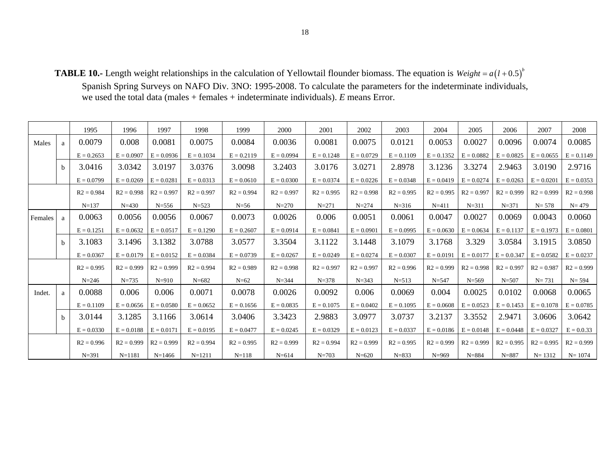**TABLE 10.-** Length weight relationships in the calculation of Yellowtail flounder biomass. The equation is  $Weight = a(l + 0.5)^{b}$ 

Spanish Spring Surveys on NAFO Div. 3NO: 1995-2008. To calculate the parameters for the indeterminate individuals, we used the total data (males + females + indeterminate individuals). *E* means Error.

|         |              | 1995         | 1996         | 1997         | 1998         | 1999         | 2000         | 2001         | 2002         | 2003         | 2004         | 2005         | 2006          | 2007         | 2008         |
|---------|--------------|--------------|--------------|--------------|--------------|--------------|--------------|--------------|--------------|--------------|--------------|--------------|---------------|--------------|--------------|
| Males   | a            | 0.0079       | 0.008        | 0.0081       | 0.0075       | 0.0084       | 0.0036       | 0.0081       | 0.0075       | 0.0121       | 0.0053       | 0.0027       | 0.0096        | 0.0074       | 0.0085       |
|         |              | $E = 0.2653$ | $E = 0.0907$ | $E = 0.0936$ | $E = 0.1034$ | $E = 0.2119$ | $E = 0.0994$ | $E = 0.1248$ | $E = 0.0729$ | $E = 0.1109$ | $E = 0.1352$ | $E = 0.0882$ | $E = 0.0825$  | $E = 0.0655$ | $E = 0.1149$ |
|         | <sub>b</sub> | 3.0416       | 3.0342       | 3.0197       | 3.0376       | 3.0098       | 3.2403       | 3.0176       | 3.0271       | 2.8978       | 3.1236       | 3.3274       | 2.9463        | 3.0190       | 2.9716       |
|         |              | $E = 0.0799$ | $E = 0.0269$ | $E = 0.0281$ | $E = 0.0313$ | $E = 0.0610$ | $E = 0.0300$ | $E = 0.0374$ | $E = 0.0226$ | $E = 0.0348$ | $E = 0.0419$ | $E = 0.0274$ | $E = 0.0263$  | $E = 0.0201$ | $E = 0.0353$ |
|         |              | $R2 = 0.984$ | $R2 = 0.998$ | $R2 = 0.997$ | $R2 = 0.997$ | $R2 = 0.994$ | $R2 = 0.997$ | $R2 = 0.995$ | $R2 = 0.998$ | $R2 = 0.995$ | $R2 = 0.995$ | $R2 = 0.997$ | $R2 = 0.999$  | $R2 = 0.999$ | $R2 = 0.998$ |
|         |              | $N = 137$    | $N = 430$    | $N = 556$    | $N = 523$    | $N=56$       | $N = 270$    | $N = 271$    | $N = 274$    | $N = 316$    | $N = 411$    | $N = 311$    | $N = 371$     | $N = 578$    | $N = 479$    |
| Females | a            | 0.0063       | 0.0056       | 0.0056       | 0.0067       | 0.0073       | 0.0026       | 0.006        | 0.0051       | 0.0061       | 0.0047       | 0.0027       | 0.0069        | 0.0043       | 0.0060       |
|         |              | $E = 0.1251$ | $E = 0.0632$ | $E = 0.0517$ | $E = 0.1290$ | $E = 0.2607$ | $E = 0.0914$ | $E = 0.0841$ | $E = 0.0901$ | $E = 0.0995$ | $E = 0.0630$ | $E = 0.0634$ | $E = 0.1137$  | $E = 0.1973$ | $E = 0.0801$ |
|         | b            | 3.1083       | 3.1496       | 3.1382       | 3.0788       | 3.0577       | 3.3504       | 3.1122       | 3.1448       | 3.1079       | 3.1768       | 3.329        | 3.0584        | 3.1915       | 3.0850       |
|         |              | $E = 0.0367$ | $E = 0.0179$ | $E = 0.0152$ | $E = 0.0384$ | $E = 0.0739$ | $E = 0.0267$ | $E = 0.0249$ | $E = 0.0274$ | $E = 0.0307$ | $E = 0.0191$ | $E = 0.0177$ | $E = 0.0.347$ | $E = 0.0582$ | $E = 0.0237$ |
|         |              | $R2 = 0.995$ | $R2 = 0.999$ | $R2 = 0.999$ | $R2 = 0.994$ | $R2 = 0.989$ | $R2 = 0.998$ | $R2 = 0.997$ | $R2 = 0.997$ | $R2 = 0.996$ | $R2 = 0.999$ | $R2 = 0.998$ | $R2 = 0.997$  | $R2 = 0.987$ | $R2 = 0.999$ |
|         |              | $N = 246$    | $N = 735$    | $N = 910$    | $N = 682$    | $N=62$       | $N = 344$    | $N = 378$    | $N = 343$    | $N = 513$    | $N = 547$    | $N = 569$    | $N = 507$     | $N = 731$    | $N = 594$    |
| Indet.  | a            | 0.0088       | 0.006        | 0.006        | 0.0071       | 0.0078       | 0.0026       | 0.0092       | 0.006        | 0.0069       | 0.004        | 0.0025       | 0.0102        | 0.0068       | 0.0065       |
|         |              | $E = 0.1109$ | $E = 0.0656$ | $E = 0.0580$ | $E = 0.0652$ | $E = 0.1656$ | $E = 0.0835$ | $E = 0.1075$ | $E = 0.0402$ | $E = 0.1095$ | $E = 0.0608$ | $E = 0.0523$ | $E = 0.1453$  | $E = 0.1078$ | $E = 0.0785$ |
|         | <sub>b</sub> | 3.0144       | 3.1285       | 3.1166       | 3.0614       | 3.0406       | 3.3423       | 2.9883       | 3.0977       | 3.0737       | 3.2137       | 3.3552       | 2.9471        | 3.0606       | 3.0642       |
|         |              | $E = 0.0330$ | $E = 0.0188$ | $E = 0.0171$ | $E = 0.0195$ | $E = 0.0477$ | $E = 0.0245$ | $E = 0.0329$ | $E = 0.0123$ | $E = 0.0337$ | $E = 0.0186$ | $E = 0.0148$ | $E = 0.0448$  | $E = 0.0327$ | $E = 0.0.33$ |
|         |              | $R2 = 0.996$ | $R2 = 0.999$ | $R2 = 0.999$ | $R2 = 0.994$ | $R2 = 0.995$ | $R2 = 0.999$ | $R2 = 0.994$ | $R2 = 0.999$ | $R2 = 0.995$ | $R2 = 0.999$ | $R2 = 0.999$ | $R2 = 0.995$  | $R2 = 0.995$ | $R2 = 0.999$ |
|         |              | $N = 391$    | $N = 1181$   | $N = 1466$   | $N = 1211$   | $N = 118$    | $N = 614$    | $N = 703$    | $N = 620$    | $N = 833$    | $N = 969$    | $N = 884$    | $N = 887$     | $N = 1312$   | $N = 1074$   |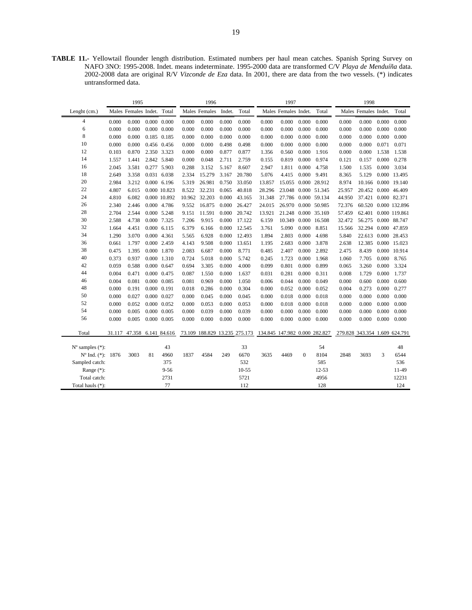**TABLE 11.-** Yellowtail flounder length distribution. Estimated numbers per haul mean catches. Spanish Spring Survey on NAFO 3NO: 1995-2008. Indet. means indeterminate. 1995-2000 data are transformed C/V *Playa de Menduíña* data. 2002-2008 data are original R/V *Vizconde de Eza* data. In 2001, there are data from the two vessels. (\*) indicates untransformed data.

| Males Females Indet. Total<br>Males Females Indet.<br>Total<br>Males Females Indet.<br>Total<br>Males Females Indet.<br>Total<br>Lenght $(cm.)$<br>$\overline{4}$<br>0.000<br>$0.000 \quad 0.000$<br>0.000<br>0.000<br>0.000<br>0.000<br>0.000<br>0.000<br>0.000<br>0.000<br>0.000<br>0.000<br>0.000<br>0.000<br>0.000<br>6<br>0.000<br>0.000<br>0.000<br>0.000<br>0.000<br>0.000<br>0.000<br>0.000<br>0.000<br>0.000<br>0.000<br>0.000<br>0.000<br>0.000<br>$0.000 \quad 0.000$<br>8<br>0.000<br>0.185 0.185<br>0.000<br>0.000<br>0.000<br>0.000<br>0.000<br>0.000<br>0.000<br>0.000<br>0.000<br>0.000<br>0.000<br>0.000<br>0.000<br>10<br>0.000<br>0.000<br>0.000<br>0.000<br>0.498<br>0.498<br>0.000<br>0.000<br>0.000<br>0.000<br>0.000<br>0.000<br>0.071<br>0.071<br>0.456 0.456<br>12<br>0.103<br>0.870<br>2.350 3.323<br>0.000<br>0.000<br>0.877<br>0.877<br>0.000<br>1.916<br>0.000<br>0.000<br>1.538<br>1.538<br>1.356<br>0.560<br>14<br>0.048<br>2.711<br>0.000<br>0.000<br>0.278<br>1.557<br>1.441<br>2.842 5.840<br>0.000<br>2.759<br>0.155<br>0.819<br>0.974<br>0.121<br>0.157<br>16<br>2.045<br>3.581<br>0.277 5.903<br>0.288<br>3.152<br>5.167<br>8.607<br>0.000<br>1.500<br>1.535<br>0.000<br>3.034<br>2.947<br>1.811<br>4.758<br>18<br>15.279<br>0.000<br>2.649<br>3.358<br>0.031 6.038<br>2.334<br>3.167<br>20.780<br>5.076<br>4.415<br>9.491<br>8.365<br>5.129<br>0.000 13.495<br>20<br>2.984<br>26.981<br>0.750<br>3.212<br>0.000 6.196<br>5.319<br>33.050<br>13.857<br>15.055<br>0.000 28.912<br>8.974<br>10.166 0.000 19.140<br>22<br>0.000 10.823<br>8.522<br>32.231<br>0.065<br>40.818<br>0.000 51.345<br>4.807<br>6.015<br>28.296<br>23.048<br>25.957<br>20.452 0.000 46.409<br>24<br>10.962 32.203<br>0.000<br>37.421 0.000 82.371<br>4.810<br>6.082<br>0.000 10.892<br>43.165<br>31.348<br>27.786<br>0.000 59.134<br>44.950<br>26<br>9.552<br>16.875<br>0.000<br>26.427<br>24.015<br>26.970<br>0.000 50.985<br>72.376<br>60.520 0.000 132.896<br>2.340<br>2.446<br>0.000 4.786<br>28<br>2.704<br>2.544<br>0.000 5.248<br>9.151<br>11.591<br>0.000<br>20.742<br>13.921<br>21.248<br>0.000 35.169<br>57.459<br>62.401 0.000 119.861<br>30<br>7.206<br>9.915<br>0.000<br>17.122<br>0.000 16.508<br>32.472<br>56.275 0.000 88.747<br>2.588<br>4.738<br>0.000 7.325<br>6.159<br>10.349<br>32<br>4.451<br>$0.000$ 6.115<br>6.379<br>6.166<br>0.000<br>12.545<br>3.761<br>5.090<br>0.000<br>8.851<br>32.294 0.000 47.859<br>1.664<br>15.566<br>34<br>1.290<br>3.070<br>0.000 4.361<br>5.565<br>6.928<br>0.000<br>12.493<br>1.894<br>2.803<br>0.000<br>4.698<br>5.840<br>22.613 0.000 28.453<br>36<br>0.661<br>1.797<br>0.000 2.459<br>4.143<br>9.508<br>0.000<br>13.651<br>1.195<br>2.683<br>0.000<br>3.878<br>2.638<br>12.385 0.000 15.023<br>38<br>2.083<br>6.687<br>0.000<br>8.771<br>0.485<br>2.892<br>2.475<br>8.439<br>0.000 10.914<br>0.475<br>1.395<br>0.000 1.870<br>2.407<br>0.000<br>40<br>0.000<br>8.765<br>0.373<br>0.937<br>0.000 1.310<br>0.724<br>5.018<br>0.000<br>5.742<br>0.245<br>1.723<br>0.000<br>1.968<br>1.060<br>7.705<br>42<br>0.059<br>0.000 0.647<br>0.694<br>3.305<br>0.000<br>4.000<br>0.099<br>0.801<br>0.000<br>0.899<br>3.260<br>0.000<br>3.324<br>0.588<br>0.065<br>44<br>0.000<br>1.737<br>0.004<br>0.471<br>0.000 0.475<br>0.087<br>0.000<br>0.031<br>0.281<br>0.000<br>0.311<br>0.008<br>1.729<br>1.550<br>1.637<br>46<br>0.081<br>0.000 0.085<br>0.081<br>0.000<br>0.000<br>0.000<br>0.600<br>0.004<br>0.969<br>1.050<br>0.006<br>0.044<br>0.049<br>0.000<br>0.600<br>48<br>0.000<br>0.018<br>0.286<br>0.000<br>0.304<br>0.000<br>0.052<br>0.273<br>0.000<br>0.277<br>0.191<br>0.000 0.191<br>0.000<br>0.052<br>0.004<br>50<br>0.000<br>0.027<br>0.000 0.027<br>0.000<br>0.045<br>0.000<br>0.045<br>0.018<br>0.000<br>0.018<br>0.000<br>0.000<br>0.000<br>0.000<br>0.000<br>52<br>0.053<br>0.000<br>0.018<br>0.000<br>0.000<br>0.000<br>0.052<br>0.000 0.052<br>0.000<br>0.053<br>0.000<br>0.000<br>0.018<br>0.000<br>0.000<br>54<br>0.000<br>0.005<br>0.000 0.005<br>0.000<br>0.039<br>0.000<br>0.039<br>0.000<br>0.000<br>0.000<br>0.000<br>0.000<br>0.000<br>0.000<br>0.000<br>56<br>0.000<br>0.005<br>0.000 0.005<br>0.000<br>0.000<br>0.000<br>0.000<br>0.000<br>0.000<br>0.000<br>0.000<br>0.000<br>0.000<br>0.000<br>0.000<br>73.109 188.829 13.235 275.173 134.845 147.982 0.000 282.827<br>279.828 343.354 1.609 624.791<br>Total<br>31.117 47.358 6.141 84.616<br>33<br>$N^{\circ}$ samples $(*)$ :<br>43<br>54<br>48<br>6670<br>8104<br>3<br>6544<br>Nº Ind. (*): 1876<br>3003<br>81<br>4960<br>1837<br>4584<br>249<br>3635<br>$\mathbf{0}$<br>2848<br>3693<br>4469<br>375<br>532<br>585<br>536<br>Sampled catch:<br>Range (*):<br>$9 - 56$<br>$10 - 55$<br>$12 - 53$<br>11-49<br>5721<br>4956<br>Total catch:<br>2731<br>12231<br>77<br>112<br>128<br>124<br>Total hauls (*): |  | 1995 |  | 1996 |  | 1997 |  | 1998 |  |
|-----------------------------------------------------------------------------------------------------------------------------------------------------------------------------------------------------------------------------------------------------------------------------------------------------------------------------------------------------------------------------------------------------------------------------------------------------------------------------------------------------------------------------------------------------------------------------------------------------------------------------------------------------------------------------------------------------------------------------------------------------------------------------------------------------------------------------------------------------------------------------------------------------------------------------------------------------------------------------------------------------------------------------------------------------------------------------------------------------------------------------------------------------------------------------------------------------------------------------------------------------------------------------------------------------------------------------------------------------------------------------------------------------------------------------------------------------------------------------------------------------------------------------------------------------------------------------------------------------------------------------------------------------------------------------------------------------------------------------------------------------------------------------------------------------------------------------------------------------------------------------------------------------------------------------------------------------------------------------------------------------------------------------------------------------------------------------------------------------------------------------------------------------------------------------------------------------------------------------------------------------------------------------------------------------------------------------------------------------------------------------------------------------------------------------------------------------------------------------------------------------------------------------------------------------------------------------------------------------------------------------------------------------------------------------------------------------------------------------------------------------------------------------------------------------------------------------------------------------------------------------------------------------------------------------------------------------------------------------------------------------------------------------------------------------------------------------------------------------------------------------------------------------------------------------------------------------------------------------------------------------------------------------------------------------------------------------------------------------------------------------------------------------------------------------------------------------------------------------------------------------------------------------------------------------------------------------------------------------------------------------------------------------------------------------------------------------------------------------------------------------------------------------------------------------------------------------------------------------------------------------------------------------------------------------------------------------------------------------------------------------------------------------------------------------------------------------------------------------------------------------------------------------------------------------------------------------------------------------------------------------------------------------------------------------------------------------------------------------------------------------------------------------------------------------------------------------------------------------------------------------------------------------------------------------------------------------------------------------------------------------------------------------------------------------------------------------------------------------------------------------------------------------------------------------------------------------------------------------|--|------|--|------|--|------|--|------|--|
|                                                                                                                                                                                                                                                                                                                                                                                                                                                                                                                                                                                                                                                                                                                                                                                                                                                                                                                                                                                                                                                                                                                                                                                                                                                                                                                                                                                                                                                                                                                                                                                                                                                                                                                                                                                                                                                                                                                                                                                                                                                                                                                                                                                                                                                                                                                                                                                                                                                                                                                                                                                                                                                                                                                                                                                                                                                                                                                                                                                                                                                                                                                                                                                                                                                                                                                                                                                                                                                                                                                                                                                                                                                                                                                                                                                                                                                                                                                                                                                                                                                                                                                                                                                                                                                                                                                                                                                                                                                                                                                                                                                                                                                                                                                                                                                                                                                     |  |      |  |      |  |      |  |      |  |
|                                                                                                                                                                                                                                                                                                                                                                                                                                                                                                                                                                                                                                                                                                                                                                                                                                                                                                                                                                                                                                                                                                                                                                                                                                                                                                                                                                                                                                                                                                                                                                                                                                                                                                                                                                                                                                                                                                                                                                                                                                                                                                                                                                                                                                                                                                                                                                                                                                                                                                                                                                                                                                                                                                                                                                                                                                                                                                                                                                                                                                                                                                                                                                                                                                                                                                                                                                                                                                                                                                                                                                                                                                                                                                                                                                                                                                                                                                                                                                                                                                                                                                                                                                                                                                                                                                                                                                                                                                                                                                                                                                                                                                                                                                                                                                                                                                                     |  |      |  |      |  |      |  |      |  |
|                                                                                                                                                                                                                                                                                                                                                                                                                                                                                                                                                                                                                                                                                                                                                                                                                                                                                                                                                                                                                                                                                                                                                                                                                                                                                                                                                                                                                                                                                                                                                                                                                                                                                                                                                                                                                                                                                                                                                                                                                                                                                                                                                                                                                                                                                                                                                                                                                                                                                                                                                                                                                                                                                                                                                                                                                                                                                                                                                                                                                                                                                                                                                                                                                                                                                                                                                                                                                                                                                                                                                                                                                                                                                                                                                                                                                                                                                                                                                                                                                                                                                                                                                                                                                                                                                                                                                                                                                                                                                                                                                                                                                                                                                                                                                                                                                                                     |  |      |  |      |  |      |  |      |  |
|                                                                                                                                                                                                                                                                                                                                                                                                                                                                                                                                                                                                                                                                                                                                                                                                                                                                                                                                                                                                                                                                                                                                                                                                                                                                                                                                                                                                                                                                                                                                                                                                                                                                                                                                                                                                                                                                                                                                                                                                                                                                                                                                                                                                                                                                                                                                                                                                                                                                                                                                                                                                                                                                                                                                                                                                                                                                                                                                                                                                                                                                                                                                                                                                                                                                                                                                                                                                                                                                                                                                                                                                                                                                                                                                                                                                                                                                                                                                                                                                                                                                                                                                                                                                                                                                                                                                                                                                                                                                                                                                                                                                                                                                                                                                                                                                                                                     |  |      |  |      |  |      |  |      |  |
|                                                                                                                                                                                                                                                                                                                                                                                                                                                                                                                                                                                                                                                                                                                                                                                                                                                                                                                                                                                                                                                                                                                                                                                                                                                                                                                                                                                                                                                                                                                                                                                                                                                                                                                                                                                                                                                                                                                                                                                                                                                                                                                                                                                                                                                                                                                                                                                                                                                                                                                                                                                                                                                                                                                                                                                                                                                                                                                                                                                                                                                                                                                                                                                                                                                                                                                                                                                                                                                                                                                                                                                                                                                                                                                                                                                                                                                                                                                                                                                                                                                                                                                                                                                                                                                                                                                                                                                                                                                                                                                                                                                                                                                                                                                                                                                                                                                     |  |      |  |      |  |      |  |      |  |
|                                                                                                                                                                                                                                                                                                                                                                                                                                                                                                                                                                                                                                                                                                                                                                                                                                                                                                                                                                                                                                                                                                                                                                                                                                                                                                                                                                                                                                                                                                                                                                                                                                                                                                                                                                                                                                                                                                                                                                                                                                                                                                                                                                                                                                                                                                                                                                                                                                                                                                                                                                                                                                                                                                                                                                                                                                                                                                                                                                                                                                                                                                                                                                                                                                                                                                                                                                                                                                                                                                                                                                                                                                                                                                                                                                                                                                                                                                                                                                                                                                                                                                                                                                                                                                                                                                                                                                                                                                                                                                                                                                                                                                                                                                                                                                                                                                                     |  |      |  |      |  |      |  |      |  |
|                                                                                                                                                                                                                                                                                                                                                                                                                                                                                                                                                                                                                                                                                                                                                                                                                                                                                                                                                                                                                                                                                                                                                                                                                                                                                                                                                                                                                                                                                                                                                                                                                                                                                                                                                                                                                                                                                                                                                                                                                                                                                                                                                                                                                                                                                                                                                                                                                                                                                                                                                                                                                                                                                                                                                                                                                                                                                                                                                                                                                                                                                                                                                                                                                                                                                                                                                                                                                                                                                                                                                                                                                                                                                                                                                                                                                                                                                                                                                                                                                                                                                                                                                                                                                                                                                                                                                                                                                                                                                                                                                                                                                                                                                                                                                                                                                                                     |  |      |  |      |  |      |  |      |  |
|                                                                                                                                                                                                                                                                                                                                                                                                                                                                                                                                                                                                                                                                                                                                                                                                                                                                                                                                                                                                                                                                                                                                                                                                                                                                                                                                                                                                                                                                                                                                                                                                                                                                                                                                                                                                                                                                                                                                                                                                                                                                                                                                                                                                                                                                                                                                                                                                                                                                                                                                                                                                                                                                                                                                                                                                                                                                                                                                                                                                                                                                                                                                                                                                                                                                                                                                                                                                                                                                                                                                                                                                                                                                                                                                                                                                                                                                                                                                                                                                                                                                                                                                                                                                                                                                                                                                                                                                                                                                                                                                                                                                                                                                                                                                                                                                                                                     |  |      |  |      |  |      |  |      |  |
|                                                                                                                                                                                                                                                                                                                                                                                                                                                                                                                                                                                                                                                                                                                                                                                                                                                                                                                                                                                                                                                                                                                                                                                                                                                                                                                                                                                                                                                                                                                                                                                                                                                                                                                                                                                                                                                                                                                                                                                                                                                                                                                                                                                                                                                                                                                                                                                                                                                                                                                                                                                                                                                                                                                                                                                                                                                                                                                                                                                                                                                                                                                                                                                                                                                                                                                                                                                                                                                                                                                                                                                                                                                                                                                                                                                                                                                                                                                                                                                                                                                                                                                                                                                                                                                                                                                                                                                                                                                                                                                                                                                                                                                                                                                                                                                                                                                     |  |      |  |      |  |      |  |      |  |
|                                                                                                                                                                                                                                                                                                                                                                                                                                                                                                                                                                                                                                                                                                                                                                                                                                                                                                                                                                                                                                                                                                                                                                                                                                                                                                                                                                                                                                                                                                                                                                                                                                                                                                                                                                                                                                                                                                                                                                                                                                                                                                                                                                                                                                                                                                                                                                                                                                                                                                                                                                                                                                                                                                                                                                                                                                                                                                                                                                                                                                                                                                                                                                                                                                                                                                                                                                                                                                                                                                                                                                                                                                                                                                                                                                                                                                                                                                                                                                                                                                                                                                                                                                                                                                                                                                                                                                                                                                                                                                                                                                                                                                                                                                                                                                                                                                                     |  |      |  |      |  |      |  |      |  |
|                                                                                                                                                                                                                                                                                                                                                                                                                                                                                                                                                                                                                                                                                                                                                                                                                                                                                                                                                                                                                                                                                                                                                                                                                                                                                                                                                                                                                                                                                                                                                                                                                                                                                                                                                                                                                                                                                                                                                                                                                                                                                                                                                                                                                                                                                                                                                                                                                                                                                                                                                                                                                                                                                                                                                                                                                                                                                                                                                                                                                                                                                                                                                                                                                                                                                                                                                                                                                                                                                                                                                                                                                                                                                                                                                                                                                                                                                                                                                                                                                                                                                                                                                                                                                                                                                                                                                                                                                                                                                                                                                                                                                                                                                                                                                                                                                                                     |  |      |  |      |  |      |  |      |  |
|                                                                                                                                                                                                                                                                                                                                                                                                                                                                                                                                                                                                                                                                                                                                                                                                                                                                                                                                                                                                                                                                                                                                                                                                                                                                                                                                                                                                                                                                                                                                                                                                                                                                                                                                                                                                                                                                                                                                                                                                                                                                                                                                                                                                                                                                                                                                                                                                                                                                                                                                                                                                                                                                                                                                                                                                                                                                                                                                                                                                                                                                                                                                                                                                                                                                                                                                                                                                                                                                                                                                                                                                                                                                                                                                                                                                                                                                                                                                                                                                                                                                                                                                                                                                                                                                                                                                                                                                                                                                                                                                                                                                                                                                                                                                                                                                                                                     |  |      |  |      |  |      |  |      |  |
|                                                                                                                                                                                                                                                                                                                                                                                                                                                                                                                                                                                                                                                                                                                                                                                                                                                                                                                                                                                                                                                                                                                                                                                                                                                                                                                                                                                                                                                                                                                                                                                                                                                                                                                                                                                                                                                                                                                                                                                                                                                                                                                                                                                                                                                                                                                                                                                                                                                                                                                                                                                                                                                                                                                                                                                                                                                                                                                                                                                                                                                                                                                                                                                                                                                                                                                                                                                                                                                                                                                                                                                                                                                                                                                                                                                                                                                                                                                                                                                                                                                                                                                                                                                                                                                                                                                                                                                                                                                                                                                                                                                                                                                                                                                                                                                                                                                     |  |      |  |      |  |      |  |      |  |
|                                                                                                                                                                                                                                                                                                                                                                                                                                                                                                                                                                                                                                                                                                                                                                                                                                                                                                                                                                                                                                                                                                                                                                                                                                                                                                                                                                                                                                                                                                                                                                                                                                                                                                                                                                                                                                                                                                                                                                                                                                                                                                                                                                                                                                                                                                                                                                                                                                                                                                                                                                                                                                                                                                                                                                                                                                                                                                                                                                                                                                                                                                                                                                                                                                                                                                                                                                                                                                                                                                                                                                                                                                                                                                                                                                                                                                                                                                                                                                                                                                                                                                                                                                                                                                                                                                                                                                                                                                                                                                                                                                                                                                                                                                                                                                                                                                                     |  |      |  |      |  |      |  |      |  |
|                                                                                                                                                                                                                                                                                                                                                                                                                                                                                                                                                                                                                                                                                                                                                                                                                                                                                                                                                                                                                                                                                                                                                                                                                                                                                                                                                                                                                                                                                                                                                                                                                                                                                                                                                                                                                                                                                                                                                                                                                                                                                                                                                                                                                                                                                                                                                                                                                                                                                                                                                                                                                                                                                                                                                                                                                                                                                                                                                                                                                                                                                                                                                                                                                                                                                                                                                                                                                                                                                                                                                                                                                                                                                                                                                                                                                                                                                                                                                                                                                                                                                                                                                                                                                                                                                                                                                                                                                                                                                                                                                                                                                                                                                                                                                                                                                                                     |  |      |  |      |  |      |  |      |  |
|                                                                                                                                                                                                                                                                                                                                                                                                                                                                                                                                                                                                                                                                                                                                                                                                                                                                                                                                                                                                                                                                                                                                                                                                                                                                                                                                                                                                                                                                                                                                                                                                                                                                                                                                                                                                                                                                                                                                                                                                                                                                                                                                                                                                                                                                                                                                                                                                                                                                                                                                                                                                                                                                                                                                                                                                                                                                                                                                                                                                                                                                                                                                                                                                                                                                                                                                                                                                                                                                                                                                                                                                                                                                                                                                                                                                                                                                                                                                                                                                                                                                                                                                                                                                                                                                                                                                                                                                                                                                                                                                                                                                                                                                                                                                                                                                                                                     |  |      |  |      |  |      |  |      |  |
|                                                                                                                                                                                                                                                                                                                                                                                                                                                                                                                                                                                                                                                                                                                                                                                                                                                                                                                                                                                                                                                                                                                                                                                                                                                                                                                                                                                                                                                                                                                                                                                                                                                                                                                                                                                                                                                                                                                                                                                                                                                                                                                                                                                                                                                                                                                                                                                                                                                                                                                                                                                                                                                                                                                                                                                                                                                                                                                                                                                                                                                                                                                                                                                                                                                                                                                                                                                                                                                                                                                                                                                                                                                                                                                                                                                                                                                                                                                                                                                                                                                                                                                                                                                                                                                                                                                                                                                                                                                                                                                                                                                                                                                                                                                                                                                                                                                     |  |      |  |      |  |      |  |      |  |
|                                                                                                                                                                                                                                                                                                                                                                                                                                                                                                                                                                                                                                                                                                                                                                                                                                                                                                                                                                                                                                                                                                                                                                                                                                                                                                                                                                                                                                                                                                                                                                                                                                                                                                                                                                                                                                                                                                                                                                                                                                                                                                                                                                                                                                                                                                                                                                                                                                                                                                                                                                                                                                                                                                                                                                                                                                                                                                                                                                                                                                                                                                                                                                                                                                                                                                                                                                                                                                                                                                                                                                                                                                                                                                                                                                                                                                                                                                                                                                                                                                                                                                                                                                                                                                                                                                                                                                                                                                                                                                                                                                                                                                                                                                                                                                                                                                                     |  |      |  |      |  |      |  |      |  |
|                                                                                                                                                                                                                                                                                                                                                                                                                                                                                                                                                                                                                                                                                                                                                                                                                                                                                                                                                                                                                                                                                                                                                                                                                                                                                                                                                                                                                                                                                                                                                                                                                                                                                                                                                                                                                                                                                                                                                                                                                                                                                                                                                                                                                                                                                                                                                                                                                                                                                                                                                                                                                                                                                                                                                                                                                                                                                                                                                                                                                                                                                                                                                                                                                                                                                                                                                                                                                                                                                                                                                                                                                                                                                                                                                                                                                                                                                                                                                                                                                                                                                                                                                                                                                                                                                                                                                                                                                                                                                                                                                                                                                                                                                                                                                                                                                                                     |  |      |  |      |  |      |  |      |  |
|                                                                                                                                                                                                                                                                                                                                                                                                                                                                                                                                                                                                                                                                                                                                                                                                                                                                                                                                                                                                                                                                                                                                                                                                                                                                                                                                                                                                                                                                                                                                                                                                                                                                                                                                                                                                                                                                                                                                                                                                                                                                                                                                                                                                                                                                                                                                                                                                                                                                                                                                                                                                                                                                                                                                                                                                                                                                                                                                                                                                                                                                                                                                                                                                                                                                                                                                                                                                                                                                                                                                                                                                                                                                                                                                                                                                                                                                                                                                                                                                                                                                                                                                                                                                                                                                                                                                                                                                                                                                                                                                                                                                                                                                                                                                                                                                                                                     |  |      |  |      |  |      |  |      |  |
|                                                                                                                                                                                                                                                                                                                                                                                                                                                                                                                                                                                                                                                                                                                                                                                                                                                                                                                                                                                                                                                                                                                                                                                                                                                                                                                                                                                                                                                                                                                                                                                                                                                                                                                                                                                                                                                                                                                                                                                                                                                                                                                                                                                                                                                                                                                                                                                                                                                                                                                                                                                                                                                                                                                                                                                                                                                                                                                                                                                                                                                                                                                                                                                                                                                                                                                                                                                                                                                                                                                                                                                                                                                                                                                                                                                                                                                                                                                                                                                                                                                                                                                                                                                                                                                                                                                                                                                                                                                                                                                                                                                                                                                                                                                                                                                                                                                     |  |      |  |      |  |      |  |      |  |
|                                                                                                                                                                                                                                                                                                                                                                                                                                                                                                                                                                                                                                                                                                                                                                                                                                                                                                                                                                                                                                                                                                                                                                                                                                                                                                                                                                                                                                                                                                                                                                                                                                                                                                                                                                                                                                                                                                                                                                                                                                                                                                                                                                                                                                                                                                                                                                                                                                                                                                                                                                                                                                                                                                                                                                                                                                                                                                                                                                                                                                                                                                                                                                                                                                                                                                                                                                                                                                                                                                                                                                                                                                                                                                                                                                                                                                                                                                                                                                                                                                                                                                                                                                                                                                                                                                                                                                                                                                                                                                                                                                                                                                                                                                                                                                                                                                                     |  |      |  |      |  |      |  |      |  |
|                                                                                                                                                                                                                                                                                                                                                                                                                                                                                                                                                                                                                                                                                                                                                                                                                                                                                                                                                                                                                                                                                                                                                                                                                                                                                                                                                                                                                                                                                                                                                                                                                                                                                                                                                                                                                                                                                                                                                                                                                                                                                                                                                                                                                                                                                                                                                                                                                                                                                                                                                                                                                                                                                                                                                                                                                                                                                                                                                                                                                                                                                                                                                                                                                                                                                                                                                                                                                                                                                                                                                                                                                                                                                                                                                                                                                                                                                                                                                                                                                                                                                                                                                                                                                                                                                                                                                                                                                                                                                                                                                                                                                                                                                                                                                                                                                                                     |  |      |  |      |  |      |  |      |  |
|                                                                                                                                                                                                                                                                                                                                                                                                                                                                                                                                                                                                                                                                                                                                                                                                                                                                                                                                                                                                                                                                                                                                                                                                                                                                                                                                                                                                                                                                                                                                                                                                                                                                                                                                                                                                                                                                                                                                                                                                                                                                                                                                                                                                                                                                                                                                                                                                                                                                                                                                                                                                                                                                                                                                                                                                                                                                                                                                                                                                                                                                                                                                                                                                                                                                                                                                                                                                                                                                                                                                                                                                                                                                                                                                                                                                                                                                                                                                                                                                                                                                                                                                                                                                                                                                                                                                                                                                                                                                                                                                                                                                                                                                                                                                                                                                                                                     |  |      |  |      |  |      |  |      |  |
|                                                                                                                                                                                                                                                                                                                                                                                                                                                                                                                                                                                                                                                                                                                                                                                                                                                                                                                                                                                                                                                                                                                                                                                                                                                                                                                                                                                                                                                                                                                                                                                                                                                                                                                                                                                                                                                                                                                                                                                                                                                                                                                                                                                                                                                                                                                                                                                                                                                                                                                                                                                                                                                                                                                                                                                                                                                                                                                                                                                                                                                                                                                                                                                                                                                                                                                                                                                                                                                                                                                                                                                                                                                                                                                                                                                                                                                                                                                                                                                                                                                                                                                                                                                                                                                                                                                                                                                                                                                                                                                                                                                                                                                                                                                                                                                                                                                     |  |      |  |      |  |      |  |      |  |
|                                                                                                                                                                                                                                                                                                                                                                                                                                                                                                                                                                                                                                                                                                                                                                                                                                                                                                                                                                                                                                                                                                                                                                                                                                                                                                                                                                                                                                                                                                                                                                                                                                                                                                                                                                                                                                                                                                                                                                                                                                                                                                                                                                                                                                                                                                                                                                                                                                                                                                                                                                                                                                                                                                                                                                                                                                                                                                                                                                                                                                                                                                                                                                                                                                                                                                                                                                                                                                                                                                                                                                                                                                                                                                                                                                                                                                                                                                                                                                                                                                                                                                                                                                                                                                                                                                                                                                                                                                                                                                                                                                                                                                                                                                                                                                                                                                                     |  |      |  |      |  |      |  |      |  |
|                                                                                                                                                                                                                                                                                                                                                                                                                                                                                                                                                                                                                                                                                                                                                                                                                                                                                                                                                                                                                                                                                                                                                                                                                                                                                                                                                                                                                                                                                                                                                                                                                                                                                                                                                                                                                                                                                                                                                                                                                                                                                                                                                                                                                                                                                                                                                                                                                                                                                                                                                                                                                                                                                                                                                                                                                                                                                                                                                                                                                                                                                                                                                                                                                                                                                                                                                                                                                                                                                                                                                                                                                                                                                                                                                                                                                                                                                                                                                                                                                                                                                                                                                                                                                                                                                                                                                                                                                                                                                                                                                                                                                                                                                                                                                                                                                                                     |  |      |  |      |  |      |  |      |  |
|                                                                                                                                                                                                                                                                                                                                                                                                                                                                                                                                                                                                                                                                                                                                                                                                                                                                                                                                                                                                                                                                                                                                                                                                                                                                                                                                                                                                                                                                                                                                                                                                                                                                                                                                                                                                                                                                                                                                                                                                                                                                                                                                                                                                                                                                                                                                                                                                                                                                                                                                                                                                                                                                                                                                                                                                                                                                                                                                                                                                                                                                                                                                                                                                                                                                                                                                                                                                                                                                                                                                                                                                                                                                                                                                                                                                                                                                                                                                                                                                                                                                                                                                                                                                                                                                                                                                                                                                                                                                                                                                                                                                                                                                                                                                                                                                                                                     |  |      |  |      |  |      |  |      |  |
|                                                                                                                                                                                                                                                                                                                                                                                                                                                                                                                                                                                                                                                                                                                                                                                                                                                                                                                                                                                                                                                                                                                                                                                                                                                                                                                                                                                                                                                                                                                                                                                                                                                                                                                                                                                                                                                                                                                                                                                                                                                                                                                                                                                                                                                                                                                                                                                                                                                                                                                                                                                                                                                                                                                                                                                                                                                                                                                                                                                                                                                                                                                                                                                                                                                                                                                                                                                                                                                                                                                                                                                                                                                                                                                                                                                                                                                                                                                                                                                                                                                                                                                                                                                                                                                                                                                                                                                                                                                                                                                                                                                                                                                                                                                                                                                                                                                     |  |      |  |      |  |      |  |      |  |
|                                                                                                                                                                                                                                                                                                                                                                                                                                                                                                                                                                                                                                                                                                                                                                                                                                                                                                                                                                                                                                                                                                                                                                                                                                                                                                                                                                                                                                                                                                                                                                                                                                                                                                                                                                                                                                                                                                                                                                                                                                                                                                                                                                                                                                                                                                                                                                                                                                                                                                                                                                                                                                                                                                                                                                                                                                                                                                                                                                                                                                                                                                                                                                                                                                                                                                                                                                                                                                                                                                                                                                                                                                                                                                                                                                                                                                                                                                                                                                                                                                                                                                                                                                                                                                                                                                                                                                                                                                                                                                                                                                                                                                                                                                                                                                                                                                                     |  |      |  |      |  |      |  |      |  |
|                                                                                                                                                                                                                                                                                                                                                                                                                                                                                                                                                                                                                                                                                                                                                                                                                                                                                                                                                                                                                                                                                                                                                                                                                                                                                                                                                                                                                                                                                                                                                                                                                                                                                                                                                                                                                                                                                                                                                                                                                                                                                                                                                                                                                                                                                                                                                                                                                                                                                                                                                                                                                                                                                                                                                                                                                                                                                                                                                                                                                                                                                                                                                                                                                                                                                                                                                                                                                                                                                                                                                                                                                                                                                                                                                                                                                                                                                                                                                                                                                                                                                                                                                                                                                                                                                                                                                                                                                                                                                                                                                                                                                                                                                                                                                                                                                                                     |  |      |  |      |  |      |  |      |  |
|                                                                                                                                                                                                                                                                                                                                                                                                                                                                                                                                                                                                                                                                                                                                                                                                                                                                                                                                                                                                                                                                                                                                                                                                                                                                                                                                                                                                                                                                                                                                                                                                                                                                                                                                                                                                                                                                                                                                                                                                                                                                                                                                                                                                                                                                                                                                                                                                                                                                                                                                                                                                                                                                                                                                                                                                                                                                                                                                                                                                                                                                                                                                                                                                                                                                                                                                                                                                                                                                                                                                                                                                                                                                                                                                                                                                                                                                                                                                                                                                                                                                                                                                                                                                                                                                                                                                                                                                                                                                                                                                                                                                                                                                                                                                                                                                                                                     |  |      |  |      |  |      |  |      |  |
|                                                                                                                                                                                                                                                                                                                                                                                                                                                                                                                                                                                                                                                                                                                                                                                                                                                                                                                                                                                                                                                                                                                                                                                                                                                                                                                                                                                                                                                                                                                                                                                                                                                                                                                                                                                                                                                                                                                                                                                                                                                                                                                                                                                                                                                                                                                                                                                                                                                                                                                                                                                                                                                                                                                                                                                                                                                                                                                                                                                                                                                                                                                                                                                                                                                                                                                                                                                                                                                                                                                                                                                                                                                                                                                                                                                                                                                                                                                                                                                                                                                                                                                                                                                                                                                                                                                                                                                                                                                                                                                                                                                                                                                                                                                                                                                                                                                     |  |      |  |      |  |      |  |      |  |
|                                                                                                                                                                                                                                                                                                                                                                                                                                                                                                                                                                                                                                                                                                                                                                                                                                                                                                                                                                                                                                                                                                                                                                                                                                                                                                                                                                                                                                                                                                                                                                                                                                                                                                                                                                                                                                                                                                                                                                                                                                                                                                                                                                                                                                                                                                                                                                                                                                                                                                                                                                                                                                                                                                                                                                                                                                                                                                                                                                                                                                                                                                                                                                                                                                                                                                                                                                                                                                                                                                                                                                                                                                                                                                                                                                                                                                                                                                                                                                                                                                                                                                                                                                                                                                                                                                                                                                                                                                                                                                                                                                                                                                                                                                                                                                                                                                                     |  |      |  |      |  |      |  |      |  |
|                                                                                                                                                                                                                                                                                                                                                                                                                                                                                                                                                                                                                                                                                                                                                                                                                                                                                                                                                                                                                                                                                                                                                                                                                                                                                                                                                                                                                                                                                                                                                                                                                                                                                                                                                                                                                                                                                                                                                                                                                                                                                                                                                                                                                                                                                                                                                                                                                                                                                                                                                                                                                                                                                                                                                                                                                                                                                                                                                                                                                                                                                                                                                                                                                                                                                                                                                                                                                                                                                                                                                                                                                                                                                                                                                                                                                                                                                                                                                                                                                                                                                                                                                                                                                                                                                                                                                                                                                                                                                                                                                                                                                                                                                                                                                                                                                                                     |  |      |  |      |  |      |  |      |  |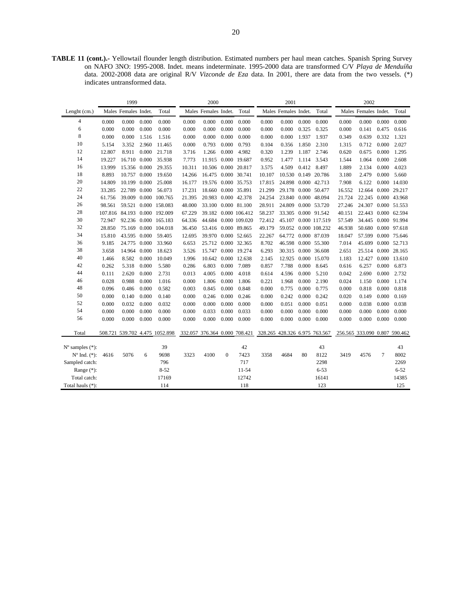**TABLE 11 (cont.).-** Yellowtail flounder length distribution. Estimated numbers per haul mean catches. Spanish Spring Survey on NAFO 3NO: 1995-2008. Indet. means indeterminate. 1995-2000 data are transformed C/V *Playa de Menduíña*  data. 2002-2008 data are original R/V *Vizconde de Eza* data. In 2001, there are data from the two vessels. (\*) indicates untransformed data.

| Males Females Indet.<br>Total<br>Males Females Indet.<br>Total<br>Males Females Indet.<br>Total<br>Males Females Indet.<br>Total<br>Lenght $(cm.)$<br>4<br>0.000<br>0.000<br>0.000<br>0.000<br>0.000<br>0.000<br>0.000<br>0.000<br>0.000<br>0.000<br>0.000<br>0.000<br>0.000<br>0.000<br>0.000<br>0.000<br>6<br>0.000<br>0.000<br>0.000<br>0.000<br>0.000<br>0.000<br>0.000<br>0.000<br>0.000<br>0.000<br>0.325<br>0.325<br>0.000<br>0.475<br>0.616<br>0.141<br>8<br>0.000<br>0.332<br>0.000<br>1.516<br>0.000<br>0.000<br>0.000<br>0.000<br>0.000<br>0.000<br>1.937<br>1.937<br>0.349<br>0.639<br>1.321<br>1.516<br>10<br>0.000<br>5.154<br>3.352<br>2.960<br>0.000<br>0.793<br>0.000<br>0.793<br>0.104<br>0.356<br>1.850<br>2.310<br>0.712<br>2.027<br>11.465<br>1.315<br>12<br>0.000<br>0.675<br>0.000<br>12.807<br>8.911<br>21.718<br>3.716<br>1.266<br>0.000<br>4.982<br>0.320<br>1.239<br>1.187<br>2.746<br>0.620<br>1.295<br>14<br>16.710<br>0.000<br>35.938<br>7.773<br>11.915 0.000 19.687<br>1.064<br>0.000<br>2.608<br>19.227<br>0.952<br>1.477<br>1.114<br>3.543<br>1.544<br>16<br>15.356 0.000<br>10.311<br>10.506 0.000 20.817<br>0.000<br>4.023<br>13.999<br>29.355<br>3.575<br>4.509<br>0.412<br>8.497<br>1.889<br>2.134<br>18<br>8.893<br>0.000<br>16.475 0.000 30.741<br>10.530<br>0.149<br>2.479<br>5.660<br>10.757<br>19.650<br>14.266<br>10.107<br>20.786<br>3.180<br>0.000<br>20<br>14.809<br>10.199<br>0.000<br>25.008<br>16.177<br>19.576 0.000 35.753<br>17.815<br>24.898<br>0.000 42.713<br>7.908<br>6.122<br>0.000 14.030<br>22<br>22.789<br>0.000<br>17.231<br>18.660<br>0.000 35.891<br>29.178<br>0.000 50.477<br>12.664 0.000 29.217<br>33.285<br>56.073<br>21.299<br>16.552<br>24<br>0.000 42.378<br>22.245 0.000 43.968<br>61.756<br>39.009<br>0.000 100.765<br>21.395<br>20.983<br>24.254<br>23.840<br>0.000 48.094<br>21.724<br>26<br>33.100<br>0.000 81.100<br>24.307 0.000 51.553<br>98.561<br>59.521 0.000 158.083<br>48.000<br>28.911<br>24.809<br>0.000 53.720<br>27.246<br>28<br>107.816 84.193 0.000 192.009<br>39.182 0.000 106.412<br>58.237<br>33.305<br>0.000 91.542<br>40.151<br>22.443 0.000 62.594<br>67.229<br>30<br>92.236 0.000 165.183<br>64.336<br>0.000 109.020<br>72.412<br>45.107<br>0.000 117.519<br>57.549<br>34.445 0.000 91.994<br>72.947<br>44.684<br>32<br>28.850<br>75.169 0.000 104.018<br>53.416 0.000 89.865<br>49.179<br>59.052<br>0.000 108.232<br>46.938<br>50.680 0.000 97.618<br>36.450<br>34<br>15.810<br>43.595<br>39.970<br>0.000 52.665<br>22.267<br>64.772<br>0.000 87.039<br>57.599 0.000 75.646<br>0.000<br>59.405<br>12.695<br>18.047<br>36<br>25.712<br>0.000 32.365<br>8.702<br>45.699 0.000 52.713<br>9.185<br>24.775<br>0.000<br>33.960<br>6.653<br>46.598<br>0.000 55.300<br>7.014<br>38<br>0.000<br>0.000 19.274<br>30.315<br>25.514 0.000 28.165<br>3.658<br>14.964<br>18.623<br>3.526<br>15.747<br>6.293<br>0.000 36.608<br>2.651<br>40<br>0.000<br>10.642 0.000 12.638<br>12.427 0.000 13.610<br>1.466<br>8.582<br>10.049<br>1.996<br>2.145<br>12.925<br>0.000 15.070<br>1.183<br>42<br>0.262<br>0.000<br>5.580<br>6.803<br>0.000<br>7.089<br>0.857<br>7.788<br>0.000<br>8.645<br>6.257<br>0.000<br>6.873<br>5.318<br>0.286<br>0.616<br>44<br>0.000<br>4.005<br>0.000<br>4.018<br>0.000<br>2.690<br>0.000<br>2.732<br>0.111<br>2.620<br>2.731<br>0.013<br>0.614<br>4.596<br>5.210<br>0.042<br>46<br>0.028<br>0.988<br>0.000<br>0.000<br>0.000<br>1.806<br>0.221<br>0.000<br>2.190<br>0.000<br>1.174<br>1.016<br>1.806<br>1.968<br>0.024<br>1.150<br>48<br>0.096<br>0.486<br>0.000<br>0.582<br>0.003<br>0.000<br>0.848<br>0.000<br>0.775<br>0.000<br>0.775<br>0.818<br>0.000<br>0.818<br>0.845<br>0.000<br>50<br>0.000<br>0.140<br>0.000<br>0.000<br>0.246<br>0.000<br>0.242<br>0.000<br>0.242<br>0.149<br>0.000<br>0.169<br>0.140<br>0.000<br>0.246<br>0.020<br>52<br>0.000<br>0.032<br>0.000<br>0.032<br>0.000<br>0.000<br>0.000<br>0.000<br>0.000<br>0.051<br>0.000<br>0.051<br>0.000<br>0.038<br>0.000<br>0.038<br>54<br>0.000<br>0.000<br>0.000<br>0.000<br>0.000<br>0.000<br>0.000<br>0.000<br>0.000<br>0.000<br>0.033<br>0.033<br>0.000<br>0.000<br>0.000<br>0.000<br>56<br>0.000<br>0.000<br>0.000<br>0.000<br>0.000<br>0.000<br>0.000<br>0.000<br>0.000<br>0.000<br>0.000<br>0.000<br>0.000<br>0.000<br>0.000<br>0.000<br>332.057 376.364 0.000 708.421 328.265 428.326 6.975 763.567<br>256.565 333.090 0.807 590.462<br>Total<br>508.721 539.702 4.475 1052.898<br>39<br>42<br>43<br>43<br>$N^{\circ}$ samples $(*)$ :<br>$N^{\circ}$ Ind. $(*)$ :<br>5076<br>9698<br>3323<br>4100<br>$\Omega$<br>7423<br>3358<br>4684<br>80<br>8122<br>3419<br>4576<br>7<br>8002<br>4616<br>6<br>717<br>796<br>2269<br>Sampled catch:<br>2298<br>$8 - 52$<br>$11 - 54$<br>$6 - 53$<br>$6 - 52$<br>Range $(*)$ :<br>Total catch:<br>17169<br>12742<br>16141<br>14385<br>114<br>118<br>123<br>125<br>Total hauls (*): |  | 1999 |  | 2000 |  | 2001 |  | 2002 |  |
|--------------------------------------------------------------------------------------------------------------------------------------------------------------------------------------------------------------------------------------------------------------------------------------------------------------------------------------------------------------------------------------------------------------------------------------------------------------------------------------------------------------------------------------------------------------------------------------------------------------------------------------------------------------------------------------------------------------------------------------------------------------------------------------------------------------------------------------------------------------------------------------------------------------------------------------------------------------------------------------------------------------------------------------------------------------------------------------------------------------------------------------------------------------------------------------------------------------------------------------------------------------------------------------------------------------------------------------------------------------------------------------------------------------------------------------------------------------------------------------------------------------------------------------------------------------------------------------------------------------------------------------------------------------------------------------------------------------------------------------------------------------------------------------------------------------------------------------------------------------------------------------------------------------------------------------------------------------------------------------------------------------------------------------------------------------------------------------------------------------------------------------------------------------------------------------------------------------------------------------------------------------------------------------------------------------------------------------------------------------------------------------------------------------------------------------------------------------------------------------------------------------------------------------------------------------------------------------------------------------------------------------------------------------------------------------------------------------------------------------------------------------------------------------------------------------------------------------------------------------------------------------------------------------------------------------------------------------------------------------------------------------------------------------------------------------------------------------------------------------------------------------------------------------------------------------------------------------------------------------------------------------------------------------------------------------------------------------------------------------------------------------------------------------------------------------------------------------------------------------------------------------------------------------------------------------------------------------------------------------------------------------------------------------------------------------------------------------------------------------------------------------------------------------------------------------------------------------------------------------------------------------------------------------------------------------------------------------------------------------------------------------------------------------------------------------------------------------------------------------------------------------------------------------------------------------------------------------------------------------------------------------------------------------------------------------------------------------------------------------------------------------------------------------------------------------------------------------------------------------------------------------------------------------------------------------------------------------------------------------------------------------------------------------------------------------------------------------------------------------------------------------------------------------------------------------------------------------------------------------------------------------------------------|--|------|--|------|--|------|--|------|--|
|                                                                                                                                                                                                                                                                                                                                                                                                                                                                                                                                                                                                                                                                                                                                                                                                                                                                                                                                                                                                                                                                                                                                                                                                                                                                                                                                                                                                                                                                                                                                                                                                                                                                                                                                                                                                                                                                                                                                                                                                                                                                                                                                                                                                                                                                                                                                                                                                                                                                                                                                                                                                                                                                                                                                                                                                                                                                                                                                                                                                                                                                                                                                                                                                                                                                                                                                                                                                                                                                                                                                                                                                                                                                                                                                                                                                                                                                                                                                                                                                                                                                                                                                                                                                                                                                                                                                                                                                                                                                                                                                                                                                                                                                                                                                                                                                                                                                                                        |  |      |  |      |  |      |  |      |  |
|                                                                                                                                                                                                                                                                                                                                                                                                                                                                                                                                                                                                                                                                                                                                                                                                                                                                                                                                                                                                                                                                                                                                                                                                                                                                                                                                                                                                                                                                                                                                                                                                                                                                                                                                                                                                                                                                                                                                                                                                                                                                                                                                                                                                                                                                                                                                                                                                                                                                                                                                                                                                                                                                                                                                                                                                                                                                                                                                                                                                                                                                                                                                                                                                                                                                                                                                                                                                                                                                                                                                                                                                                                                                                                                                                                                                                                                                                                                                                                                                                                                                                                                                                                                                                                                                                                                                                                                                                                                                                                                                                                                                                                                                                                                                                                                                                                                                                                        |  |      |  |      |  |      |  |      |  |
|                                                                                                                                                                                                                                                                                                                                                                                                                                                                                                                                                                                                                                                                                                                                                                                                                                                                                                                                                                                                                                                                                                                                                                                                                                                                                                                                                                                                                                                                                                                                                                                                                                                                                                                                                                                                                                                                                                                                                                                                                                                                                                                                                                                                                                                                                                                                                                                                                                                                                                                                                                                                                                                                                                                                                                                                                                                                                                                                                                                                                                                                                                                                                                                                                                                                                                                                                                                                                                                                                                                                                                                                                                                                                                                                                                                                                                                                                                                                                                                                                                                                                                                                                                                                                                                                                                                                                                                                                                                                                                                                                                                                                                                                                                                                                                                                                                                                                                        |  |      |  |      |  |      |  |      |  |
|                                                                                                                                                                                                                                                                                                                                                                                                                                                                                                                                                                                                                                                                                                                                                                                                                                                                                                                                                                                                                                                                                                                                                                                                                                                                                                                                                                                                                                                                                                                                                                                                                                                                                                                                                                                                                                                                                                                                                                                                                                                                                                                                                                                                                                                                                                                                                                                                                                                                                                                                                                                                                                                                                                                                                                                                                                                                                                                                                                                                                                                                                                                                                                                                                                                                                                                                                                                                                                                                                                                                                                                                                                                                                                                                                                                                                                                                                                                                                                                                                                                                                                                                                                                                                                                                                                                                                                                                                                                                                                                                                                                                                                                                                                                                                                                                                                                                                                        |  |      |  |      |  |      |  |      |  |
|                                                                                                                                                                                                                                                                                                                                                                                                                                                                                                                                                                                                                                                                                                                                                                                                                                                                                                                                                                                                                                                                                                                                                                                                                                                                                                                                                                                                                                                                                                                                                                                                                                                                                                                                                                                                                                                                                                                                                                                                                                                                                                                                                                                                                                                                                                                                                                                                                                                                                                                                                                                                                                                                                                                                                                                                                                                                                                                                                                                                                                                                                                                                                                                                                                                                                                                                                                                                                                                                                                                                                                                                                                                                                                                                                                                                                                                                                                                                                                                                                                                                                                                                                                                                                                                                                                                                                                                                                                                                                                                                                                                                                                                                                                                                                                                                                                                                                                        |  |      |  |      |  |      |  |      |  |
|                                                                                                                                                                                                                                                                                                                                                                                                                                                                                                                                                                                                                                                                                                                                                                                                                                                                                                                                                                                                                                                                                                                                                                                                                                                                                                                                                                                                                                                                                                                                                                                                                                                                                                                                                                                                                                                                                                                                                                                                                                                                                                                                                                                                                                                                                                                                                                                                                                                                                                                                                                                                                                                                                                                                                                                                                                                                                                                                                                                                                                                                                                                                                                                                                                                                                                                                                                                                                                                                                                                                                                                                                                                                                                                                                                                                                                                                                                                                                                                                                                                                                                                                                                                                                                                                                                                                                                                                                                                                                                                                                                                                                                                                                                                                                                                                                                                                                                        |  |      |  |      |  |      |  |      |  |
|                                                                                                                                                                                                                                                                                                                                                                                                                                                                                                                                                                                                                                                                                                                                                                                                                                                                                                                                                                                                                                                                                                                                                                                                                                                                                                                                                                                                                                                                                                                                                                                                                                                                                                                                                                                                                                                                                                                                                                                                                                                                                                                                                                                                                                                                                                                                                                                                                                                                                                                                                                                                                                                                                                                                                                                                                                                                                                                                                                                                                                                                                                                                                                                                                                                                                                                                                                                                                                                                                                                                                                                                                                                                                                                                                                                                                                                                                                                                                                                                                                                                                                                                                                                                                                                                                                                                                                                                                                                                                                                                                                                                                                                                                                                                                                                                                                                                                                        |  |      |  |      |  |      |  |      |  |
|                                                                                                                                                                                                                                                                                                                                                                                                                                                                                                                                                                                                                                                                                                                                                                                                                                                                                                                                                                                                                                                                                                                                                                                                                                                                                                                                                                                                                                                                                                                                                                                                                                                                                                                                                                                                                                                                                                                                                                                                                                                                                                                                                                                                                                                                                                                                                                                                                                                                                                                                                                                                                                                                                                                                                                                                                                                                                                                                                                                                                                                                                                                                                                                                                                                                                                                                                                                                                                                                                                                                                                                                                                                                                                                                                                                                                                                                                                                                                                                                                                                                                                                                                                                                                                                                                                                                                                                                                                                                                                                                                                                                                                                                                                                                                                                                                                                                                                        |  |      |  |      |  |      |  |      |  |
|                                                                                                                                                                                                                                                                                                                                                                                                                                                                                                                                                                                                                                                                                                                                                                                                                                                                                                                                                                                                                                                                                                                                                                                                                                                                                                                                                                                                                                                                                                                                                                                                                                                                                                                                                                                                                                                                                                                                                                                                                                                                                                                                                                                                                                                                                                                                                                                                                                                                                                                                                                                                                                                                                                                                                                                                                                                                                                                                                                                                                                                                                                                                                                                                                                                                                                                                                                                                                                                                                                                                                                                                                                                                                                                                                                                                                                                                                                                                                                                                                                                                                                                                                                                                                                                                                                                                                                                                                                                                                                                                                                                                                                                                                                                                                                                                                                                                                                        |  |      |  |      |  |      |  |      |  |
|                                                                                                                                                                                                                                                                                                                                                                                                                                                                                                                                                                                                                                                                                                                                                                                                                                                                                                                                                                                                                                                                                                                                                                                                                                                                                                                                                                                                                                                                                                                                                                                                                                                                                                                                                                                                                                                                                                                                                                                                                                                                                                                                                                                                                                                                                                                                                                                                                                                                                                                                                                                                                                                                                                                                                                                                                                                                                                                                                                                                                                                                                                                                                                                                                                                                                                                                                                                                                                                                                                                                                                                                                                                                                                                                                                                                                                                                                                                                                                                                                                                                                                                                                                                                                                                                                                                                                                                                                                                                                                                                                                                                                                                                                                                                                                                                                                                                                                        |  |      |  |      |  |      |  |      |  |
|                                                                                                                                                                                                                                                                                                                                                                                                                                                                                                                                                                                                                                                                                                                                                                                                                                                                                                                                                                                                                                                                                                                                                                                                                                                                                                                                                                                                                                                                                                                                                                                                                                                                                                                                                                                                                                                                                                                                                                                                                                                                                                                                                                                                                                                                                                                                                                                                                                                                                                                                                                                                                                                                                                                                                                                                                                                                                                                                                                                                                                                                                                                                                                                                                                                                                                                                                                                                                                                                                                                                                                                                                                                                                                                                                                                                                                                                                                                                                                                                                                                                                                                                                                                                                                                                                                                                                                                                                                                                                                                                                                                                                                                                                                                                                                                                                                                                                                        |  |      |  |      |  |      |  |      |  |
|                                                                                                                                                                                                                                                                                                                                                                                                                                                                                                                                                                                                                                                                                                                                                                                                                                                                                                                                                                                                                                                                                                                                                                                                                                                                                                                                                                                                                                                                                                                                                                                                                                                                                                                                                                                                                                                                                                                                                                                                                                                                                                                                                                                                                                                                                                                                                                                                                                                                                                                                                                                                                                                                                                                                                                                                                                                                                                                                                                                                                                                                                                                                                                                                                                                                                                                                                                                                                                                                                                                                                                                                                                                                                                                                                                                                                                                                                                                                                                                                                                                                                                                                                                                                                                                                                                                                                                                                                                                                                                                                                                                                                                                                                                                                                                                                                                                                                                        |  |      |  |      |  |      |  |      |  |
|                                                                                                                                                                                                                                                                                                                                                                                                                                                                                                                                                                                                                                                                                                                                                                                                                                                                                                                                                                                                                                                                                                                                                                                                                                                                                                                                                                                                                                                                                                                                                                                                                                                                                                                                                                                                                                                                                                                                                                                                                                                                                                                                                                                                                                                                                                                                                                                                                                                                                                                                                                                                                                                                                                                                                                                                                                                                                                                                                                                                                                                                                                                                                                                                                                                                                                                                                                                                                                                                                                                                                                                                                                                                                                                                                                                                                                                                                                                                                                                                                                                                                                                                                                                                                                                                                                                                                                                                                                                                                                                                                                                                                                                                                                                                                                                                                                                                                                        |  |      |  |      |  |      |  |      |  |
|                                                                                                                                                                                                                                                                                                                                                                                                                                                                                                                                                                                                                                                                                                                                                                                                                                                                                                                                                                                                                                                                                                                                                                                                                                                                                                                                                                                                                                                                                                                                                                                                                                                                                                                                                                                                                                                                                                                                                                                                                                                                                                                                                                                                                                                                                                                                                                                                                                                                                                                                                                                                                                                                                                                                                                                                                                                                                                                                                                                                                                                                                                                                                                                                                                                                                                                                                                                                                                                                                                                                                                                                                                                                                                                                                                                                                                                                                                                                                                                                                                                                                                                                                                                                                                                                                                                                                                                                                                                                                                                                                                                                                                                                                                                                                                                                                                                                                                        |  |      |  |      |  |      |  |      |  |
|                                                                                                                                                                                                                                                                                                                                                                                                                                                                                                                                                                                                                                                                                                                                                                                                                                                                                                                                                                                                                                                                                                                                                                                                                                                                                                                                                                                                                                                                                                                                                                                                                                                                                                                                                                                                                                                                                                                                                                                                                                                                                                                                                                                                                                                                                                                                                                                                                                                                                                                                                                                                                                                                                                                                                                                                                                                                                                                                                                                                                                                                                                                                                                                                                                                                                                                                                                                                                                                                                                                                                                                                                                                                                                                                                                                                                                                                                                                                                                                                                                                                                                                                                                                                                                                                                                                                                                                                                                                                                                                                                                                                                                                                                                                                                                                                                                                                                                        |  |      |  |      |  |      |  |      |  |
|                                                                                                                                                                                                                                                                                                                                                                                                                                                                                                                                                                                                                                                                                                                                                                                                                                                                                                                                                                                                                                                                                                                                                                                                                                                                                                                                                                                                                                                                                                                                                                                                                                                                                                                                                                                                                                                                                                                                                                                                                                                                                                                                                                                                                                                                                                                                                                                                                                                                                                                                                                                                                                                                                                                                                                                                                                                                                                                                                                                                                                                                                                                                                                                                                                                                                                                                                                                                                                                                                                                                                                                                                                                                                                                                                                                                                                                                                                                                                                                                                                                                                                                                                                                                                                                                                                                                                                                                                                                                                                                                                                                                                                                                                                                                                                                                                                                                                                        |  |      |  |      |  |      |  |      |  |
|                                                                                                                                                                                                                                                                                                                                                                                                                                                                                                                                                                                                                                                                                                                                                                                                                                                                                                                                                                                                                                                                                                                                                                                                                                                                                                                                                                                                                                                                                                                                                                                                                                                                                                                                                                                                                                                                                                                                                                                                                                                                                                                                                                                                                                                                                                                                                                                                                                                                                                                                                                                                                                                                                                                                                                                                                                                                                                                                                                                                                                                                                                                                                                                                                                                                                                                                                                                                                                                                                                                                                                                                                                                                                                                                                                                                                                                                                                                                                                                                                                                                                                                                                                                                                                                                                                                                                                                                                                                                                                                                                                                                                                                                                                                                                                                                                                                                                                        |  |      |  |      |  |      |  |      |  |
|                                                                                                                                                                                                                                                                                                                                                                                                                                                                                                                                                                                                                                                                                                                                                                                                                                                                                                                                                                                                                                                                                                                                                                                                                                                                                                                                                                                                                                                                                                                                                                                                                                                                                                                                                                                                                                                                                                                                                                                                                                                                                                                                                                                                                                                                                                                                                                                                                                                                                                                                                                                                                                                                                                                                                                                                                                                                                                                                                                                                                                                                                                                                                                                                                                                                                                                                                                                                                                                                                                                                                                                                                                                                                                                                                                                                                                                                                                                                                                                                                                                                                                                                                                                                                                                                                                                                                                                                                                                                                                                                                                                                                                                                                                                                                                                                                                                                                                        |  |      |  |      |  |      |  |      |  |
|                                                                                                                                                                                                                                                                                                                                                                                                                                                                                                                                                                                                                                                                                                                                                                                                                                                                                                                                                                                                                                                                                                                                                                                                                                                                                                                                                                                                                                                                                                                                                                                                                                                                                                                                                                                                                                                                                                                                                                                                                                                                                                                                                                                                                                                                                                                                                                                                                                                                                                                                                                                                                                                                                                                                                                                                                                                                                                                                                                                                                                                                                                                                                                                                                                                                                                                                                                                                                                                                                                                                                                                                                                                                                                                                                                                                                                                                                                                                                                                                                                                                                                                                                                                                                                                                                                                                                                                                                                                                                                                                                                                                                                                                                                                                                                                                                                                                                                        |  |      |  |      |  |      |  |      |  |
|                                                                                                                                                                                                                                                                                                                                                                                                                                                                                                                                                                                                                                                                                                                                                                                                                                                                                                                                                                                                                                                                                                                                                                                                                                                                                                                                                                                                                                                                                                                                                                                                                                                                                                                                                                                                                                                                                                                                                                                                                                                                                                                                                                                                                                                                                                                                                                                                                                                                                                                                                                                                                                                                                                                                                                                                                                                                                                                                                                                                                                                                                                                                                                                                                                                                                                                                                                                                                                                                                                                                                                                                                                                                                                                                                                                                                                                                                                                                                                                                                                                                                                                                                                                                                                                                                                                                                                                                                                                                                                                                                                                                                                                                                                                                                                                                                                                                                                        |  |      |  |      |  |      |  |      |  |
|                                                                                                                                                                                                                                                                                                                                                                                                                                                                                                                                                                                                                                                                                                                                                                                                                                                                                                                                                                                                                                                                                                                                                                                                                                                                                                                                                                                                                                                                                                                                                                                                                                                                                                                                                                                                                                                                                                                                                                                                                                                                                                                                                                                                                                                                                                                                                                                                                                                                                                                                                                                                                                                                                                                                                                                                                                                                                                                                                                                                                                                                                                                                                                                                                                                                                                                                                                                                                                                                                                                                                                                                                                                                                                                                                                                                                                                                                                                                                                                                                                                                                                                                                                                                                                                                                                                                                                                                                                                                                                                                                                                                                                                                                                                                                                                                                                                                                                        |  |      |  |      |  |      |  |      |  |
|                                                                                                                                                                                                                                                                                                                                                                                                                                                                                                                                                                                                                                                                                                                                                                                                                                                                                                                                                                                                                                                                                                                                                                                                                                                                                                                                                                                                                                                                                                                                                                                                                                                                                                                                                                                                                                                                                                                                                                                                                                                                                                                                                                                                                                                                                                                                                                                                                                                                                                                                                                                                                                                                                                                                                                                                                                                                                                                                                                                                                                                                                                                                                                                                                                                                                                                                                                                                                                                                                                                                                                                                                                                                                                                                                                                                                                                                                                                                                                                                                                                                                                                                                                                                                                                                                                                                                                                                                                                                                                                                                                                                                                                                                                                                                                                                                                                                                                        |  |      |  |      |  |      |  |      |  |
|                                                                                                                                                                                                                                                                                                                                                                                                                                                                                                                                                                                                                                                                                                                                                                                                                                                                                                                                                                                                                                                                                                                                                                                                                                                                                                                                                                                                                                                                                                                                                                                                                                                                                                                                                                                                                                                                                                                                                                                                                                                                                                                                                                                                                                                                                                                                                                                                                                                                                                                                                                                                                                                                                                                                                                                                                                                                                                                                                                                                                                                                                                                                                                                                                                                                                                                                                                                                                                                                                                                                                                                                                                                                                                                                                                                                                                                                                                                                                                                                                                                                                                                                                                                                                                                                                                                                                                                                                                                                                                                                                                                                                                                                                                                                                                                                                                                                                                        |  |      |  |      |  |      |  |      |  |
|                                                                                                                                                                                                                                                                                                                                                                                                                                                                                                                                                                                                                                                                                                                                                                                                                                                                                                                                                                                                                                                                                                                                                                                                                                                                                                                                                                                                                                                                                                                                                                                                                                                                                                                                                                                                                                                                                                                                                                                                                                                                                                                                                                                                                                                                                                                                                                                                                                                                                                                                                                                                                                                                                                                                                                                                                                                                                                                                                                                                                                                                                                                                                                                                                                                                                                                                                                                                                                                                                                                                                                                                                                                                                                                                                                                                                                                                                                                                                                                                                                                                                                                                                                                                                                                                                                                                                                                                                                                                                                                                                                                                                                                                                                                                                                                                                                                                                                        |  |      |  |      |  |      |  |      |  |
|                                                                                                                                                                                                                                                                                                                                                                                                                                                                                                                                                                                                                                                                                                                                                                                                                                                                                                                                                                                                                                                                                                                                                                                                                                                                                                                                                                                                                                                                                                                                                                                                                                                                                                                                                                                                                                                                                                                                                                                                                                                                                                                                                                                                                                                                                                                                                                                                                                                                                                                                                                                                                                                                                                                                                                                                                                                                                                                                                                                                                                                                                                                                                                                                                                                                                                                                                                                                                                                                                                                                                                                                                                                                                                                                                                                                                                                                                                                                                                                                                                                                                                                                                                                                                                                                                                                                                                                                                                                                                                                                                                                                                                                                                                                                                                                                                                                                                                        |  |      |  |      |  |      |  |      |  |
|                                                                                                                                                                                                                                                                                                                                                                                                                                                                                                                                                                                                                                                                                                                                                                                                                                                                                                                                                                                                                                                                                                                                                                                                                                                                                                                                                                                                                                                                                                                                                                                                                                                                                                                                                                                                                                                                                                                                                                                                                                                                                                                                                                                                                                                                                                                                                                                                                                                                                                                                                                                                                                                                                                                                                                                                                                                                                                                                                                                                                                                                                                                                                                                                                                                                                                                                                                                                                                                                                                                                                                                                                                                                                                                                                                                                                                                                                                                                                                                                                                                                                                                                                                                                                                                                                                                                                                                                                                                                                                                                                                                                                                                                                                                                                                                                                                                                                                        |  |      |  |      |  |      |  |      |  |
|                                                                                                                                                                                                                                                                                                                                                                                                                                                                                                                                                                                                                                                                                                                                                                                                                                                                                                                                                                                                                                                                                                                                                                                                                                                                                                                                                                                                                                                                                                                                                                                                                                                                                                                                                                                                                                                                                                                                                                                                                                                                                                                                                                                                                                                                                                                                                                                                                                                                                                                                                                                                                                                                                                                                                                                                                                                                                                                                                                                                                                                                                                                                                                                                                                                                                                                                                                                                                                                                                                                                                                                                                                                                                                                                                                                                                                                                                                                                                                                                                                                                                                                                                                                                                                                                                                                                                                                                                                                                                                                                                                                                                                                                                                                                                                                                                                                                                                        |  |      |  |      |  |      |  |      |  |
|                                                                                                                                                                                                                                                                                                                                                                                                                                                                                                                                                                                                                                                                                                                                                                                                                                                                                                                                                                                                                                                                                                                                                                                                                                                                                                                                                                                                                                                                                                                                                                                                                                                                                                                                                                                                                                                                                                                                                                                                                                                                                                                                                                                                                                                                                                                                                                                                                                                                                                                                                                                                                                                                                                                                                                                                                                                                                                                                                                                                                                                                                                                                                                                                                                                                                                                                                                                                                                                                                                                                                                                                                                                                                                                                                                                                                                                                                                                                                                                                                                                                                                                                                                                                                                                                                                                                                                                                                                                                                                                                                                                                                                                                                                                                                                                                                                                                                                        |  |      |  |      |  |      |  |      |  |
|                                                                                                                                                                                                                                                                                                                                                                                                                                                                                                                                                                                                                                                                                                                                                                                                                                                                                                                                                                                                                                                                                                                                                                                                                                                                                                                                                                                                                                                                                                                                                                                                                                                                                                                                                                                                                                                                                                                                                                                                                                                                                                                                                                                                                                                                                                                                                                                                                                                                                                                                                                                                                                                                                                                                                                                                                                                                                                                                                                                                                                                                                                                                                                                                                                                                                                                                                                                                                                                                                                                                                                                                                                                                                                                                                                                                                                                                                                                                                                                                                                                                                                                                                                                                                                                                                                                                                                                                                                                                                                                                                                                                                                                                                                                                                                                                                                                                                                        |  |      |  |      |  |      |  |      |  |
|                                                                                                                                                                                                                                                                                                                                                                                                                                                                                                                                                                                                                                                                                                                                                                                                                                                                                                                                                                                                                                                                                                                                                                                                                                                                                                                                                                                                                                                                                                                                                                                                                                                                                                                                                                                                                                                                                                                                                                                                                                                                                                                                                                                                                                                                                                                                                                                                                                                                                                                                                                                                                                                                                                                                                                                                                                                                                                                                                                                                                                                                                                                                                                                                                                                                                                                                                                                                                                                                                                                                                                                                                                                                                                                                                                                                                                                                                                                                                                                                                                                                                                                                                                                                                                                                                                                                                                                                                                                                                                                                                                                                                                                                                                                                                                                                                                                                                                        |  |      |  |      |  |      |  |      |  |
|                                                                                                                                                                                                                                                                                                                                                                                                                                                                                                                                                                                                                                                                                                                                                                                                                                                                                                                                                                                                                                                                                                                                                                                                                                                                                                                                                                                                                                                                                                                                                                                                                                                                                                                                                                                                                                                                                                                                                                                                                                                                                                                                                                                                                                                                                                                                                                                                                                                                                                                                                                                                                                                                                                                                                                                                                                                                                                                                                                                                                                                                                                                                                                                                                                                                                                                                                                                                                                                                                                                                                                                                                                                                                                                                                                                                                                                                                                                                                                                                                                                                                                                                                                                                                                                                                                                                                                                                                                                                                                                                                                                                                                                                                                                                                                                                                                                                                                        |  |      |  |      |  |      |  |      |  |
|                                                                                                                                                                                                                                                                                                                                                                                                                                                                                                                                                                                                                                                                                                                                                                                                                                                                                                                                                                                                                                                                                                                                                                                                                                                                                                                                                                                                                                                                                                                                                                                                                                                                                                                                                                                                                                                                                                                                                                                                                                                                                                                                                                                                                                                                                                                                                                                                                                                                                                                                                                                                                                                                                                                                                                                                                                                                                                                                                                                                                                                                                                                                                                                                                                                                                                                                                                                                                                                                                                                                                                                                                                                                                                                                                                                                                                                                                                                                                                                                                                                                                                                                                                                                                                                                                                                                                                                                                                                                                                                                                                                                                                                                                                                                                                                                                                                                                                        |  |      |  |      |  |      |  |      |  |
|                                                                                                                                                                                                                                                                                                                                                                                                                                                                                                                                                                                                                                                                                                                                                                                                                                                                                                                                                                                                                                                                                                                                                                                                                                                                                                                                                                                                                                                                                                                                                                                                                                                                                                                                                                                                                                                                                                                                                                                                                                                                                                                                                                                                                                                                                                                                                                                                                                                                                                                                                                                                                                                                                                                                                                                                                                                                                                                                                                                                                                                                                                                                                                                                                                                                                                                                                                                                                                                                                                                                                                                                                                                                                                                                                                                                                                                                                                                                                                                                                                                                                                                                                                                                                                                                                                                                                                                                                                                                                                                                                                                                                                                                                                                                                                                                                                                                                                        |  |      |  |      |  |      |  |      |  |
|                                                                                                                                                                                                                                                                                                                                                                                                                                                                                                                                                                                                                                                                                                                                                                                                                                                                                                                                                                                                                                                                                                                                                                                                                                                                                                                                                                                                                                                                                                                                                                                                                                                                                                                                                                                                                                                                                                                                                                                                                                                                                                                                                                                                                                                                                                                                                                                                                                                                                                                                                                                                                                                                                                                                                                                                                                                                                                                                                                                                                                                                                                                                                                                                                                                                                                                                                                                                                                                                                                                                                                                                                                                                                                                                                                                                                                                                                                                                                                                                                                                                                                                                                                                                                                                                                                                                                                                                                                                                                                                                                                                                                                                                                                                                                                                                                                                                                                        |  |      |  |      |  |      |  |      |  |
|                                                                                                                                                                                                                                                                                                                                                                                                                                                                                                                                                                                                                                                                                                                                                                                                                                                                                                                                                                                                                                                                                                                                                                                                                                                                                                                                                                                                                                                                                                                                                                                                                                                                                                                                                                                                                                                                                                                                                                                                                                                                                                                                                                                                                                                                                                                                                                                                                                                                                                                                                                                                                                                                                                                                                                                                                                                                                                                                                                                                                                                                                                                                                                                                                                                                                                                                                                                                                                                                                                                                                                                                                                                                                                                                                                                                                                                                                                                                                                                                                                                                                                                                                                                                                                                                                                                                                                                                                                                                                                                                                                                                                                                                                                                                                                                                                                                                                                        |  |      |  |      |  |      |  |      |  |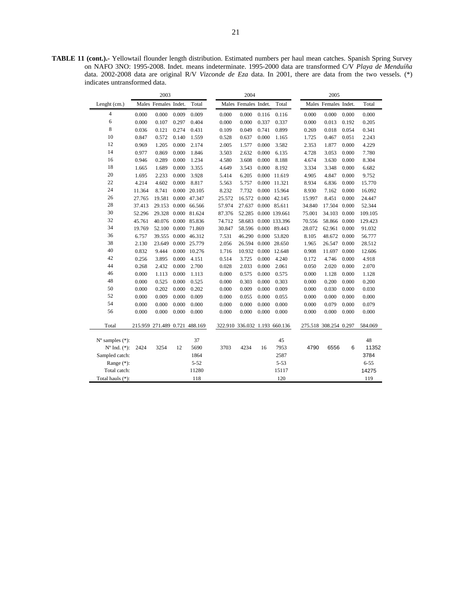**TABLE 11 (cont.).-** Yellowtail flounder length distribution. Estimated numbers per haul mean catches. Spanish Spring Survey on NAFO 3NO: 1995-2008. Indet. means indeterminate. 1995-2000 data are transformed C/V *Playa de Menduíña*  data. 2002-2008 data are original R/V *Vizconde de Eza* data. In 2001, there are data from the two vessels. (\*) indicates untransformed data.

|                             |        | 2003                          |       |              |        | 2004                          |       |               |        | 2005                  |       |          |
|-----------------------------|--------|-------------------------------|-------|--------------|--------|-------------------------------|-------|---------------|--------|-----------------------|-------|----------|
| Lenght (cm.)                |        | Males Females Indet.          |       | Total        |        | Males Females Indet.          |       | Total         |        | Males Females Indet.  |       | Total    |
| $\overline{4}$              | 0.000  | 0.000                         | 0.009 | 0.009        | 0.000  | 0.000                         | 0.116 | 0.116         | 0.000  | 0.000                 | 0.000 | 0.000    |
| 6                           | 0.000  | 0.107                         | 0.297 | 0.404        | 0.000  | 0.000                         | 0.337 | 0.337         | 0.000  | 0.013                 | 0.192 | 0.205    |
| 8                           | 0.036  | 0.121                         | 0.274 | 0.431        | 0.109  | 0.049                         | 0.741 | 0.899         | 0.269  | 0.018                 | 0.054 | 0.341    |
| 10                          | 0.847  | 0.572                         | 0.140 | 1.559        | 0.528  | 0.637                         | 0.000 | 1.165         | 1.725  | 0.467                 | 0.051 | 2.243    |
| 12                          | 0.969  | 1.205                         | 0.000 | 2.174        | 2.005  | 1.577                         | 0.000 | 3.582         | 2.353  | 1.877                 | 0.000 | 4.229    |
| 14                          | 0.977  | 0.869                         | 0.000 | 1.846        | 3.503  | 2.632                         | 0.000 | 6.135         | 4.728  | 3.053                 | 0.000 | 7.780    |
| 16                          | 0.946  | 0.289                         | 0.000 | 1.234        | 4.580  | 3.608                         | 0.000 | 8.188         | 4.674  | 3.630                 | 0.000 | 8.304    |
| 18                          | 1.665  | 1.689                         | 0.000 | 3.355        | 4.649  | 3.543                         | 0.000 | 8.192         | 3.334  | 3.348                 | 0.000 | 6.682    |
| 20                          | 1.695  | 2.233                         | 0.000 | 3.928        | 5.414  | 6.205                         |       | 0.000 11.619  | 4.905  | 4.847                 | 0.000 | 9.752    |
| 22                          | 4.214  | 4.602                         | 0.000 | 8.817        | 5.563  | 5.757                         |       | 0.000 11.321  | 8.934  | 6.836                 | 0.000 | 15.770   |
| 24                          | 11.364 | 8.741                         |       | 0.000 20.105 | 8.232  | 7.732                         |       | 0.000 15.964  | 8.930  | 7.162                 | 0.000 | 16.092   |
| 26                          | 27.765 | 19.581                        |       | 0.000 47.347 | 25.572 | 16.572                        | 0.000 | 42.145        | 15.997 | 8.451                 | 0.000 | 24.447   |
| 28                          | 37.413 | 29.153                        |       | 0.000 66.566 | 57.974 | 27.637                        |       | 0.000 85.611  | 34.840 | 17.504 0.000          |       | 52.344   |
| 30                          | 52.296 | 29.328 0.000 81.624           |       |              | 87.376 | 52.285                        |       | 0.000 139.661 | 75.001 | 34.103 0.000          |       | 109.105  |
| 32                          | 45.761 | 40.076 0.000 85.836           |       |              | 74.712 | 58.683                        |       | 0.000 133.396 | 70.556 | 58.866                | 0.000 | 129.423  |
| 34                          | 19.769 | 52.100 0.000 71.869           |       |              | 30.847 | 58.596                        |       | 0.000 89.443  | 28.072 | 62.961                | 0.000 | 91.032   |
| 36                          | 6.757  | 39.555                        |       | 0.000 46.312 | 7.531  | 46.290                        |       | 0.000 53.820  | 8.105  | 48.672 0.000          |       | 56.777   |
| 38                          | 2.130  | 23.649                        |       | 0.000 25.779 | 2.056  | 26.594                        | 0.000 | 28.650        | 1.965  | 26.547 0.000          |       | 28.512   |
| 40                          | 0.832  | 9.444                         | 0.000 | 10.276       | 1.716  | 10.932                        |       | 0.000 12.648  | 0.908  | 11.697                | 0.000 | 12.606   |
| 42                          | 0.256  | 3.895                         | 0.000 | 4.151        | 0.514  | 3.725                         | 0.000 | 4.240         | 0.172  | 4.746                 | 0.000 | 4.918    |
| 44                          | 0.268  | 2.432                         | 0.000 | 2.700        | 0.028  | 2.033                         | 0.000 | 2.061         | 0.050  | 2.020                 | 0.000 | 2.070    |
| 46                          | 0.000  | 1.113                         | 0.000 | 1.113        | 0.000  | 0.575                         | 0.000 | 0.575         | 0.000  | 1.128                 | 0.000 | 1.128    |
| 48                          | 0.000  | 0.525                         | 0.000 | 0.525        | 0.000  | 0.303                         | 0.000 | 0.303         | 0.000  | 0.200                 | 0.000 | 0.200    |
| 50                          | 0.000  | 0.202                         | 0.000 | 0.202        | 0.000  | 0.009                         | 0.000 | 0.009         | 0.000  | 0.030                 | 0.000 | 0.030    |
| 52                          | 0.000  | 0.009                         | 0.000 | 0.009        | 0.000  | 0.055                         | 0.000 | 0.055         | 0.000  | 0.000                 | 0.000 | 0.000    |
| 54                          | 0.000  | 0.000                         | 0.000 | 0.000        | 0.000  | 0.000                         | 0.000 | 0.000         | 0.000  | 0.079                 | 0.000 | 0.079    |
| 56                          | 0.000  | 0.000                         | 0.000 | 0.000        | 0.000  | 0.000                         | 0.000 | 0.000         | 0.000  | 0.000                 | 0.000 | 0.000    |
| Total                       |        | 215.959 271.489 0.721 488.169 |       |              |        | 322.910 336.032 1.193 660.136 |       |               |        | 275.518 308.254 0.297 |       | 584.069  |
| $N^{\circ}$ samples $(*)$ : |        |                               |       | 37           |        |                               |       | 45            |        |                       |       | 48       |
| $N^{\circ}$ Ind. $(*)$ :    | 2424   | 3254                          | 12    | 5690         | 3703   | 4234                          | 16    | 7953          | 4790   | 6556                  | 6     | 11352    |
| Sampled catch:              |        |                               |       | 1864         |        |                               |       | 2587          |        |                       |       | 3784     |
| Range $(*)$ :               |        |                               |       | $5 - 52$     |        |                               |       | $5 - 53$      |        |                       |       | $6 - 55$ |
| Total catch:                |        |                               |       | 11280        |        |                               |       | 15117         |        |                       |       | 14275    |
| Total hauls (*):            |        |                               |       | 118          |        |                               |       | 120           |        |                       |       | 119      |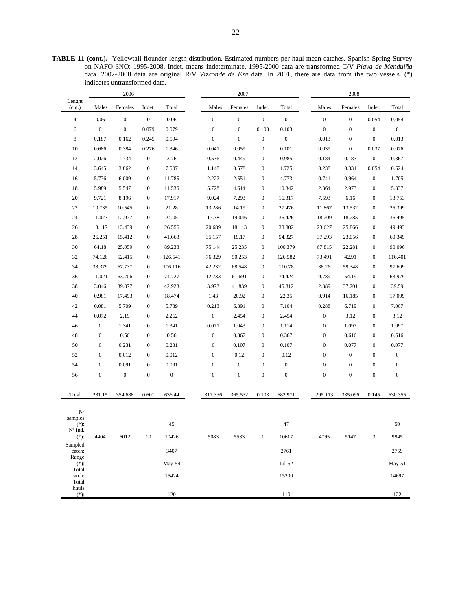**TABLE 11 (cont.).-** Yellowtail flounder length distribution. Estimated numbers per haul mean catches. Spanish Spring Survey on NAFO 3NO: 1995-2008. Indet. means indeterminate. 1995-2000 data are transformed C/V *Playa de Menduíña*  data. 2002-2008 data are original R/V *Vizconde de Eza* data. In 2001, there are data from the two vessels. (\*) indicates untransformed data.

| Lenght<br>(cm.)<br>Males<br>Females<br>Indet.<br>Total<br>Males<br>Females<br>Indet.<br>Total<br>Males<br>Females<br>Indet.<br>Total<br>$\boldsymbol{0}$<br>$\boldsymbol{0}$<br>$\boldsymbol{0}$<br>$\boldsymbol{0}$<br>$\boldsymbol{0}$<br>$\boldsymbol{0}$<br>$\overline{4}$<br>0.06<br>0.06<br>$\boldsymbol{0}$<br>$\boldsymbol{0}$<br>0.054<br>0.054<br>$\boldsymbol{0}$<br>$\boldsymbol{0}$<br>0.079<br>0.079<br>$\boldsymbol{0}$<br>$\boldsymbol{0}$<br>0.103<br>0.103<br>$\boldsymbol{0}$<br>$\boldsymbol{0}$<br>$\boldsymbol{0}$<br>$\mathbf{0}$<br>6<br>$\boldsymbol{0}$<br>8<br>$\boldsymbol{0}$<br>$\boldsymbol{0}$<br>$\boldsymbol{0}$<br>0.013<br>0.013<br>0.187<br>0.162<br>0.245<br>0.594<br>$\boldsymbol{0}$<br>$\boldsymbol{0}$<br>0.686<br>0.384<br>1.346<br>0.041<br>0.059<br>$\boldsymbol{0}$<br>0.101<br>0.039<br>$\boldsymbol{0}$<br>0.037<br>0.076<br>10<br>0.276<br>3.76<br>0.536<br>$\boldsymbol{0}$<br>0.367<br>12<br>2.026<br>1.734<br>$\boldsymbol{0}$<br>0.449<br>$\boldsymbol{0}$<br>0.985<br>0.184<br>0.183<br>3.862<br>7.507<br>0.238<br>0.331<br>0.054<br>0.624<br>14<br>3.645<br>$\boldsymbol{0}$<br>1.148<br>0.578<br>$\boldsymbol{0}$<br>1.725<br>1.705<br>16<br>5.776<br>6.009<br>$\boldsymbol{0}$<br>11.785<br>2.222<br>2.551<br>$\boldsymbol{0}$<br>4.773<br>0.741<br>0.964<br>$\boldsymbol{0}$<br>11.536<br>$\boldsymbol{0}$<br>$\boldsymbol{0}$<br>18<br>5.989<br>5.547<br>$\mathbf{0}$<br>5.728<br>4.614<br>10.342<br>2.364<br>2.973<br>5.337<br>20<br>9.721<br>8.196<br>$\boldsymbol{0}$<br>17.917<br>9.024<br>7.293<br>$\boldsymbol{0}$<br>16.317<br>7.593<br>6.16<br>$\boldsymbol{0}$<br>13.753<br>21.28<br>$\boldsymbol{0}$<br>27.476<br>25.399<br>22<br>10.735<br>10.545<br>$\boldsymbol{0}$<br>13.286<br>14.19<br>11.867<br>13.532<br>$\boldsymbol{0}$<br>24.05<br>19.046<br>24<br>11.073<br>12.977<br>$\boldsymbol{0}$<br>17.38<br>$\boldsymbol{0}$<br>36.426<br>18.209<br>18.285<br>$\boldsymbol{0}$<br>36.495<br>26.556<br>$\boldsymbol{0}$<br>38.802<br>49.493<br>26<br>13.117<br>13.439<br>$\mathbf{0}$<br>20.689<br>18.113<br>23.627<br>25.866<br>$\boldsymbol{0}$<br>28<br>26.251<br>15.412<br>$\boldsymbol{0}$<br>41.663<br>35.157<br>19.17<br>$\boldsymbol{0}$<br>54.327<br>37.293<br>23.056<br>$\boldsymbol{0}$<br>60.349<br>30<br>64.18<br>25.059<br>89.238<br>90.096<br>$\boldsymbol{0}$<br>75.144<br>25.235<br>$\boldsymbol{0}$<br>100.379<br>67.815<br>22.281<br>$\boldsymbol{0}$<br>32<br>74.126<br>52.415<br>$\boldsymbol{0}$<br>126.541<br>76.329<br>50.253<br>$\boldsymbol{0}$<br>126.582<br>73.491<br>42.91<br>$\boldsymbol{0}$<br>116.401<br>34<br>38.379<br>67.737<br>$\boldsymbol{0}$<br>106.116<br>42.232<br>68.548<br>$\boldsymbol{0}$<br>110.78<br>38.26<br>59.348<br>$\boldsymbol{0}$<br>97.609<br>36<br>11.021<br>63.706<br>$\boldsymbol{0}$<br>74.727<br>12.733<br>61.691<br>$\boldsymbol{0}$<br>74.424<br>9.789<br>54.19<br>$\boldsymbol{0}$<br>63.979<br>38<br>3.046<br>42.923<br>3.973<br>41.839<br>$\boldsymbol{0}$<br>45.812<br>37.201<br>$\boldsymbol{0}$<br>39.59<br>39.877<br>$\boldsymbol{0}$<br>2.389<br>0.981<br>$\boldsymbol{0}$<br>0.914<br>40<br>17.493<br>$\boldsymbol{0}$<br>18.474<br>1.43<br>20.92<br>22.35<br>16.185<br>$\boldsymbol{0}$<br>17.099<br>0.081<br>5.709<br>5.789<br>6.891<br>$\boldsymbol{0}$<br>7.104<br>7.007<br>42<br>$\mathbf{0}$<br>0.213<br>0.288<br>6.719<br>$\boldsymbol{0}$<br>2.19<br>2.262<br>$\boldsymbol{0}$<br>$\boldsymbol{0}$<br>$\boldsymbol{0}$<br>44<br>0.072<br>$\boldsymbol{0}$<br>2.454<br>2.454<br>3.12<br>$\boldsymbol{0}$<br>3.12<br>$\boldsymbol{0}$<br>1.341<br>1.341<br>0.071<br>1.043<br>$\boldsymbol{0}$<br>$\boldsymbol{0}$<br>1.097<br>$\boldsymbol{0}$<br>1.097<br>46<br>$\boldsymbol{0}$<br>1.114<br>$\boldsymbol{0}$<br>0.616<br>48<br>$\boldsymbol{0}$<br>0.56<br>$\boldsymbol{0}$<br>0.56<br>0.367<br>$\boldsymbol{0}$<br>0.367<br>$\boldsymbol{0}$<br>0.616<br>$\boldsymbol{0}$<br>$\boldsymbol{0}$<br>$\boldsymbol{0}$<br>0.231<br>$\boldsymbol{0}$<br>$\boldsymbol{0}$<br>$\boldsymbol{0}$<br>50<br>0.231<br>0.107<br>0.107<br>0.077<br>$\boldsymbol{0}$<br>0.077<br>0.012<br>$\boldsymbol{0}$<br>$\boldsymbol{0}$<br>$\boldsymbol{0}$<br>52<br>$\boldsymbol{0}$<br>0.012<br>$\boldsymbol{0}$<br>$\boldsymbol{0}$<br>0.12<br>0.12<br>$\boldsymbol{0}$<br>$\boldsymbol{0}$<br>54<br>$\boldsymbol{0}$<br>0.091<br>$\boldsymbol{0}$<br>0.091<br>$\boldsymbol{0}$<br>$\boldsymbol{0}$<br>$\boldsymbol{0}$<br>$\boldsymbol{0}$<br>$\boldsymbol{0}$<br>$\boldsymbol{0}$<br>$\boldsymbol{0}$<br>$\boldsymbol{0}$<br>$\boldsymbol{0}$<br>$\boldsymbol{0}$<br>56<br>$\boldsymbol{0}$<br>$\boldsymbol{0}$<br>$\boldsymbol{0}$<br>$\boldsymbol{0}$<br>$\boldsymbol{0}$<br>$\boldsymbol{0}$<br>$\boldsymbol{0}$<br>$\boldsymbol{0}$<br>$\boldsymbol{0}$<br>$\boldsymbol{0}$<br>0.103<br>281.15<br>354.688<br>0.601<br>636.44<br>317.336<br>365.532<br>682.971<br>295.113<br>335.096<br>0.145<br>630.355<br>Total<br>$N^{\rm o}$<br>samples<br>50<br>$(*)$ :<br>45<br>47<br>N° Ind.<br>5083<br>4795<br>9945<br>$(*)$ :<br>4404<br>6012<br>10<br>10426<br>5533<br>10617<br>5147<br>3<br>$\overline{1}$<br>Sampled<br>3407<br>2761<br>2759<br>catch:<br>Range<br>$(*)$ :<br>May-54<br>Jul-52<br>$May-51$<br>Total<br>14697<br>15424<br>15200<br>catch:<br>Total<br>hauls<br>120<br>110<br>$(*)$ :<br>122 |  | 2006 |  | 2007 |  | 2008 |  |  |  |  |
|-----------------------------------------------------------------------------------------------------------------------------------------------------------------------------------------------------------------------------------------------------------------------------------------------------------------------------------------------------------------------------------------------------------------------------------------------------------------------------------------------------------------------------------------------------------------------------------------------------------------------------------------------------------------------------------------------------------------------------------------------------------------------------------------------------------------------------------------------------------------------------------------------------------------------------------------------------------------------------------------------------------------------------------------------------------------------------------------------------------------------------------------------------------------------------------------------------------------------------------------------------------------------------------------------------------------------------------------------------------------------------------------------------------------------------------------------------------------------------------------------------------------------------------------------------------------------------------------------------------------------------------------------------------------------------------------------------------------------------------------------------------------------------------------------------------------------------------------------------------------------------------------------------------------------------------------------------------------------------------------------------------------------------------------------------------------------------------------------------------------------------------------------------------------------------------------------------------------------------------------------------------------------------------------------------------------------------------------------------------------------------------------------------------------------------------------------------------------------------------------------------------------------------------------------------------------------------------------------------------------------------------------------------------------------------------------------------------------------------------------------------------------------------------------------------------------------------------------------------------------------------------------------------------------------------------------------------------------------------------------------------------------------------------------------------------------------------------------------------------------------------------------------------------------------------------------------------------------------------------------------------------------------------------------------------------------------------------------------------------------------------------------------------------------------------------------------------------------------------------------------------------------------------------------------------------------------------------------------------------------------------------------------------------------------------------------------------------------------------------------------------------------------------------------------------------------------------------------------------------------------------------------------------------------------------------------------------------------------------------------------------------------------------------------------------------------------------------------------------------------------------------------------------------------------------------------------------------------------------------------------------------------------------------------------------------------------------------------------------------------------------------------------------------------------------------------------------------------------------------------------------------------------------------------------------------------------------------------------------------------------------------------------------------------------------------------------------------------------------------------------------------------------------------------------------------------------------------------------------------------------------------------------------------------------------------------------------------------------------------------------------------------------------------------------------------------------------------------------------------------------------------------------------------------------------------------------------------------------------------------------------------------------------------------------------------------------------------------------|--|------|--|------|--|------|--|--|--|--|
|                                                                                                                                                                                                                                                                                                                                                                                                                                                                                                                                                                                                                                                                                                                                                                                                                                                                                                                                                                                                                                                                                                                                                                                                                                                                                                                                                                                                                                                                                                                                                                                                                                                                                                                                                                                                                                                                                                                                                                                                                                                                                                                                                                                                                                                                                                                                                                                                                                                                                                                                                                                                                                                                                                                                                                                                                                                                                                                                                                                                                                                                                                                                                                                                                                                                                                                                                                                                                                                                                                                                                                                                                                                                                                                                                                                                                                                                                                                                                                                                                                                                                                                                                                                                                                                                                                                                                                                                                                                                                                                                                                                                                                                                                                                                                                                                                                                                                                                                                                                                                                                                                                                                                                                                                                                                                                                                               |  |      |  |      |  |      |  |  |  |  |
|                                                                                                                                                                                                                                                                                                                                                                                                                                                                                                                                                                                                                                                                                                                                                                                                                                                                                                                                                                                                                                                                                                                                                                                                                                                                                                                                                                                                                                                                                                                                                                                                                                                                                                                                                                                                                                                                                                                                                                                                                                                                                                                                                                                                                                                                                                                                                                                                                                                                                                                                                                                                                                                                                                                                                                                                                                                                                                                                                                                                                                                                                                                                                                                                                                                                                                                                                                                                                                                                                                                                                                                                                                                                                                                                                                                                                                                                                                                                                                                                                                                                                                                                                                                                                                                                                                                                                                                                                                                                                                                                                                                                                                                                                                                                                                                                                                                                                                                                                                                                                                                                                                                                                                                                                                                                                                                                               |  |      |  |      |  |      |  |  |  |  |
|                                                                                                                                                                                                                                                                                                                                                                                                                                                                                                                                                                                                                                                                                                                                                                                                                                                                                                                                                                                                                                                                                                                                                                                                                                                                                                                                                                                                                                                                                                                                                                                                                                                                                                                                                                                                                                                                                                                                                                                                                                                                                                                                                                                                                                                                                                                                                                                                                                                                                                                                                                                                                                                                                                                                                                                                                                                                                                                                                                                                                                                                                                                                                                                                                                                                                                                                                                                                                                                                                                                                                                                                                                                                                                                                                                                                                                                                                                                                                                                                                                                                                                                                                                                                                                                                                                                                                                                                                                                                                                                                                                                                                                                                                                                                                                                                                                                                                                                                                                                                                                                                                                                                                                                                                                                                                                                                               |  |      |  |      |  |      |  |  |  |  |
|                                                                                                                                                                                                                                                                                                                                                                                                                                                                                                                                                                                                                                                                                                                                                                                                                                                                                                                                                                                                                                                                                                                                                                                                                                                                                                                                                                                                                                                                                                                                                                                                                                                                                                                                                                                                                                                                                                                                                                                                                                                                                                                                                                                                                                                                                                                                                                                                                                                                                                                                                                                                                                                                                                                                                                                                                                                                                                                                                                                                                                                                                                                                                                                                                                                                                                                                                                                                                                                                                                                                                                                                                                                                                                                                                                                                                                                                                                                                                                                                                                                                                                                                                                                                                                                                                                                                                                                                                                                                                                                                                                                                                                                                                                                                                                                                                                                                                                                                                                                                                                                                                                                                                                                                                                                                                                                                               |  |      |  |      |  |      |  |  |  |  |
|                                                                                                                                                                                                                                                                                                                                                                                                                                                                                                                                                                                                                                                                                                                                                                                                                                                                                                                                                                                                                                                                                                                                                                                                                                                                                                                                                                                                                                                                                                                                                                                                                                                                                                                                                                                                                                                                                                                                                                                                                                                                                                                                                                                                                                                                                                                                                                                                                                                                                                                                                                                                                                                                                                                                                                                                                                                                                                                                                                                                                                                                                                                                                                                                                                                                                                                                                                                                                                                                                                                                                                                                                                                                                                                                                                                                                                                                                                                                                                                                                                                                                                                                                                                                                                                                                                                                                                                                                                                                                                                                                                                                                                                                                                                                                                                                                                                                                                                                                                                                                                                                                                                                                                                                                                                                                                                                               |  |      |  |      |  |      |  |  |  |  |
|                                                                                                                                                                                                                                                                                                                                                                                                                                                                                                                                                                                                                                                                                                                                                                                                                                                                                                                                                                                                                                                                                                                                                                                                                                                                                                                                                                                                                                                                                                                                                                                                                                                                                                                                                                                                                                                                                                                                                                                                                                                                                                                                                                                                                                                                                                                                                                                                                                                                                                                                                                                                                                                                                                                                                                                                                                                                                                                                                                                                                                                                                                                                                                                                                                                                                                                                                                                                                                                                                                                                                                                                                                                                                                                                                                                                                                                                                                                                                                                                                                                                                                                                                                                                                                                                                                                                                                                                                                                                                                                                                                                                                                                                                                                                                                                                                                                                                                                                                                                                                                                                                                                                                                                                                                                                                                                                               |  |      |  |      |  |      |  |  |  |  |
|                                                                                                                                                                                                                                                                                                                                                                                                                                                                                                                                                                                                                                                                                                                                                                                                                                                                                                                                                                                                                                                                                                                                                                                                                                                                                                                                                                                                                                                                                                                                                                                                                                                                                                                                                                                                                                                                                                                                                                                                                                                                                                                                                                                                                                                                                                                                                                                                                                                                                                                                                                                                                                                                                                                                                                                                                                                                                                                                                                                                                                                                                                                                                                                                                                                                                                                                                                                                                                                                                                                                                                                                                                                                                                                                                                                                                                                                                                                                                                                                                                                                                                                                                                                                                                                                                                                                                                                                                                                                                                                                                                                                                                                                                                                                                                                                                                                                                                                                                                                                                                                                                                                                                                                                                                                                                                                                               |  |      |  |      |  |      |  |  |  |  |
|                                                                                                                                                                                                                                                                                                                                                                                                                                                                                                                                                                                                                                                                                                                                                                                                                                                                                                                                                                                                                                                                                                                                                                                                                                                                                                                                                                                                                                                                                                                                                                                                                                                                                                                                                                                                                                                                                                                                                                                                                                                                                                                                                                                                                                                                                                                                                                                                                                                                                                                                                                                                                                                                                                                                                                                                                                                                                                                                                                                                                                                                                                                                                                                                                                                                                                                                                                                                                                                                                                                                                                                                                                                                                                                                                                                                                                                                                                                                                                                                                                                                                                                                                                                                                                                                                                                                                                                                                                                                                                                                                                                                                                                                                                                                                                                                                                                                                                                                                                                                                                                                                                                                                                                                                                                                                                                                               |  |      |  |      |  |      |  |  |  |  |
|                                                                                                                                                                                                                                                                                                                                                                                                                                                                                                                                                                                                                                                                                                                                                                                                                                                                                                                                                                                                                                                                                                                                                                                                                                                                                                                                                                                                                                                                                                                                                                                                                                                                                                                                                                                                                                                                                                                                                                                                                                                                                                                                                                                                                                                                                                                                                                                                                                                                                                                                                                                                                                                                                                                                                                                                                                                                                                                                                                                                                                                                                                                                                                                                                                                                                                                                                                                                                                                                                                                                                                                                                                                                                                                                                                                                                                                                                                                                                                                                                                                                                                                                                                                                                                                                                                                                                                                                                                                                                                                                                                                                                                                                                                                                                                                                                                                                                                                                                                                                                                                                                                                                                                                                                                                                                                                                               |  |      |  |      |  |      |  |  |  |  |
|                                                                                                                                                                                                                                                                                                                                                                                                                                                                                                                                                                                                                                                                                                                                                                                                                                                                                                                                                                                                                                                                                                                                                                                                                                                                                                                                                                                                                                                                                                                                                                                                                                                                                                                                                                                                                                                                                                                                                                                                                                                                                                                                                                                                                                                                                                                                                                                                                                                                                                                                                                                                                                                                                                                                                                                                                                                                                                                                                                                                                                                                                                                                                                                                                                                                                                                                                                                                                                                                                                                                                                                                                                                                                                                                                                                                                                                                                                                                                                                                                                                                                                                                                                                                                                                                                                                                                                                                                                                                                                                                                                                                                                                                                                                                                                                                                                                                                                                                                                                                                                                                                                                                                                                                                                                                                                                                               |  |      |  |      |  |      |  |  |  |  |
|                                                                                                                                                                                                                                                                                                                                                                                                                                                                                                                                                                                                                                                                                                                                                                                                                                                                                                                                                                                                                                                                                                                                                                                                                                                                                                                                                                                                                                                                                                                                                                                                                                                                                                                                                                                                                                                                                                                                                                                                                                                                                                                                                                                                                                                                                                                                                                                                                                                                                                                                                                                                                                                                                                                                                                                                                                                                                                                                                                                                                                                                                                                                                                                                                                                                                                                                                                                                                                                                                                                                                                                                                                                                                                                                                                                                                                                                                                                                                                                                                                                                                                                                                                                                                                                                                                                                                                                                                                                                                                                                                                                                                                                                                                                                                                                                                                                                                                                                                                                                                                                                                                                                                                                                                                                                                                                                               |  |      |  |      |  |      |  |  |  |  |
|                                                                                                                                                                                                                                                                                                                                                                                                                                                                                                                                                                                                                                                                                                                                                                                                                                                                                                                                                                                                                                                                                                                                                                                                                                                                                                                                                                                                                                                                                                                                                                                                                                                                                                                                                                                                                                                                                                                                                                                                                                                                                                                                                                                                                                                                                                                                                                                                                                                                                                                                                                                                                                                                                                                                                                                                                                                                                                                                                                                                                                                                                                                                                                                                                                                                                                                                                                                                                                                                                                                                                                                                                                                                                                                                                                                                                                                                                                                                                                                                                                                                                                                                                                                                                                                                                                                                                                                                                                                                                                                                                                                                                                                                                                                                                                                                                                                                                                                                                                                                                                                                                                                                                                                                                                                                                                                                               |  |      |  |      |  |      |  |  |  |  |
|                                                                                                                                                                                                                                                                                                                                                                                                                                                                                                                                                                                                                                                                                                                                                                                                                                                                                                                                                                                                                                                                                                                                                                                                                                                                                                                                                                                                                                                                                                                                                                                                                                                                                                                                                                                                                                                                                                                                                                                                                                                                                                                                                                                                                                                                                                                                                                                                                                                                                                                                                                                                                                                                                                                                                                                                                                                                                                                                                                                                                                                                                                                                                                                                                                                                                                                                                                                                                                                                                                                                                                                                                                                                                                                                                                                                                                                                                                                                                                                                                                                                                                                                                                                                                                                                                                                                                                                                                                                                                                                                                                                                                                                                                                                                                                                                                                                                                                                                                                                                                                                                                                                                                                                                                                                                                                                                               |  |      |  |      |  |      |  |  |  |  |
|                                                                                                                                                                                                                                                                                                                                                                                                                                                                                                                                                                                                                                                                                                                                                                                                                                                                                                                                                                                                                                                                                                                                                                                                                                                                                                                                                                                                                                                                                                                                                                                                                                                                                                                                                                                                                                                                                                                                                                                                                                                                                                                                                                                                                                                                                                                                                                                                                                                                                                                                                                                                                                                                                                                                                                                                                                                                                                                                                                                                                                                                                                                                                                                                                                                                                                                                                                                                                                                                                                                                                                                                                                                                                                                                                                                                                                                                                                                                                                                                                                                                                                                                                                                                                                                                                                                                                                                                                                                                                                                                                                                                                                                                                                                                                                                                                                                                                                                                                                                                                                                                                                                                                                                                                                                                                                                                               |  |      |  |      |  |      |  |  |  |  |
|                                                                                                                                                                                                                                                                                                                                                                                                                                                                                                                                                                                                                                                                                                                                                                                                                                                                                                                                                                                                                                                                                                                                                                                                                                                                                                                                                                                                                                                                                                                                                                                                                                                                                                                                                                                                                                                                                                                                                                                                                                                                                                                                                                                                                                                                                                                                                                                                                                                                                                                                                                                                                                                                                                                                                                                                                                                                                                                                                                                                                                                                                                                                                                                                                                                                                                                                                                                                                                                                                                                                                                                                                                                                                                                                                                                                                                                                                                                                                                                                                                                                                                                                                                                                                                                                                                                                                                                                                                                                                                                                                                                                                                                                                                                                                                                                                                                                                                                                                                                                                                                                                                                                                                                                                                                                                                                                               |  |      |  |      |  |      |  |  |  |  |
|                                                                                                                                                                                                                                                                                                                                                                                                                                                                                                                                                                                                                                                                                                                                                                                                                                                                                                                                                                                                                                                                                                                                                                                                                                                                                                                                                                                                                                                                                                                                                                                                                                                                                                                                                                                                                                                                                                                                                                                                                                                                                                                                                                                                                                                                                                                                                                                                                                                                                                                                                                                                                                                                                                                                                                                                                                                                                                                                                                                                                                                                                                                                                                                                                                                                                                                                                                                                                                                                                                                                                                                                                                                                                                                                                                                                                                                                                                                                                                                                                                                                                                                                                                                                                                                                                                                                                                                                                                                                                                                                                                                                                                                                                                                                                                                                                                                                                                                                                                                                                                                                                                                                                                                                                                                                                                                                               |  |      |  |      |  |      |  |  |  |  |
|                                                                                                                                                                                                                                                                                                                                                                                                                                                                                                                                                                                                                                                                                                                                                                                                                                                                                                                                                                                                                                                                                                                                                                                                                                                                                                                                                                                                                                                                                                                                                                                                                                                                                                                                                                                                                                                                                                                                                                                                                                                                                                                                                                                                                                                                                                                                                                                                                                                                                                                                                                                                                                                                                                                                                                                                                                                                                                                                                                                                                                                                                                                                                                                                                                                                                                                                                                                                                                                                                                                                                                                                                                                                                                                                                                                                                                                                                                                                                                                                                                                                                                                                                                                                                                                                                                                                                                                                                                                                                                                                                                                                                                                                                                                                                                                                                                                                                                                                                                                                                                                                                                                                                                                                                                                                                                                                               |  |      |  |      |  |      |  |  |  |  |
|                                                                                                                                                                                                                                                                                                                                                                                                                                                                                                                                                                                                                                                                                                                                                                                                                                                                                                                                                                                                                                                                                                                                                                                                                                                                                                                                                                                                                                                                                                                                                                                                                                                                                                                                                                                                                                                                                                                                                                                                                                                                                                                                                                                                                                                                                                                                                                                                                                                                                                                                                                                                                                                                                                                                                                                                                                                                                                                                                                                                                                                                                                                                                                                                                                                                                                                                                                                                                                                                                                                                                                                                                                                                                                                                                                                                                                                                                                                                                                                                                                                                                                                                                                                                                                                                                                                                                                                                                                                                                                                                                                                                                                                                                                                                                                                                                                                                                                                                                                                                                                                                                                                                                                                                                                                                                                                                               |  |      |  |      |  |      |  |  |  |  |
|                                                                                                                                                                                                                                                                                                                                                                                                                                                                                                                                                                                                                                                                                                                                                                                                                                                                                                                                                                                                                                                                                                                                                                                                                                                                                                                                                                                                                                                                                                                                                                                                                                                                                                                                                                                                                                                                                                                                                                                                                                                                                                                                                                                                                                                                                                                                                                                                                                                                                                                                                                                                                                                                                                                                                                                                                                                                                                                                                                                                                                                                                                                                                                                                                                                                                                                                                                                                                                                                                                                                                                                                                                                                                                                                                                                                                                                                                                                                                                                                                                                                                                                                                                                                                                                                                                                                                                                                                                                                                                                                                                                                                                                                                                                                                                                                                                                                                                                                                                                                                                                                                                                                                                                                                                                                                                                                               |  |      |  |      |  |      |  |  |  |  |
|                                                                                                                                                                                                                                                                                                                                                                                                                                                                                                                                                                                                                                                                                                                                                                                                                                                                                                                                                                                                                                                                                                                                                                                                                                                                                                                                                                                                                                                                                                                                                                                                                                                                                                                                                                                                                                                                                                                                                                                                                                                                                                                                                                                                                                                                                                                                                                                                                                                                                                                                                                                                                                                                                                                                                                                                                                                                                                                                                                                                                                                                                                                                                                                                                                                                                                                                                                                                                                                                                                                                                                                                                                                                                                                                                                                                                                                                                                                                                                                                                                                                                                                                                                                                                                                                                                                                                                                                                                                                                                                                                                                                                                                                                                                                                                                                                                                                                                                                                                                                                                                                                                                                                                                                                                                                                                                                               |  |      |  |      |  |      |  |  |  |  |
|                                                                                                                                                                                                                                                                                                                                                                                                                                                                                                                                                                                                                                                                                                                                                                                                                                                                                                                                                                                                                                                                                                                                                                                                                                                                                                                                                                                                                                                                                                                                                                                                                                                                                                                                                                                                                                                                                                                                                                                                                                                                                                                                                                                                                                                                                                                                                                                                                                                                                                                                                                                                                                                                                                                                                                                                                                                                                                                                                                                                                                                                                                                                                                                                                                                                                                                                                                                                                                                                                                                                                                                                                                                                                                                                                                                                                                                                                                                                                                                                                                                                                                                                                                                                                                                                                                                                                                                                                                                                                                                                                                                                                                                                                                                                                                                                                                                                                                                                                                                                                                                                                                                                                                                                                                                                                                                                               |  |      |  |      |  |      |  |  |  |  |
|                                                                                                                                                                                                                                                                                                                                                                                                                                                                                                                                                                                                                                                                                                                                                                                                                                                                                                                                                                                                                                                                                                                                                                                                                                                                                                                                                                                                                                                                                                                                                                                                                                                                                                                                                                                                                                                                                                                                                                                                                                                                                                                                                                                                                                                                                                                                                                                                                                                                                                                                                                                                                                                                                                                                                                                                                                                                                                                                                                                                                                                                                                                                                                                                                                                                                                                                                                                                                                                                                                                                                                                                                                                                                                                                                                                                                                                                                                                                                                                                                                                                                                                                                                                                                                                                                                                                                                                                                                                                                                                                                                                                                                                                                                                                                                                                                                                                                                                                                                                                                                                                                                                                                                                                                                                                                                                                               |  |      |  |      |  |      |  |  |  |  |
|                                                                                                                                                                                                                                                                                                                                                                                                                                                                                                                                                                                                                                                                                                                                                                                                                                                                                                                                                                                                                                                                                                                                                                                                                                                                                                                                                                                                                                                                                                                                                                                                                                                                                                                                                                                                                                                                                                                                                                                                                                                                                                                                                                                                                                                                                                                                                                                                                                                                                                                                                                                                                                                                                                                                                                                                                                                                                                                                                                                                                                                                                                                                                                                                                                                                                                                                                                                                                                                                                                                                                                                                                                                                                                                                                                                                                                                                                                                                                                                                                                                                                                                                                                                                                                                                                                                                                                                                                                                                                                                                                                                                                                                                                                                                                                                                                                                                                                                                                                                                                                                                                                                                                                                                                                                                                                                                               |  |      |  |      |  |      |  |  |  |  |
|                                                                                                                                                                                                                                                                                                                                                                                                                                                                                                                                                                                                                                                                                                                                                                                                                                                                                                                                                                                                                                                                                                                                                                                                                                                                                                                                                                                                                                                                                                                                                                                                                                                                                                                                                                                                                                                                                                                                                                                                                                                                                                                                                                                                                                                                                                                                                                                                                                                                                                                                                                                                                                                                                                                                                                                                                                                                                                                                                                                                                                                                                                                                                                                                                                                                                                                                                                                                                                                                                                                                                                                                                                                                                                                                                                                                                                                                                                                                                                                                                                                                                                                                                                                                                                                                                                                                                                                                                                                                                                                                                                                                                                                                                                                                                                                                                                                                                                                                                                                                                                                                                                                                                                                                                                                                                                                                               |  |      |  |      |  |      |  |  |  |  |
|                                                                                                                                                                                                                                                                                                                                                                                                                                                                                                                                                                                                                                                                                                                                                                                                                                                                                                                                                                                                                                                                                                                                                                                                                                                                                                                                                                                                                                                                                                                                                                                                                                                                                                                                                                                                                                                                                                                                                                                                                                                                                                                                                                                                                                                                                                                                                                                                                                                                                                                                                                                                                                                                                                                                                                                                                                                                                                                                                                                                                                                                                                                                                                                                                                                                                                                                                                                                                                                                                                                                                                                                                                                                                                                                                                                                                                                                                                                                                                                                                                                                                                                                                                                                                                                                                                                                                                                                                                                                                                                                                                                                                                                                                                                                                                                                                                                                                                                                                                                                                                                                                                                                                                                                                                                                                                                                               |  |      |  |      |  |      |  |  |  |  |
|                                                                                                                                                                                                                                                                                                                                                                                                                                                                                                                                                                                                                                                                                                                                                                                                                                                                                                                                                                                                                                                                                                                                                                                                                                                                                                                                                                                                                                                                                                                                                                                                                                                                                                                                                                                                                                                                                                                                                                                                                                                                                                                                                                                                                                                                                                                                                                                                                                                                                                                                                                                                                                                                                                                                                                                                                                                                                                                                                                                                                                                                                                                                                                                                                                                                                                                                                                                                                                                                                                                                                                                                                                                                                                                                                                                                                                                                                                                                                                                                                                                                                                                                                                                                                                                                                                                                                                                                                                                                                                                                                                                                                                                                                                                                                                                                                                                                                                                                                                                                                                                                                                                                                                                                                                                                                                                                               |  |      |  |      |  |      |  |  |  |  |
|                                                                                                                                                                                                                                                                                                                                                                                                                                                                                                                                                                                                                                                                                                                                                                                                                                                                                                                                                                                                                                                                                                                                                                                                                                                                                                                                                                                                                                                                                                                                                                                                                                                                                                                                                                                                                                                                                                                                                                                                                                                                                                                                                                                                                                                                                                                                                                                                                                                                                                                                                                                                                                                                                                                                                                                                                                                                                                                                                                                                                                                                                                                                                                                                                                                                                                                                                                                                                                                                                                                                                                                                                                                                                                                                                                                                                                                                                                                                                                                                                                                                                                                                                                                                                                                                                                                                                                                                                                                                                                                                                                                                                                                                                                                                                                                                                                                                                                                                                                                                                                                                                                                                                                                                                                                                                                                                               |  |      |  |      |  |      |  |  |  |  |
|                                                                                                                                                                                                                                                                                                                                                                                                                                                                                                                                                                                                                                                                                                                                                                                                                                                                                                                                                                                                                                                                                                                                                                                                                                                                                                                                                                                                                                                                                                                                                                                                                                                                                                                                                                                                                                                                                                                                                                                                                                                                                                                                                                                                                                                                                                                                                                                                                                                                                                                                                                                                                                                                                                                                                                                                                                                                                                                                                                                                                                                                                                                                                                                                                                                                                                                                                                                                                                                                                                                                                                                                                                                                                                                                                                                                                                                                                                                                                                                                                                                                                                                                                                                                                                                                                                                                                                                                                                                                                                                                                                                                                                                                                                                                                                                                                                                                                                                                                                                                                                                                                                                                                                                                                                                                                                                                               |  |      |  |      |  |      |  |  |  |  |
|                                                                                                                                                                                                                                                                                                                                                                                                                                                                                                                                                                                                                                                                                                                                                                                                                                                                                                                                                                                                                                                                                                                                                                                                                                                                                                                                                                                                                                                                                                                                                                                                                                                                                                                                                                                                                                                                                                                                                                                                                                                                                                                                                                                                                                                                                                                                                                                                                                                                                                                                                                                                                                                                                                                                                                                                                                                                                                                                                                                                                                                                                                                                                                                                                                                                                                                                                                                                                                                                                                                                                                                                                                                                                                                                                                                                                                                                                                                                                                                                                                                                                                                                                                                                                                                                                                                                                                                                                                                                                                                                                                                                                                                                                                                                                                                                                                                                                                                                                                                                                                                                                                                                                                                                                                                                                                                                               |  |      |  |      |  |      |  |  |  |  |
|                                                                                                                                                                                                                                                                                                                                                                                                                                                                                                                                                                                                                                                                                                                                                                                                                                                                                                                                                                                                                                                                                                                                                                                                                                                                                                                                                                                                                                                                                                                                                                                                                                                                                                                                                                                                                                                                                                                                                                                                                                                                                                                                                                                                                                                                                                                                                                                                                                                                                                                                                                                                                                                                                                                                                                                                                                                                                                                                                                                                                                                                                                                                                                                                                                                                                                                                                                                                                                                                                                                                                                                                                                                                                                                                                                                                                                                                                                                                                                                                                                                                                                                                                                                                                                                                                                                                                                                                                                                                                                                                                                                                                                                                                                                                                                                                                                                                                                                                                                                                                                                                                                                                                                                                                                                                                                                                               |  |      |  |      |  |      |  |  |  |  |
|                                                                                                                                                                                                                                                                                                                                                                                                                                                                                                                                                                                                                                                                                                                                                                                                                                                                                                                                                                                                                                                                                                                                                                                                                                                                                                                                                                                                                                                                                                                                                                                                                                                                                                                                                                                                                                                                                                                                                                                                                                                                                                                                                                                                                                                                                                                                                                                                                                                                                                                                                                                                                                                                                                                                                                                                                                                                                                                                                                                                                                                                                                                                                                                                                                                                                                                                                                                                                                                                                                                                                                                                                                                                                                                                                                                                                                                                                                                                                                                                                                                                                                                                                                                                                                                                                                                                                                                                                                                                                                                                                                                                                                                                                                                                                                                                                                                                                                                                                                                                                                                                                                                                                                                                                                                                                                                                               |  |      |  |      |  |      |  |  |  |  |
|                                                                                                                                                                                                                                                                                                                                                                                                                                                                                                                                                                                                                                                                                                                                                                                                                                                                                                                                                                                                                                                                                                                                                                                                                                                                                                                                                                                                                                                                                                                                                                                                                                                                                                                                                                                                                                                                                                                                                                                                                                                                                                                                                                                                                                                                                                                                                                                                                                                                                                                                                                                                                                                                                                                                                                                                                                                                                                                                                                                                                                                                                                                                                                                                                                                                                                                                                                                                                                                                                                                                                                                                                                                                                                                                                                                                                                                                                                                                                                                                                                                                                                                                                                                                                                                                                                                                                                                                                                                                                                                                                                                                                                                                                                                                                                                                                                                                                                                                                                                                                                                                                                                                                                                                                                                                                                                                               |  |      |  |      |  |      |  |  |  |  |
|                                                                                                                                                                                                                                                                                                                                                                                                                                                                                                                                                                                                                                                                                                                                                                                                                                                                                                                                                                                                                                                                                                                                                                                                                                                                                                                                                                                                                                                                                                                                                                                                                                                                                                                                                                                                                                                                                                                                                                                                                                                                                                                                                                                                                                                                                                                                                                                                                                                                                                                                                                                                                                                                                                                                                                                                                                                                                                                                                                                                                                                                                                                                                                                                                                                                                                                                                                                                                                                                                                                                                                                                                                                                                                                                                                                                                                                                                                                                                                                                                                                                                                                                                                                                                                                                                                                                                                                                                                                                                                                                                                                                                                                                                                                                                                                                                                                                                                                                                                                                                                                                                                                                                                                                                                                                                                                                               |  |      |  |      |  |      |  |  |  |  |
|                                                                                                                                                                                                                                                                                                                                                                                                                                                                                                                                                                                                                                                                                                                                                                                                                                                                                                                                                                                                                                                                                                                                                                                                                                                                                                                                                                                                                                                                                                                                                                                                                                                                                                                                                                                                                                                                                                                                                                                                                                                                                                                                                                                                                                                                                                                                                                                                                                                                                                                                                                                                                                                                                                                                                                                                                                                                                                                                                                                                                                                                                                                                                                                                                                                                                                                                                                                                                                                                                                                                                                                                                                                                                                                                                                                                                                                                                                                                                                                                                                                                                                                                                                                                                                                                                                                                                                                                                                                                                                                                                                                                                                                                                                                                                                                                                                                                                                                                                                                                                                                                                                                                                                                                                                                                                                                                               |  |      |  |      |  |      |  |  |  |  |
|                                                                                                                                                                                                                                                                                                                                                                                                                                                                                                                                                                                                                                                                                                                                                                                                                                                                                                                                                                                                                                                                                                                                                                                                                                                                                                                                                                                                                                                                                                                                                                                                                                                                                                                                                                                                                                                                                                                                                                                                                                                                                                                                                                                                                                                                                                                                                                                                                                                                                                                                                                                                                                                                                                                                                                                                                                                                                                                                                                                                                                                                                                                                                                                                                                                                                                                                                                                                                                                                                                                                                                                                                                                                                                                                                                                                                                                                                                                                                                                                                                                                                                                                                                                                                                                                                                                                                                                                                                                                                                                                                                                                                                                                                                                                                                                                                                                                                                                                                                                                                                                                                                                                                                                                                                                                                                                                               |  |      |  |      |  |      |  |  |  |  |
|                                                                                                                                                                                                                                                                                                                                                                                                                                                                                                                                                                                                                                                                                                                                                                                                                                                                                                                                                                                                                                                                                                                                                                                                                                                                                                                                                                                                                                                                                                                                                                                                                                                                                                                                                                                                                                                                                                                                                                                                                                                                                                                                                                                                                                                                                                                                                                                                                                                                                                                                                                                                                                                                                                                                                                                                                                                                                                                                                                                                                                                                                                                                                                                                                                                                                                                                                                                                                                                                                                                                                                                                                                                                                                                                                                                                                                                                                                                                                                                                                                                                                                                                                                                                                                                                                                                                                                                                                                                                                                                                                                                                                                                                                                                                                                                                                                                                                                                                                                                                                                                                                                                                                                                                                                                                                                                                               |  |      |  |      |  |      |  |  |  |  |
|                                                                                                                                                                                                                                                                                                                                                                                                                                                                                                                                                                                                                                                                                                                                                                                                                                                                                                                                                                                                                                                                                                                                                                                                                                                                                                                                                                                                                                                                                                                                                                                                                                                                                                                                                                                                                                                                                                                                                                                                                                                                                                                                                                                                                                                                                                                                                                                                                                                                                                                                                                                                                                                                                                                                                                                                                                                                                                                                                                                                                                                                                                                                                                                                                                                                                                                                                                                                                                                                                                                                                                                                                                                                                                                                                                                                                                                                                                                                                                                                                                                                                                                                                                                                                                                                                                                                                                                                                                                                                                                                                                                                                                                                                                                                                                                                                                                                                                                                                                                                                                                                                                                                                                                                                                                                                                                                               |  |      |  |      |  |      |  |  |  |  |
|                                                                                                                                                                                                                                                                                                                                                                                                                                                                                                                                                                                                                                                                                                                                                                                                                                                                                                                                                                                                                                                                                                                                                                                                                                                                                                                                                                                                                                                                                                                                                                                                                                                                                                                                                                                                                                                                                                                                                                                                                                                                                                                                                                                                                                                                                                                                                                                                                                                                                                                                                                                                                                                                                                                                                                                                                                                                                                                                                                                                                                                                                                                                                                                                                                                                                                                                                                                                                                                                                                                                                                                                                                                                                                                                                                                                                                                                                                                                                                                                                                                                                                                                                                                                                                                                                                                                                                                                                                                                                                                                                                                                                                                                                                                                                                                                                                                                                                                                                                                                                                                                                                                                                                                                                                                                                                                                               |  |      |  |      |  |      |  |  |  |  |
|                                                                                                                                                                                                                                                                                                                                                                                                                                                                                                                                                                                                                                                                                                                                                                                                                                                                                                                                                                                                                                                                                                                                                                                                                                                                                                                                                                                                                                                                                                                                                                                                                                                                                                                                                                                                                                                                                                                                                                                                                                                                                                                                                                                                                                                                                                                                                                                                                                                                                                                                                                                                                                                                                                                                                                                                                                                                                                                                                                                                                                                                                                                                                                                                                                                                                                                                                                                                                                                                                                                                                                                                                                                                                                                                                                                                                                                                                                                                                                                                                                                                                                                                                                                                                                                                                                                                                                                                                                                                                                                                                                                                                                                                                                                                                                                                                                                                                                                                                                                                                                                                                                                                                                                                                                                                                                                                               |  |      |  |      |  |      |  |  |  |  |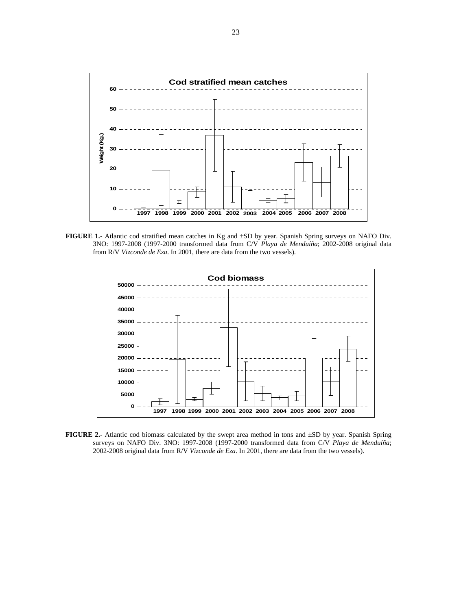

**FIGURE 1.-** Atlantic cod stratified mean catches in Kg and ±SD by year. Spanish Spring surveys on NAFO Div. 3NO: 1997-2008 (1997-2000 transformed data from C/V *Playa de Menduíña*; 2002-2008 original data from R/V *Vizconde de Eza*. In 2001, there are data from the two vessels).



**FIGURE 2.-** Atlantic cod biomass calculated by the swept area method in tons and ±SD by year. Spanish Spring surveys on NAFO Div. 3NO: 1997-2008 (1997-2000 transformed data from C/V *Playa de Menduíña*; 2002-2008 original data from R/V *Vizconde de Eza*. In 2001, there are data from the two vessels).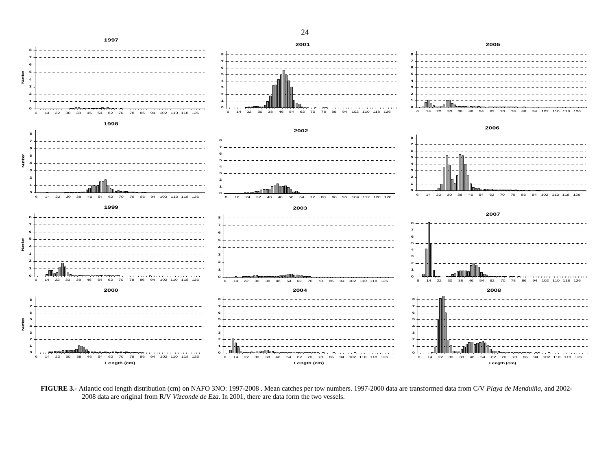

**FIGURE 3.-** Atlantic cod length distribution (cm) on NAFO 3NO: 1997-2008 . Mean catches per tow numbers. 1997-2000 data are transformed data from C/V *Playa de Menduíña*, and 2002- 2008 data are original from R/V *Vizconde de Eza*. In 2001, there are data form the two vessels.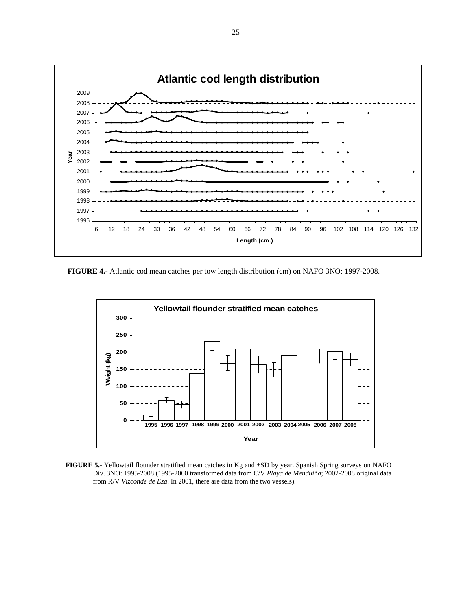

 **FIGURE 4.-** Atlantic cod mean catches per tow length distribution (cm) on NAFO 3NO: 1997-2008.



**FIGURE 5.-** Yellowtail flounder stratified mean catches in Kg and ±SD by year. Spanish Spring surveys on NAFO Div. 3NO: 1995-2008 (1995-2000 transformed data from C/V *Playa de Menduíña*; 2002-2008 original data from R/V *Vizconde de Eza*. In 2001, there are data from the two vessels).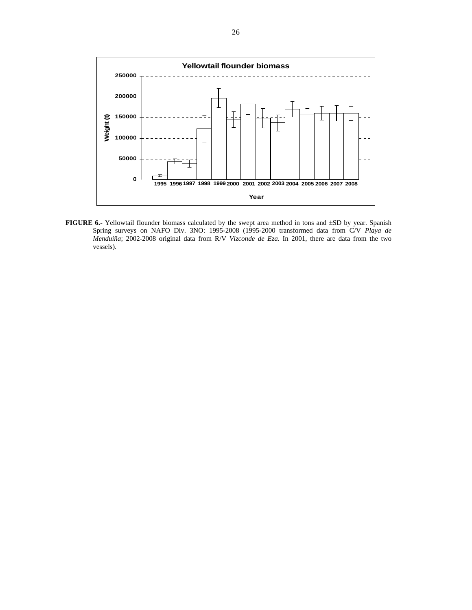

**FIGURE 6.** Yellowtail flounder biomass calculated by the swept area method in tons and  $\pm SD$  by year. Spanish Spring surveys on NAFO Div. 3NO: 1995-2008 (1995-2000 transformed data from C/V *Playa de Menduíña*; 2002-2008 original data from R/V *Vizconde de Eza*. In 2001, there are data from the two vessels).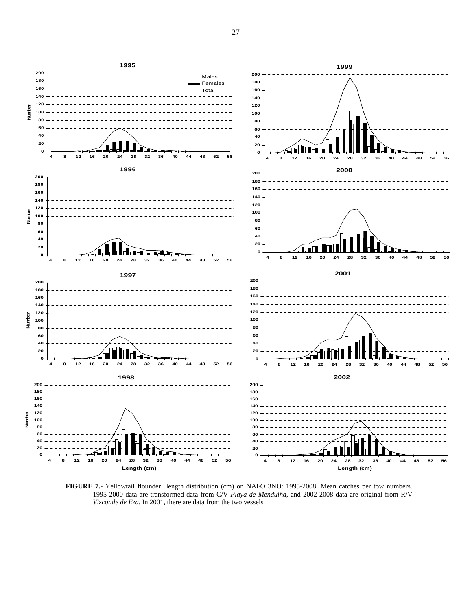

**FIGURE 7.-** Yellowtail flounder length distribution (cm) on NAFO 3NO: 1995-2008. Mean catches per tow numbers. 1995-2000 data are transformed data from C/V *Playa de Menduíña*, and 2002-2008 data are original from R/V *Vizconde de Eza*. In 2001, there are data from the two vessels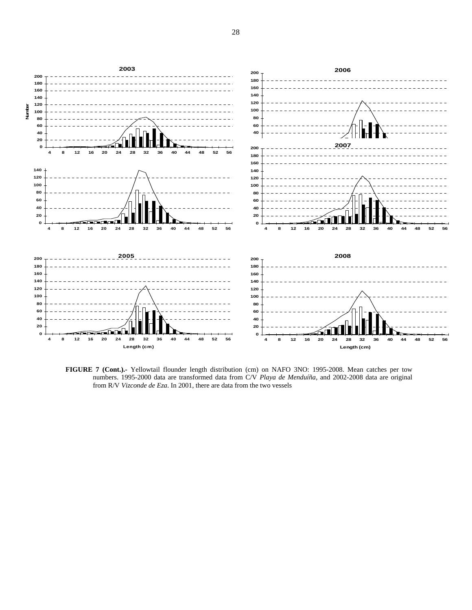

**FIGURE 7 (Cont.).-** Yellowtail flounder length distribution (cm) on NAFO 3NO: 1995-2008. Mean catches per tow numbers. 1995-2000 data are transformed data from C/V *Playa de Menduíña*, and 2002-2008 data are original from R/V *Vizconde de Eza*. In 2001, there are data from the two vessels